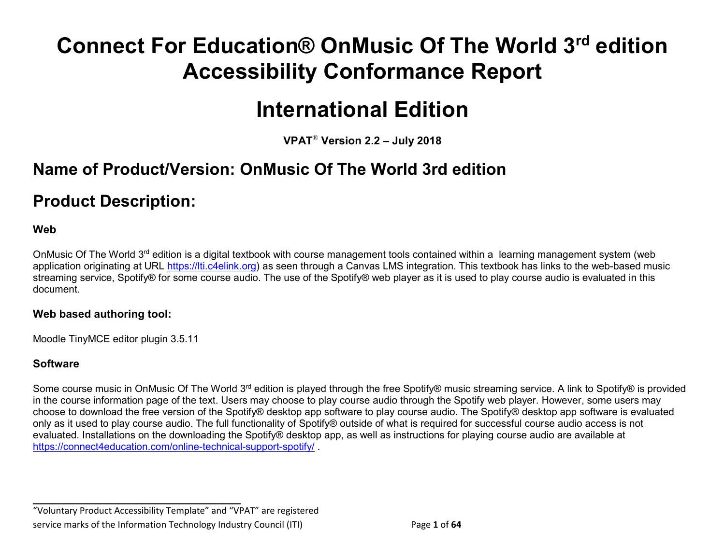# **Connect For Education® OnMusic Of The World 3rd edition Accessibility Conformance Report**

# **International Edition**

**VPAT**® **Version 2.2 – July 2018** 

## **Name of Product/Version: OnMusic Of The World 3rd edition**

## **Product Description:**

#### **Web**

OnMusic Of The World 3rd edition is a digital textbook with course management tools contained within a learning management system (web application originating at URL [https://lti.c4elink.org\)](https://lti.c4elink.org/) as seen through a Canvas LMS integration. This textbook has links to the web-based music streaming service, Spotify® for some course audio. The use of the Spotify® web player as it is used to play course audio is evaluated in this document.

#### **Web based authoring tool:**

Moodle TinyMCE editor plugin 3.5.11

#### **Software**

Some course music in OnMusic Of The World 3<sup>rd</sup> edition is played through the free Spotify® music streaming service. A link to Spotify® is provided in the course information page of the text. Users may choose to play course audio through the Spotify web player. However, some users may choose to download the free version of the Spotify® desktop app software to play course audio. The Spotify® desktop app software is evaluated only as it used to play course audio. The full functionality of Spotify® outside of what is required for successful course audio access is not evaluated. Installations on the downloading the Spotify® desktop app, as well as instructions for playing course audio are available at https://connect4education.com/online-technical-support-spotify/

**\_\_\_\_\_\_\_\_\_\_\_\_\_\_\_\_\_\_\_\_\_\_\_\_\_\_\_\_\_\_\_\_\_\_** "Voluntary Product Accessibility Template" and "VPAT" are registered service marks of the Information Technology Industry Council (ITI) Page **1** of **64**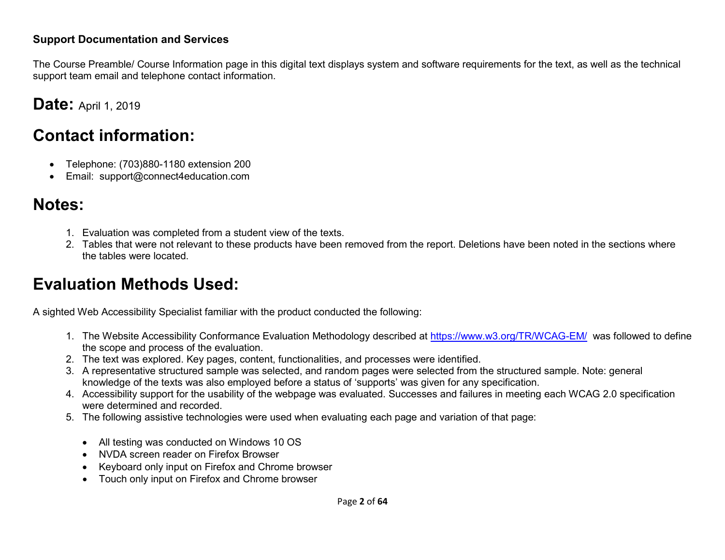#### **Support Documentation and Services**

The Course Preamble/ Course Information page in this digital text displays system and software requirements for the text, as well as the technical support team email and telephone contact information.

### **Date: April 1, 2019**

## **Contact information:**

- Telephone: (703)880-1180 extension 200
- Email: support@connect4education.com

## **Notes:**

- 1. Evaluation was completed from a student view of the texts.
- 2. Tables that were not relevant to these products have been removed from the report. Deletions have been noted in the sections where the tables were located.

## **Evaluation Methods Used:**

A sighted Web Accessibility Specialist familiar with the product conducted the following:

- 1. The Website Accessibility Conformance Evaluation Methodology described at<https://www.w3.org/TR/WCAG-EM/>was followed to define the scope and process of the evaluation.
- 2. The text was explored. Key pages, content, functionalities, and processes were identified.
- 3. A representative structured sample was selected, and random pages were selected from the structured sample. Note: general knowledge of the texts was also employed before a status of 'supports' was given for any specification.
- 4. Accessibility support for the usability of the webpage was evaluated. Successes and failures in meeting each WCAG 2.0 specification were determined and recorded.
- 5. The following assistive technologies were used when evaluating each page and variation of that page:
	- All testing was conducted on Windows 10 OS
	- NVDA screen reader on Firefox Browser
	- Keyboard only input on Firefox and Chrome browser
	- Touch only input on Firefox and Chrome browser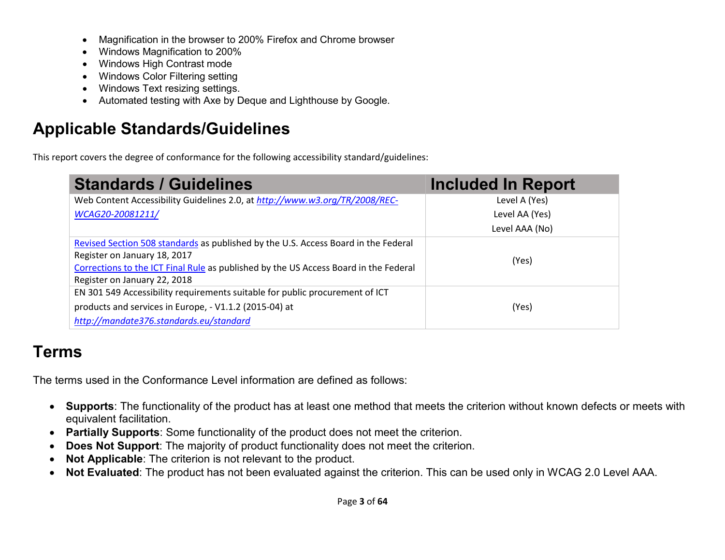- Magnification in the browser to 200% Firefox and Chrome browser
- Windows Magnification to 200%
- Windows High Contrast mode
- Windows Color Filtering setting
- Windows Text resizing settings.
- Automated testing with Axe by Deque and Lighthouse by Google.

## **Applicable Standards/Guidelines**

This report covers the degree of conformance for the following accessibility standard/guidelines:

| <b>Standards / Guidelines</b>                                                                                                                                                                                                              | <b>Included In Report</b> |
|--------------------------------------------------------------------------------------------------------------------------------------------------------------------------------------------------------------------------------------------|---------------------------|
| Web Content Accessibility Guidelines 2.0, at http://www.w3.org/TR/2008/REC-                                                                                                                                                                | Level A (Yes)             |
| WCAG20-20081211/                                                                                                                                                                                                                           | Level AA (Yes)            |
|                                                                                                                                                                                                                                            | Level AAA (No)            |
| Revised Section 508 standards as published by the U.S. Access Board in the Federal<br>Register on January 18, 2017<br>Corrections to the ICT Final Rule as published by the US Access Board in the Federal<br>Register on January 22, 2018 | (Yes)                     |
| EN 301 549 Accessibility requirements suitable for public procurement of ICT<br>products and services in Europe, - V1.1.2 (2015-04) at<br>http://mandate376.standards.eu/standard                                                          | (Yes)                     |

## **Terms**

The terms used in the Conformance Level information are defined as follows:

- **Supports**: The functionality of the product has at least one method that meets the criterion without known defects or meets with equivalent facilitation.
- **Partially Supports**: Some functionality of the product does not meet the criterion.
- **Does Not Support**: The majority of product functionality does not meet the criterion.
- **Not Applicable**: The criterion is not relevant to the product.
- **Not Evaluated**: The product has not been evaluated against the criterion. This can be used only in WCAG 2.0 Level AAA.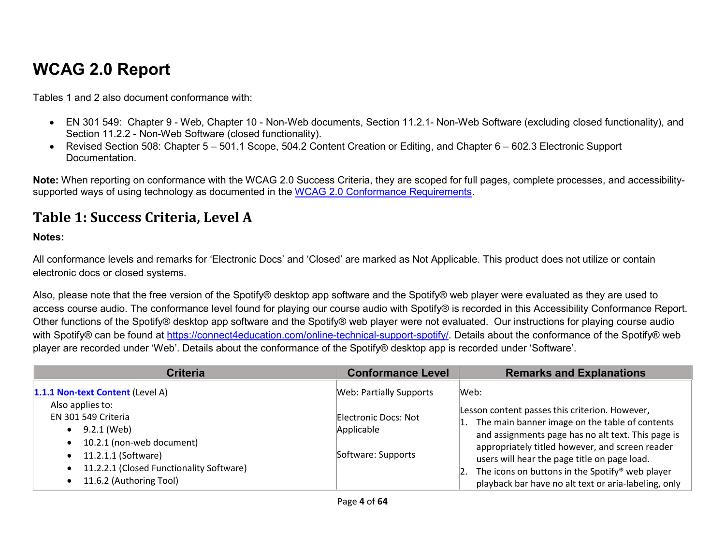## **WCAG 2.0 Report**

Tables 1 and 2 also document conformance with:

- EN 301 549: Chapter 9 Web, Chapter 10 Non-Web documents, Section 11.2.1- Non-Web Software (excluding closed functionality), and Section 11.2.2 - Non-Web Software (closed functionality).
- Revised Section 508: Chapter 5 501.1 Scope, 504.2 Content Creation or Editing, and Chapter 6 602.3 Electronic Support Documentation.

**Note:** When reporting on conformance with the WCAG 2.0 Success Criteria, they are scoped for full pages, complete processes, and accessibilitysupported ways of using technology as documented in the [WCAG 2.0 Conformance Requirements.](https://www.w3.org/TR/WCAG20/#conformance-reqs)

#### **Table 1: Success Criteria, Level A**

#### **Notes:**

All conformance levels and remarks for 'Electronic Docs' and 'Closed' are marked as Not Applicable. This product does not utilize or contain electronic docs or closed systems.

Also, please note that the free version of the Spotify® desktop app software and the Spotify® web player were evaluated as they are used to access course audio. The conformance level found for playing our course audio with Spotify® is recorded in this Accessibility Conformance Report. Other functions of the Spotify® desktop app software and the Spotify® web player were not evaluated. Our instructions for playing course audio with Spotify® can be found at [https://connect4education.com/online-technical-support-spotify/.](https://connect4education.com/online-technical-support-spotify/) Details about the conformance of the Spotify® web player are recorded under 'Web'. Details about the conformance of the Spotify® desktop app is recorded under 'Software'.

| <b>Criteria</b>                                                                                         | <b>Conformance Level</b>           | <b>Remarks and Explanations</b>                                                                                                                         |
|---------------------------------------------------------------------------------------------------------|------------------------------------|---------------------------------------------------------------------------------------------------------------------------------------------------------|
| 1.1.1 Non-text Content (Level A)<br>Also applies to:                                                    | <b>Web: Partially Supports</b>     | Web:<br>Lesson content passes this criterion. However,                                                                                                  |
| EN 301 549 Criteria<br>9.2.1 (Web)<br>10.2.1 (non-web document)                                         | Electronic Docs: Not<br>Applicable | The main banner image on the table of contents<br>and assignments page has no alt text. This page is<br>appropriately titled however, and screen reader |
| 11.2.1.1 (Software)<br>$\bullet$<br>11.2.2.1 (Closed Functionality Software)<br>11.6.2 (Authoring Tool) | Software: Supports                 | users will hear the page title on page load.<br>The icons on buttons in the Spotify® web player<br>playback bar have no alt text or aria-labeling, only |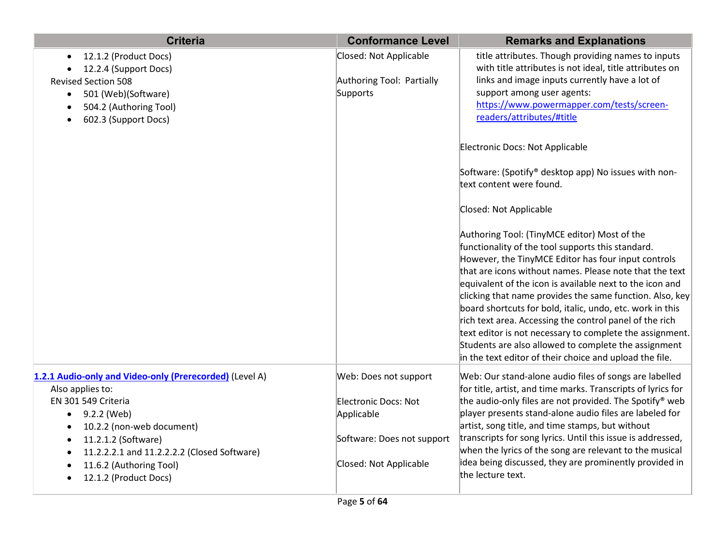| <b>Criteria</b>                                                                                                                                                                                                                                                               | <b>Conformance Level</b>                                                                                            | <b>Remarks and Explanations</b>                                                                                                                                                                                                                                                                                                                                                                                                                                                                                                                                                                                                                                              |
|-------------------------------------------------------------------------------------------------------------------------------------------------------------------------------------------------------------------------------------------------------------------------------|---------------------------------------------------------------------------------------------------------------------|------------------------------------------------------------------------------------------------------------------------------------------------------------------------------------------------------------------------------------------------------------------------------------------------------------------------------------------------------------------------------------------------------------------------------------------------------------------------------------------------------------------------------------------------------------------------------------------------------------------------------------------------------------------------------|
| 12.1.2 (Product Docs)<br>$\bullet$<br>12.2.4 (Support Docs)<br><b>Revised Section 508</b><br>501 (Web)(Software)<br>$\bullet$<br>504.2 (Authoring Tool)<br>602.3 (Support Docs)                                                                                               | Closed: Not Applicable<br>Authoring Tool: Partially<br>Supports                                                     | title attributes. Though providing names to inputs<br>with title attributes is not ideal, title attributes on<br>links and image inputs currently have a lot of<br>support among user agents:<br>https://www.powermapper.com/tests/screen-<br>readers/attributes/#title                                                                                                                                                                                                                                                                                                                                                                                                      |
|                                                                                                                                                                                                                                                                               |                                                                                                                     | Electronic Docs: Not Applicable<br>Software: (Spotify® desktop app) No issues with non-                                                                                                                                                                                                                                                                                                                                                                                                                                                                                                                                                                                      |
|                                                                                                                                                                                                                                                                               |                                                                                                                     | text content were found.                                                                                                                                                                                                                                                                                                                                                                                                                                                                                                                                                                                                                                                     |
|                                                                                                                                                                                                                                                                               |                                                                                                                     | Closed: Not Applicable<br>Authoring Tool: (TinyMCE editor) Most of the<br>functionality of the tool supports this standard.<br>However, the TinyMCE Editor has four input controls<br>that are icons without names. Please note that the text<br>equivalent of the icon is available next to the icon and<br>clicking that name provides the same function. Also, key<br>board shortcuts for bold, italic, undo, etc. work in this<br>rich text area. Accessing the control panel of the rich<br>text editor is not necessary to complete the assignment.<br>Students are also allowed to complete the assignment<br>in the text editor of their choice and upload the file. |
| 1.2.1 Audio-only and Video-only (Prerecorded) (Level A)<br>Also applies to:<br>EN 301 549 Criteria<br>9.2.2 (Web)<br>٠<br>10.2.2 (non-web document)<br>11.2.1.2 (Software)<br>11.2.2.2.1 and 11.2.2.2.2 (Closed Software)<br>11.6.2 (Authoring Tool)<br>12.1.2 (Product Docs) | Web: Does not support<br>Electronic Docs: Not<br>Applicable<br>Software: Does not support<br>Closed: Not Applicable | Web: Our stand-alone audio files of songs are labelled<br>for title, artist, and time marks. Transcripts of lyrics for<br>the audio-only files are not provided. The Spotify® web<br>player presents stand-alone audio files are labeled for<br>artist, song title, and time stamps, but without<br>transcripts for song lyrics. Until this issue is addressed,<br>when the lyrics of the song are relevant to the musical<br>idea being discussed, they are prominently provided in<br>the lecture text.                                                                                                                                                                    |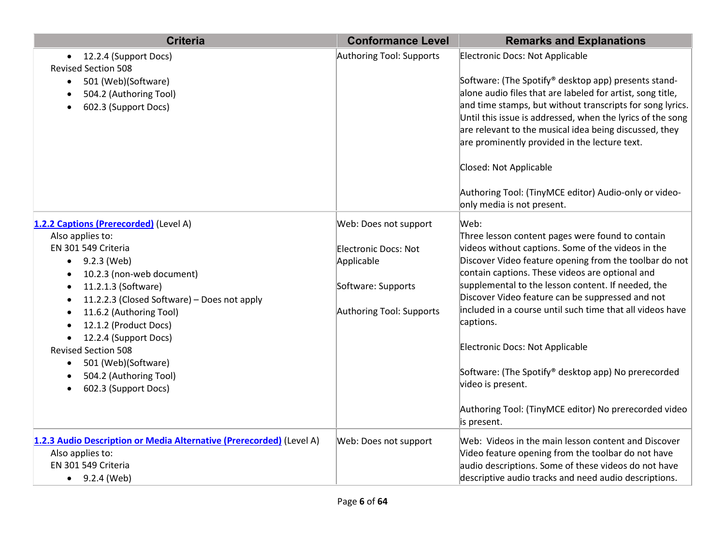| <b>Criteria</b>                                                                                                                                                                                                                                                                                                                                                                                                                | <b>Conformance Level</b>                                                                                      | <b>Remarks and Explanations</b>                                                                                                                                                                                                                                                                                                                                                                                                                                                                                                                                                                        |
|--------------------------------------------------------------------------------------------------------------------------------------------------------------------------------------------------------------------------------------------------------------------------------------------------------------------------------------------------------------------------------------------------------------------------------|---------------------------------------------------------------------------------------------------------------|--------------------------------------------------------------------------------------------------------------------------------------------------------------------------------------------------------------------------------------------------------------------------------------------------------------------------------------------------------------------------------------------------------------------------------------------------------------------------------------------------------------------------------------------------------------------------------------------------------|
| 12.2.4 (Support Docs)<br>$\bullet$<br><b>Revised Section 508</b><br>501 (Web)(Software)<br>$\bullet$<br>504.2 (Authoring Tool)<br>602.3 (Support Docs)                                                                                                                                                                                                                                                                         | Authoring Tool: Supports                                                                                      | Electronic Docs: Not Applicable<br>Software: (The Spotify® desktop app) presents stand-<br>alone audio files that are labeled for artist, song title,<br>and time stamps, but without transcripts for song lyrics.<br>Until this issue is addressed, when the lyrics of the song<br>are relevant to the musical idea being discussed, they<br>are prominently provided in the lecture text.<br>Closed: Not Applicable<br>Authoring Tool: (TinyMCE editor) Audio-only or video-<br>only media is not present.                                                                                           |
| 1.2.2 Captions (Prerecorded) (Level A)<br>Also applies to:<br>EN 301 549 Criteria<br>9.2.3 (Web)<br>$\bullet$<br>10.2.3 (non-web document)<br>11.2.1.3 (Software)<br>11.2.2.3 (Closed Software) - Does not apply<br>11.6.2 (Authoring Tool)<br>12.1.2 (Product Docs)<br>$\bullet$<br>12.2.4 (Support Docs)<br><b>Revised Section 508</b><br>501 (Web)(Software)<br>$\bullet$<br>504.2 (Authoring Tool)<br>602.3 (Support Docs) | Web: Does not support<br>Electronic Docs: Not<br>Applicable<br>Software: Supports<br>Authoring Tool: Supports | Web:<br>Three lesson content pages were found to contain<br>videos without captions. Some of the videos in the<br>Discover Video feature opening from the toolbar do not<br>contain captions. These videos are optional and<br>supplemental to the lesson content. If needed, the<br>Discover Video feature can be suppressed and not<br>included in a course until such time that all videos have<br>captions.<br>Electronic Docs: Not Applicable<br>Software: (The Spotify® desktop app) No prerecorded<br>video is present.<br>Authoring Tool: (TinyMCE editor) No prerecorded video<br>is present. |
| 1.2.3 Audio Description or Media Alternative (Prerecorded) (Level A)<br>Also applies to:<br>EN 301 549 Criteria<br>$\bullet$ 9.2.4 (Web)                                                                                                                                                                                                                                                                                       | Web: Does not support                                                                                         | Web: Videos in the main lesson content and Discover<br>Video feature opening from the toolbar do not have<br>audio descriptions. Some of these videos do not have<br>descriptive audio tracks and need audio descriptions.                                                                                                                                                                                                                                                                                                                                                                             |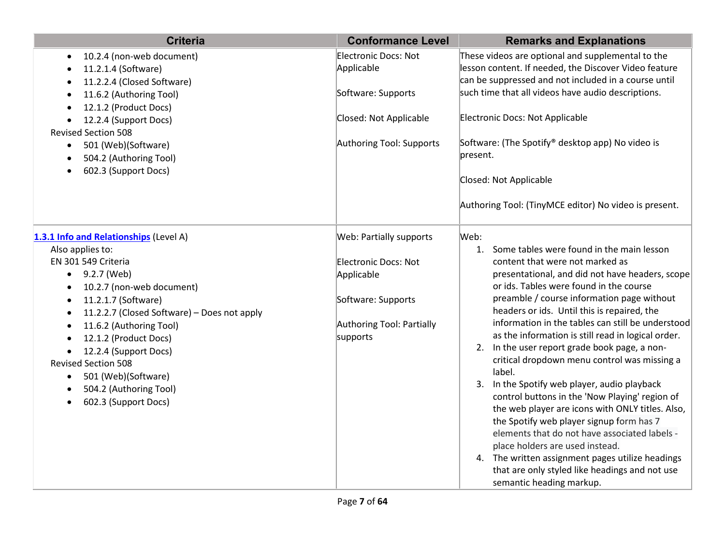| <b>Criteria</b>                                                                                                                                                                                                                                                                                                                                               | <b>Conformance Level</b>                                                                          | <b>Remarks and Explanations</b>                                                                                                                                                                                                                                                                                                                                                                                                                                                                                                                                                                                                                                                                                                                                                                                                            |
|---------------------------------------------------------------------------------------------------------------------------------------------------------------------------------------------------------------------------------------------------------------------------------------------------------------------------------------------------------------|---------------------------------------------------------------------------------------------------|--------------------------------------------------------------------------------------------------------------------------------------------------------------------------------------------------------------------------------------------------------------------------------------------------------------------------------------------------------------------------------------------------------------------------------------------------------------------------------------------------------------------------------------------------------------------------------------------------------------------------------------------------------------------------------------------------------------------------------------------------------------------------------------------------------------------------------------------|
| 10.2.4 (non-web document)<br>$\bullet$<br>11.2.1.4 (Software)<br>11.2.2.4 (Closed Software)                                                                                                                                                                                                                                                                   | <b>Electronic Docs: Not</b><br>Applicable                                                         | These videos are optional and supplemental to the<br>lesson content. If needed, the Discover Video feature<br>can be suppressed and not included in a course until                                                                                                                                                                                                                                                                                                                                                                                                                                                                                                                                                                                                                                                                         |
| 11.6.2 (Authoring Tool)<br>12.1.2 (Product Docs)                                                                                                                                                                                                                                                                                                              | Software: Supports                                                                                | such time that all videos have audio descriptions.                                                                                                                                                                                                                                                                                                                                                                                                                                                                                                                                                                                                                                                                                                                                                                                         |
| 12.2.4 (Support Docs)<br><b>Revised Section 508</b>                                                                                                                                                                                                                                                                                                           | Closed: Not Applicable                                                                            | Electronic Docs: Not Applicable                                                                                                                                                                                                                                                                                                                                                                                                                                                                                                                                                                                                                                                                                                                                                                                                            |
| 501 (Web)(Software)<br>$\bullet$<br>504.2 (Authoring Tool)                                                                                                                                                                                                                                                                                                    | Authoring Tool: Supports                                                                          | Software: (The Spotify® desktop app) No video is<br>present.                                                                                                                                                                                                                                                                                                                                                                                                                                                                                                                                                                                                                                                                                                                                                                               |
| 602.3 (Support Docs)                                                                                                                                                                                                                                                                                                                                          |                                                                                                   | Closed: Not Applicable                                                                                                                                                                                                                                                                                                                                                                                                                                                                                                                                                                                                                                                                                                                                                                                                                     |
|                                                                                                                                                                                                                                                                                                                                                               |                                                                                                   | Authoring Tool: (TinyMCE editor) No video is present.                                                                                                                                                                                                                                                                                                                                                                                                                                                                                                                                                                                                                                                                                                                                                                                      |
| 1.3.1 Info and Relationships (Level A)                                                                                                                                                                                                                                                                                                                        | Web: Partially supports                                                                           | Web:                                                                                                                                                                                                                                                                                                                                                                                                                                                                                                                                                                                                                                                                                                                                                                                                                                       |
| Also applies to:<br>EN 301 549 Criteria<br>$-9.2.7$ (Web)<br>10.2.7 (non-web document)<br>11.2.1.7 (Software)<br>11.2.2.7 (Closed Software) - Does not apply<br>11.6.2 (Authoring Tool)<br>12.1.2 (Product Docs)<br>12.2.4 (Support Docs)<br><b>Revised Section 508</b><br>501 (Web)(Software)<br>$\bullet$<br>504.2 (Authoring Tool)<br>602.3 (Support Docs) | Electronic Docs: Not<br>Applicable<br>Software: Supports<br>Authoring Tool: Partially<br>supports | 1. Some tables were found in the main lesson<br>content that were not marked as<br>presentational, and did not have headers, scope<br>or ids. Tables were found in the course<br>preamble / course information page without<br>headers or ids. Until this is repaired, the<br>information in the tables can still be understood<br>as the information is still read in logical order.<br>2. In the user report grade book page, a non-<br>critical dropdown menu control was missing a<br>label.<br>3. In the Spotify web player, audio playback<br>control buttons in the 'Now Playing' region of<br>the web player are icons with ONLY titles. Also,<br>the Spotify web player signup form has 7<br>elements that do not have associated labels -<br>place holders are used instead.<br>4. The written assignment pages utilize headings |
|                                                                                                                                                                                                                                                                                                                                                               |                                                                                                   | that are only styled like headings and not use<br>semantic heading markup.                                                                                                                                                                                                                                                                                                                                                                                                                                                                                                                                                                                                                                                                                                                                                                 |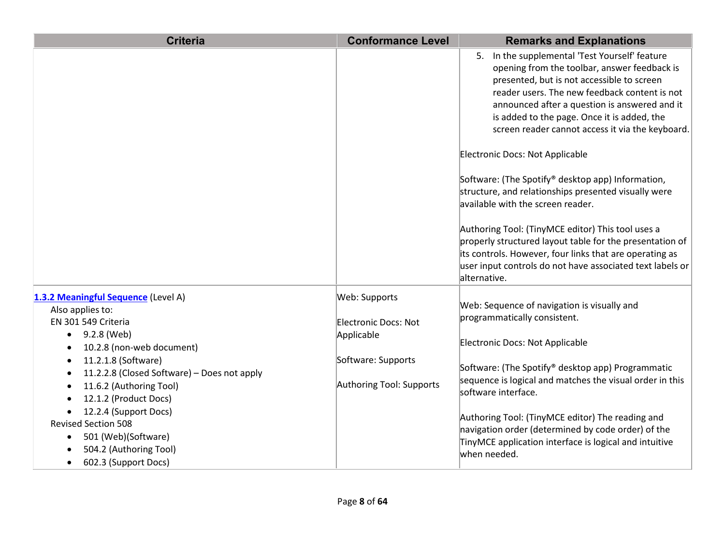| <b>Criteria</b>                                          | <b>Conformance Level</b> | <b>Remarks and Explanations</b>                                                                |
|----------------------------------------------------------|--------------------------|------------------------------------------------------------------------------------------------|
|                                                          |                          | 5. In the supplemental 'Test Yourself' feature<br>opening from the toolbar, answer feedback is |
|                                                          |                          | presented, but is not accessible to screen                                                     |
|                                                          |                          | reader users. The new feedback content is not                                                  |
|                                                          |                          | announced after a question is answered and it                                                  |
|                                                          |                          | is added to the page. Once it is added, the                                                    |
|                                                          |                          | screen reader cannot access it via the keyboard.                                               |
|                                                          |                          | Electronic Docs: Not Applicable                                                                |
|                                                          |                          | Software: (The Spotify® desktop app) Information,                                              |
|                                                          |                          | structure, and relationships presented visually were                                           |
|                                                          |                          | available with the screen reader.                                                              |
|                                                          |                          | Authoring Tool: (TinyMCE editor) This tool uses a                                              |
|                                                          |                          | properly structured layout table for the presentation of                                       |
|                                                          |                          | its controls. However, four links that are operating as                                        |
|                                                          |                          | user input controls do not have associated text labels or<br>alternative.                      |
| 1.3.2 Meaningful Sequence (Level A)                      | Web: Supports            | Web: Sequence of navigation is visually and                                                    |
| Also applies to:                                         |                          | programmatically consistent.                                                                   |
| EN 301 549 Criteria                                      | Electronic Docs: Not     |                                                                                                |
| 9.2.8 (Web)<br>10.2.8 (non-web document)                 | Applicable               | Electronic Docs: Not Applicable                                                                |
| 11.2.1.8 (Software)                                      | Software: Supports       |                                                                                                |
| 11.2.2.8 (Closed Software) - Does not apply<br>$\bullet$ |                          | Software: (The Spotify® desktop app) Programmatic                                              |
| 11.6.2 (Authoring Tool)                                  | Authoring Tool: Supports | sequence is logical and matches the visual order in this                                       |
| 12.1.2 (Product Docs)                                    |                          | software interface.                                                                            |
| 12.2.4 (Support Docs)                                    |                          | Authoring Tool: (TinyMCE editor) The reading and                                               |
| <b>Revised Section 508</b>                               |                          | navigation order (determined by code order) of the                                             |
| 501 (Web)(Software)                                      |                          | TinyMCE application interface is logical and intuitive                                         |
| 504.2 (Authoring Tool)                                   |                          | when needed.                                                                                   |
| 602.3 (Support Docs)                                     |                          |                                                                                                |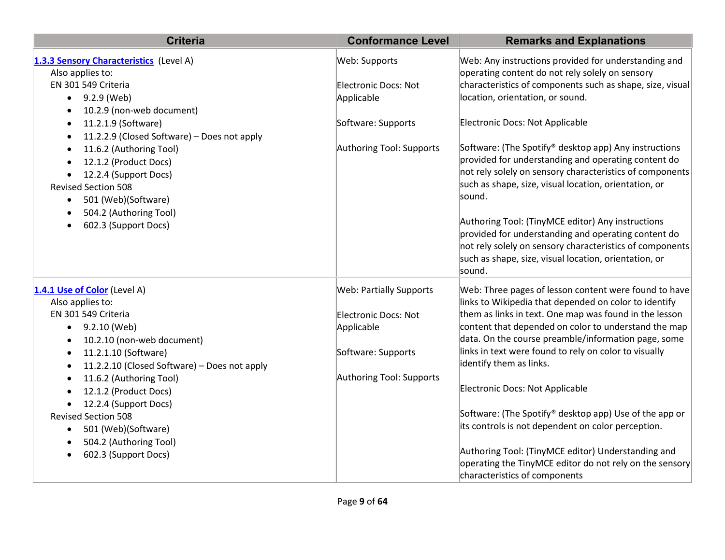| <b>Criteria</b>                                             | <b>Conformance Level</b>       | <b>Remarks and Explanations</b>                                                                               |
|-------------------------------------------------------------|--------------------------------|---------------------------------------------------------------------------------------------------------------|
| 1.3.3 Sensory Characteristics (Level A)<br>Also applies to: | Web: Supports                  | Web: Any instructions provided for understanding and<br>operating content do not rely solely on sensory       |
| EN 301 549 Criteria                                         | <b>Electronic Docs: Not</b>    | characteristics of components such as shape, size, visual                                                     |
| 9.2.9 (Web)<br>$\bullet$                                    | Applicable                     | location, orientation, or sound.                                                                              |
| 10.2.9 (non-web document)                                   |                                |                                                                                                               |
| 11.2.1.9 (Software)<br>٠                                    | Software: Supports             | Electronic Docs: Not Applicable                                                                               |
| 11.2.2.9 (Closed Software) - Does not apply<br>$\bullet$    |                                |                                                                                                               |
| 11.6.2 (Authoring Tool)<br>$\bullet$                        | Authoring Tool: Supports       | Software: (The Spotify® desktop app) Any instructions                                                         |
| 12.1.2 (Product Docs)<br>$\bullet$                          |                                | provided for understanding and operating content do                                                           |
| 12.2.4 (Support Docs)<br>$\bullet$                          |                                | not rely solely on sensory characteristics of components                                                      |
| <b>Revised Section 508</b>                                  |                                | such as shape, size, visual location, orientation, or                                                         |
| 501 (Web)(Software)<br>$\bullet$                            |                                | sound.                                                                                                        |
| 504.2 (Authoring Tool)                                      |                                | Authoring Tool: (TinyMCE editor) Any instructions                                                             |
| 602.3 (Support Docs)                                        |                                | provided for understanding and operating content do                                                           |
|                                                             |                                | not rely solely on sensory characteristics of components                                                      |
|                                                             |                                | such as shape, size, visual location, orientation, or                                                         |
|                                                             |                                | sound.                                                                                                        |
| 1.4.1 Use of Color (Level A)                                | <b>Web: Partially Supports</b> | Web: Three pages of lesson content were found to have                                                         |
| Also applies to:                                            |                                | links to Wikipedia that depended on color to identify                                                         |
| EN 301 549 Criteria                                         | Electronic Docs: Not           | them as links in text. One map was found in the lesson                                                        |
| 9.2.10 (Web)<br>$\bullet$                                   | Applicable                     | content that depended on color to understand the map                                                          |
| 10.2.10 (non-web document)<br>$\bullet$                     |                                | data. On the course preamble/information page, some                                                           |
| 11.2.1.10 (Software)<br>$\bullet$                           | Software: Supports             | links in text were found to rely on color to visually                                                         |
| 11.2.2.10 (Closed Software) - Does not apply<br>$\bullet$   |                                | identify them as links.                                                                                       |
| 11.6.2 (Authoring Tool)<br>$\bullet$                        | Authoring Tool: Supports       |                                                                                                               |
| 12.1.2 (Product Docs)<br>$\bullet$                          |                                | Electronic Docs: Not Applicable                                                                               |
| 12.2.4 (Support Docs)<br>$\bullet$                          |                                |                                                                                                               |
| <b>Revised Section 508</b>                                  |                                | Software: (The Spotify® desktop app) Use of the app or                                                        |
| 501 (Web)(Software)<br>$\bullet$                            |                                | its controls is not dependent on color perception.                                                            |
| 504.2 (Authoring Tool)                                      |                                |                                                                                                               |
| 602.3 (Support Docs)<br>$\bullet$                           |                                | Authoring Tool: (TinyMCE editor) Understanding and<br>operating the TinyMCE editor do not rely on the sensory |
|                                                             |                                | characteristics of components                                                                                 |
|                                                             |                                |                                                                                                               |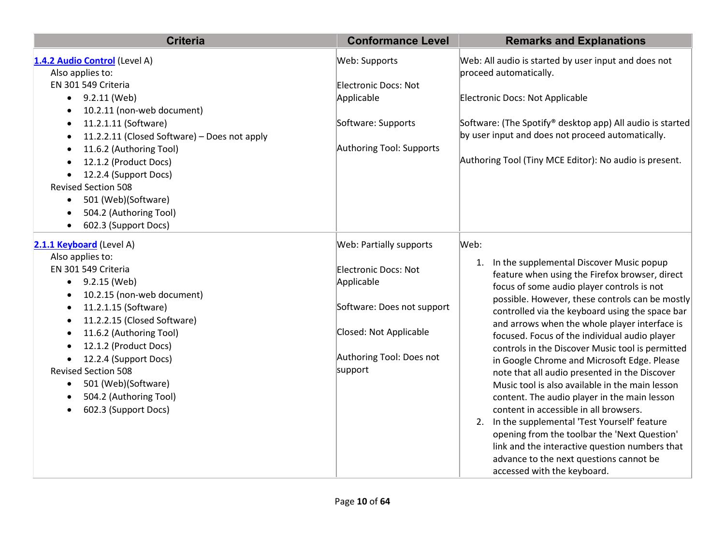| <b>Criteria</b>                                           | <b>Conformance Level</b>       | <b>Remarks and Explanations</b>                                                |
|-----------------------------------------------------------|--------------------------------|--------------------------------------------------------------------------------|
| 1.4.2 Audio Control (Level A)<br>Also applies to:         | Web: Supports                  | Web: All audio is started by user input and does not<br>proceed automatically. |
| EN 301 549 Criteria                                       | Electronic Docs: Not           |                                                                                |
| 9.2.11 (Web)<br>$\bullet$                                 | Applicable                     | Electronic Docs: Not Applicable                                                |
| 10.2.11 (non-web document)<br>$\bullet$                   |                                |                                                                                |
| 11.2.1.11 (Software)<br>$\bullet$                         | Software: Supports             | Software: (The Spotify® desktop app) All audio is started                      |
| 11.2.2.11 (Closed Software) - Does not apply<br>$\bullet$ |                                | by user input and does not proceed automatically.                              |
| 11.6.2 (Authoring Tool)<br>$\bullet$                      | Authoring Tool: Supports       |                                                                                |
| 12.1.2 (Product Docs)<br>$\bullet$                        |                                | Authoring Tool (Tiny MCE Editor): No audio is present.                         |
| 12.2.4 (Support Docs)<br>$\bullet$                        |                                |                                                                                |
| <b>Revised Section 508</b>                                |                                |                                                                                |
| 501 (Web)(Software)<br>$\bullet$                          |                                |                                                                                |
| 504.2 (Authoring Tool)<br>$\bullet$                       |                                |                                                                                |
| 602.3 (Support Docs)<br>$\bullet$                         |                                |                                                                                |
| 2.1.1 Keyboard (Level A)                                  | <b>Web: Partially supports</b> | Web:                                                                           |
| Also applies to:                                          |                                | In the supplemental Discover Music popup<br>1.                                 |
| EN 301 549 Criteria                                       | Electronic Docs: Not           | feature when using the Firefox browser, direct                                 |
| 9.2.15 (Web)<br>$\bullet$                                 | Applicable                     | focus of some audio player controls is not                                     |
| 10.2.15 (non-web document)<br>$\bullet$                   |                                | possible. However, these controls can be mostly                                |
| 11.2.1.15 (Software)<br>$\bullet$                         | Software: Does not support     | controlled via the keyboard using the space bar                                |
| 11.2.2.15 (Closed Software)<br>$\bullet$                  |                                | and arrows when the whole player interface is                                  |
| 11.6.2 (Authoring Tool)<br>$\bullet$                      | Closed: Not Applicable         | focused. Focus of the individual audio player                                  |
| 12.1.2 (Product Docs)<br>$\bullet$                        |                                | controls in the Discover Music tool is permitted                               |
| 12.2.4 (Support Docs)                                     | Authoring Tool: Does not       | in Google Chrome and Microsoft Edge. Please                                    |
| <b>Revised Section 508</b>                                | support                        | note that all audio presented in the Discover                                  |
| 501 (Web)(Software)<br>$\bullet$                          |                                | Music tool is also available in the main lesson                                |
| 504.2 (Authoring Tool)<br>$\bullet$                       |                                | content. The audio player in the main lesson                                   |
| 602.3 (Support Docs)<br>$\bullet$                         |                                | content in accessible in all browsers.                                         |
|                                                           |                                | 2. In the supplemental 'Test Yourself' feature                                 |
|                                                           |                                | opening from the toolbar the 'Next Question'                                   |
|                                                           |                                | link and the interactive question numbers that                                 |
|                                                           |                                | advance to the next questions cannot be                                        |
|                                                           |                                | accessed with the keyboard.                                                    |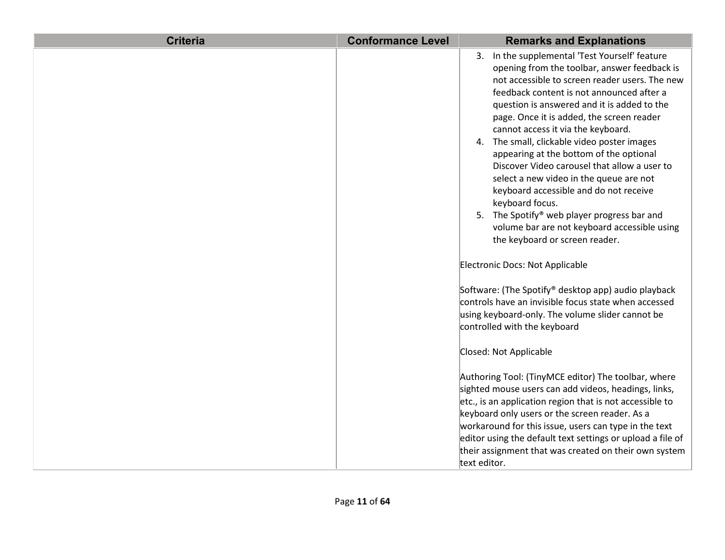| <b>Criteria</b> | <b>Conformance Level</b> | <b>Remarks and Explanations</b>                                                                                                                                                                                                                                                                                                                                                                                                                                                                                                                                                                                                                                                                                    |
|-----------------|--------------------------|--------------------------------------------------------------------------------------------------------------------------------------------------------------------------------------------------------------------------------------------------------------------------------------------------------------------------------------------------------------------------------------------------------------------------------------------------------------------------------------------------------------------------------------------------------------------------------------------------------------------------------------------------------------------------------------------------------------------|
|                 |                          | 3. In the supplemental 'Test Yourself' feature<br>opening from the toolbar, answer feedback is<br>not accessible to screen reader users. The new<br>feedback content is not announced after a<br>question is answered and it is added to the<br>page. Once it is added, the screen reader<br>cannot access it via the keyboard.<br>4. The small, clickable video poster images<br>appearing at the bottom of the optional<br>Discover Video carousel that allow a user to<br>select a new video in the queue are not<br>keyboard accessible and do not receive<br>keyboard focus.<br>5. The Spotify® web player progress bar and<br>volume bar are not keyboard accessible using<br>the keyboard or screen reader. |
|                 |                          | Electronic Docs: Not Applicable<br>Software: (The Spotify® desktop app) audio playback<br>controls have an invisible focus state when accessed<br>using keyboard-only. The volume slider cannot be<br>controlled with the keyboard<br>Closed: Not Applicable<br>Authoring Tool: (TinyMCE editor) The toolbar, where<br>sighted mouse users can add videos, headings, links,<br>etc., is an application region that is not accessible to<br>keyboard only users or the screen reader. As a<br>workaround for this issue, users can type in the text<br>editor using the default text settings or upload a file of<br>their assignment that was created on their own system                                          |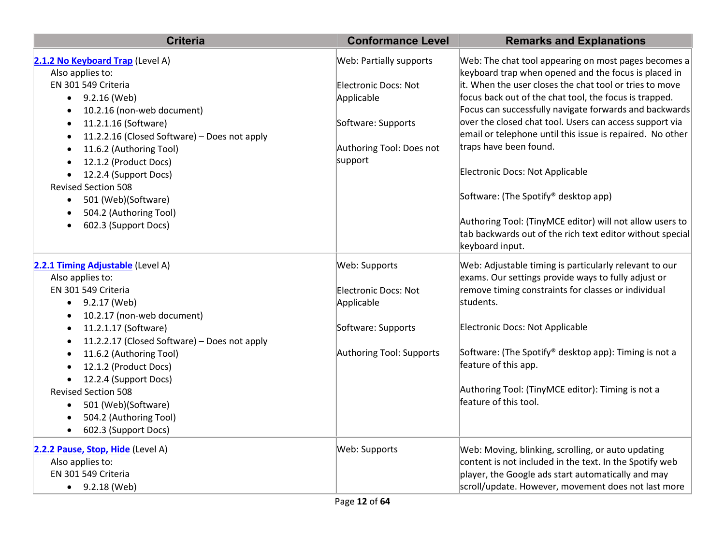| <b>Criteria</b>                                           | <b>Conformance Level</b>    | <b>Remarks and Explanations</b>                                                                                       |
|-----------------------------------------------------------|-----------------------------|-----------------------------------------------------------------------------------------------------------------------|
| 2.1.2 No Keyboard Trap (Level A)<br>Also applies to:      | Web: Partially supports     | Web: The chat tool appearing on most pages becomes a<br>keyboard trap when opened and the focus is placed in          |
| EN 301 549 Criteria                                       | <b>Electronic Docs: Not</b> | it. When the user closes the chat tool or tries to move                                                               |
| 9.2.16 (Web)<br>$\bullet$                                 | Applicable                  | focus back out of the chat tool, the focus is trapped.                                                                |
| 10.2.16 (non-web document)<br>$\bullet$                   |                             | Focus can successfully navigate forwards and backwards                                                                |
| 11.2.1.16 (Software)<br>$\bullet$                         | Software: Supports          | over the closed chat tool. Users can access support via                                                               |
| 11.2.2.16 (Closed Software) - Does not apply<br>$\bullet$ |                             | email or telephone until this issue is repaired. No other                                                             |
| 11.6.2 (Authoring Tool)<br>$\bullet$                      | Authoring Tool: Does not    | traps have been found.                                                                                                |
| 12.1.2 (Product Docs)                                     | support                     |                                                                                                                       |
| 12.2.4 (Support Docs)                                     |                             | Electronic Docs: Not Applicable                                                                                       |
| <b>Revised Section 508</b>                                |                             |                                                                                                                       |
| 501 (Web)(Software)<br>$\bullet$                          |                             | Software: (The Spotify® desktop app)                                                                                  |
| 504.2 (Authoring Tool)                                    |                             |                                                                                                                       |
| 602.3 (Support Docs)<br>$\bullet$                         |                             | Authoring Tool: (TinyMCE editor) will not allow users to<br>tab backwards out of the rich text editor without special |
|                                                           |                             | keyboard input.                                                                                                       |
| 2.2.1 Timing Adjustable (Level A)                         | Web: Supports               | Web: Adjustable timing is particularly relevant to our                                                                |
| Also applies to:                                          |                             | exams. Our settings provide ways to fully adjust or                                                                   |
| EN 301 549 Criteria                                       | Electronic Docs: Not        | remove timing constraints for classes or individual                                                                   |
| 9.2.17 (Web)<br>$\bullet$                                 | Applicable                  | students.                                                                                                             |
| 10.2.17 (non-web document)<br>$\bullet$                   |                             |                                                                                                                       |
| 11.2.1.17 (Software)<br>$\bullet$                         | Software: Supports          | Electronic Docs: Not Applicable                                                                                       |
| 11.2.2.17 (Closed Software) - Does not apply<br>$\bullet$ |                             |                                                                                                                       |
| 11.6.2 (Authoring Tool)<br>$\bullet$                      | Authoring Tool: Supports    | Software: (The Spotify® desktop app): Timing is not a                                                                 |
| 12.1.2 (Product Docs)<br>$\bullet$                        |                             | feature of this app.                                                                                                  |
| 12.2.4 (Support Docs)<br>$\bullet$                        |                             |                                                                                                                       |
| <b>Revised Section 508</b>                                |                             | Authoring Tool: (TinyMCE editor): Timing is not a                                                                     |
| 501 (Web)(Software)<br>$\bullet$                          |                             | feature of this tool.                                                                                                 |
| 504.2 (Authoring Tool)<br>$\bullet$                       |                             |                                                                                                                       |
| 602.3 (Support Docs)<br>$\bullet$                         |                             |                                                                                                                       |
| 2.2.2 Pause, Stop, Hide (Level A)                         | Web: Supports               | Web: Moving, blinking, scrolling, or auto updating                                                                    |
| Also applies to:                                          |                             | content is not included in the text. In the Spotify web                                                               |
| EN 301 549 Criteria                                       |                             | player, the Google ads start automatically and may                                                                    |
| $-9.2.18$ (Web)                                           |                             | scroll/update. However, movement does not last more                                                                   |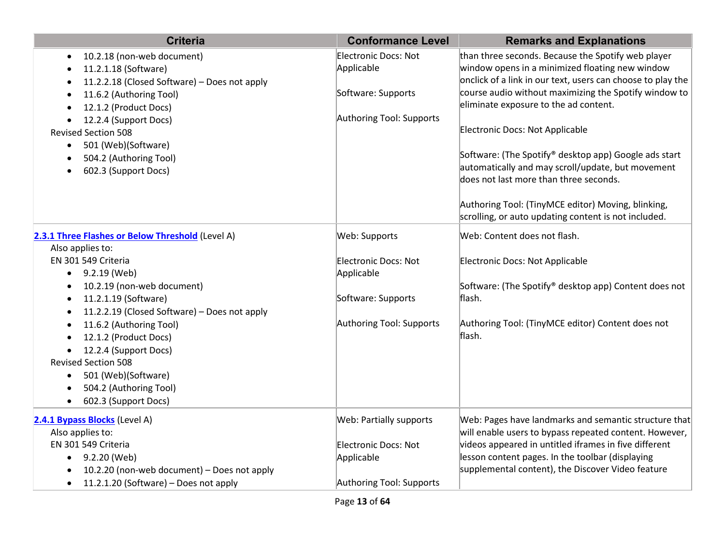| <b>Criteria</b>                                                                                                                                                                                                                                                             | <b>Conformance Level</b>                                                             | <b>Remarks and Explanations</b>                                                                                                                                                                                                                                                                                                                                    |
|-----------------------------------------------------------------------------------------------------------------------------------------------------------------------------------------------------------------------------------------------------------------------------|--------------------------------------------------------------------------------------|--------------------------------------------------------------------------------------------------------------------------------------------------------------------------------------------------------------------------------------------------------------------------------------------------------------------------------------------------------------------|
| 10.2.18 (non-web document)<br>11.2.1.18 (Software)<br>11.2.2.18 (Closed Software) - Does not apply<br>11.6.2 (Authoring Tool)<br>12.1.2 (Product Docs)<br>12.2.4 (Support Docs)<br><b>Revised Section 508</b><br>501 (Web)(Software)<br>$\bullet$<br>504.2 (Authoring Tool) | Electronic Docs: Not<br>Applicable<br>Software: Supports<br>Authoring Tool: Supports | than three seconds. Because the Spotify web player<br>window opens in a minimized floating new window<br>onclick of a link in our text, users can choose to play the<br>course audio without maximizing the Spotify window to<br>eliminate exposure to the ad content.<br>Electronic Docs: Not Applicable<br>Software: (The Spotify® desktop app) Google ads start |
| 602.3 (Support Docs)                                                                                                                                                                                                                                                        |                                                                                      | automatically and may scroll/update, but movement<br>does not last more than three seconds.<br>Authoring Tool: (TinyMCE editor) Moving, blinking,<br>scrolling, or auto updating content is not included.<br>Web: Content does not flash.                                                                                                                          |
| 2.3.1 Three Flashes or Below Threshold (Level A)<br>Also applies to:                                                                                                                                                                                                        | Web: Supports                                                                        |                                                                                                                                                                                                                                                                                                                                                                    |
| EN 301 549 Criteria<br>9.2.19 (Web)<br>$\bullet$                                                                                                                                                                                                                            | Electronic Docs: Not<br>Applicable                                                   | Electronic Docs: Not Applicable                                                                                                                                                                                                                                                                                                                                    |
| 10.2.19 (non-web document)<br>11.2.1.19 (Software)<br>$\bullet$<br>11.2.2.19 (Closed Software) - Does not apply                                                                                                                                                             | Software: Supports                                                                   | Software: (The Spotify® desktop app) Content does not<br>flash.                                                                                                                                                                                                                                                                                                    |
| 11.6.2 (Authoring Tool)<br>12.1.2 (Product Docs)<br>12.2.4 (Support Docs)<br><b>Revised Section 508</b><br>501 (Web)(Software)<br>504.2 (Authoring Tool)<br>602.3 (Support Docs)                                                                                            | Authoring Tool: Supports                                                             | Authoring Tool: (TinyMCE editor) Content does not<br>flash.                                                                                                                                                                                                                                                                                                        |
| 2.4.1 Bypass Blocks (Level A)<br>Also applies to:<br>EN 301 549 Criteria<br>9.2.20 (Web)<br>$\bullet$<br>10.2.20 (non-web document) - Does not apply                                                                                                                        | Web: Partially supports<br>Electronic Docs: Not<br>Applicable                        | Web: Pages have landmarks and semantic structure that<br>will enable users to bypass repeated content. However,<br>videos appeared in untitled iframes in five different<br>lesson content pages. In the toolbar (displaying<br>supplemental content), the Discover Video feature                                                                                  |
| 11.2.1.20 (Software) - Does not apply<br>$\bullet$                                                                                                                                                                                                                          | Authoring Tool: Supports                                                             |                                                                                                                                                                                                                                                                                                                                                                    |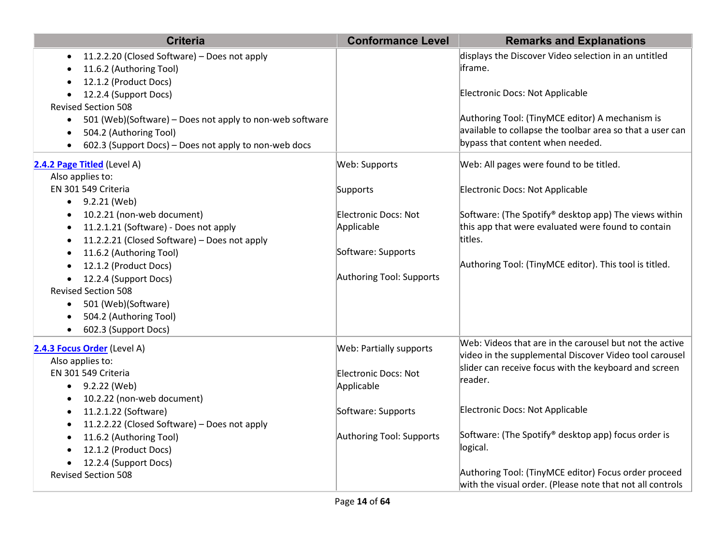| <b>Criteria</b>                                                       | <b>Conformance Level</b>    | <b>Remarks and Explanations</b>                                                                                   |
|-----------------------------------------------------------------------|-----------------------------|-------------------------------------------------------------------------------------------------------------------|
| 11.2.2.20 (Closed Software) - Does not apply                          |                             | displays the Discover Video selection in an untitled                                                              |
| 11.6.2 (Authoring Tool)                                               |                             | iframe.                                                                                                           |
| 12.1.2 (Product Docs)                                                 |                             |                                                                                                                   |
| 12.2.4 (Support Docs)                                                 |                             | Electronic Docs: Not Applicable                                                                                   |
| <b>Revised Section 508</b>                                            |                             |                                                                                                                   |
| 501 (Web)(Software) - Does not apply to non-web software<br>$\bullet$ |                             | Authoring Tool: (TinyMCE editor) A mechanism is                                                                   |
| 504.2 (Authoring Tool)                                                |                             | available to collapse the toolbar area so that a user can                                                         |
| 602.3 (Support Docs) - Does not apply to non-web docs                 |                             | bypass that content when needed.                                                                                  |
| 2.4.2 Page Titled (Level A)                                           | Web: Supports               | Web: All pages were found to be titled.                                                                           |
| Also applies to:                                                      |                             |                                                                                                                   |
| EN 301 549 Criteria                                                   | Supports                    | Electronic Docs: Not Applicable                                                                                   |
| $-9.2.21$ (Web)                                                       |                             |                                                                                                                   |
| 10.2.21 (non-web document)<br>$\bullet$                               | <b>Electronic Docs: Not</b> | Software: (The Spotify® desktop app) The views within                                                             |
| 11.2.1.21 (Software) - Does not apply<br>$\bullet$                    | Applicable                  | this app that were evaluated were found to contain                                                                |
| 11.2.2.21 (Closed Software) - Does not apply                          |                             | titles.                                                                                                           |
| 11.6.2 (Authoring Tool)                                               | Software: Supports          |                                                                                                                   |
| 12.1.2 (Product Docs)                                                 |                             | Authoring Tool: (TinyMCE editor). This tool is titled.                                                            |
| 12.2.4 (Support Docs)                                                 | Authoring Tool: Supports    |                                                                                                                   |
| <b>Revised Section 508</b>                                            |                             |                                                                                                                   |
| 501 (Web)(Software)<br>$\bullet$                                      |                             |                                                                                                                   |
| 504.2 (Authoring Tool)                                                |                             |                                                                                                                   |
| 602.3 (Support Docs)<br>$\bullet$                                     |                             |                                                                                                                   |
| 2.4.3 Focus Order (Level A)                                           | Web: Partially supports     | Web: Videos that are in the carousel but not the active                                                           |
| Also applies to:                                                      |                             | video in the supplemental Discover Video tool carousel                                                            |
| EN 301 549 Criteria                                                   | Electronic Docs: Not        | slider can receive focus with the keyboard and screen                                                             |
| $-9.2.22$ (Web)                                                       | Applicable                  | reader.                                                                                                           |
| 10.2.22 (non-web document)<br>$\bullet$                               |                             |                                                                                                                   |
| 11.2.1.22 (Software)<br>$\bullet$                                     | Software: Supports          | Electronic Docs: Not Applicable                                                                                   |
| 11.2.2.22 (Closed Software) - Does not apply                          |                             |                                                                                                                   |
| 11.6.2 (Authoring Tool)                                               | Authoring Tool: Supports    | Software: (The Spotify® desktop app) focus order is                                                               |
| 12.1.2 (Product Docs)                                                 |                             | logical.                                                                                                          |
| 12.2.4 (Support Docs)                                                 |                             |                                                                                                                   |
| <b>Revised Section 508</b>                                            |                             | Authoring Tool: (TinyMCE editor) Focus order proceed<br>with the visual order. (Please note that not all controls |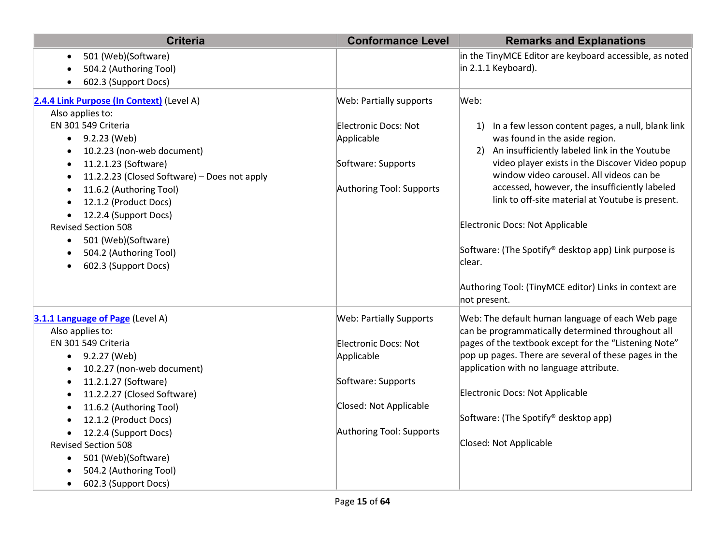| <b>Criteria</b>                                                                                                                                                                                                                                                                                                                                                                                                           | <b>Conformance Level</b>                                                                                                                         | <b>Remarks and Explanations</b>                                                                                                                                                                                                                                                                                                                                                                                                                                                                                                     |
|---------------------------------------------------------------------------------------------------------------------------------------------------------------------------------------------------------------------------------------------------------------------------------------------------------------------------------------------------------------------------------------------------------------------------|--------------------------------------------------------------------------------------------------------------------------------------------------|-------------------------------------------------------------------------------------------------------------------------------------------------------------------------------------------------------------------------------------------------------------------------------------------------------------------------------------------------------------------------------------------------------------------------------------------------------------------------------------------------------------------------------------|
| 501 (Web)(Software)<br>$\bullet$<br>504.2 (Authoring Tool)                                                                                                                                                                                                                                                                                                                                                                |                                                                                                                                                  | in the TinyMCE Editor are keyboard accessible, as noted<br>in 2.1.1 Keyboard).                                                                                                                                                                                                                                                                                                                                                                                                                                                      |
| 602.3 (Support Docs)                                                                                                                                                                                                                                                                                                                                                                                                      |                                                                                                                                                  |                                                                                                                                                                                                                                                                                                                                                                                                                                                                                                                                     |
| 2.4.4 Link Purpose (In Context) (Level A)                                                                                                                                                                                                                                                                                                                                                                                 | Web: Partially supports                                                                                                                          | Web:                                                                                                                                                                                                                                                                                                                                                                                                                                                                                                                                |
| Also applies to:<br>EN 301 549 Criteria<br>$\bullet$ 9.2.23 (Web)<br>10.2.23 (non-web document)<br>٠<br>11.2.1.23 (Software)<br>$\bullet$<br>11.2.2.23 (Closed Software) - Does not apply<br>$\bullet$<br>11.6.2 (Authoring Tool)<br>$\bullet$<br>12.1.2 (Product Docs)<br>12.2.4 (Support Docs)<br><b>Revised Section 508</b><br>501 (Web)(Software)<br>$\bullet$<br>504.2 (Authoring Tool)<br>602.3 (Support Docs)<br>٠ | Electronic Docs: Not<br>Applicable<br>Software: Supports<br>Authoring Tool: Supports                                                             | In a few lesson content pages, a null, blank link<br>1)<br>was found in the aside region.<br>An insufficiently labeled link in the Youtube<br>2)<br>video player exists in the Discover Video popup<br>window video carousel. All videos can be<br>accessed, however, the insufficiently labeled<br>link to off-site material at Youtube is present.<br>Electronic Docs: Not Applicable<br>Software: (The Spotify® desktop app) Link purpose is<br>lclear.<br>Authoring Tool: (TinyMCE editor) Links in context are<br>not present. |
| 3.1.1 Language of Page (Level A)<br>Also applies to:<br>EN 301 549 Criteria<br>$-9.2.27$ (Web)<br>10.2.27 (non-web document)<br>11.2.1.27 (Software)<br>11.2.2.27 (Closed Software)<br>11.6.2 (Authoring Tool)<br>12.1.2 (Product Docs)<br>12.2.4 (Support Docs)<br><b>Revised Section 508</b><br>501 (Web)(Software)<br>$\bullet$<br>504.2 (Authoring Tool)<br>602.3 (Support Docs)<br>$\bullet$                         | <b>Web: Partially Supports</b><br>Electronic Docs: Not<br>Applicable<br>Software: Supports<br>Closed: Not Applicable<br>Authoring Tool: Supports | Web: The default human language of each Web page<br>can be programmatically determined throughout all<br>pages of the textbook except for the "Listening Note"<br>pop up pages. There are several of these pages in the<br>application with no language attribute.<br>Electronic Docs: Not Applicable<br>Software: (The Spotify <sup>®</sup> desktop app)<br>Closed: Not Applicable                                                                                                                                                 |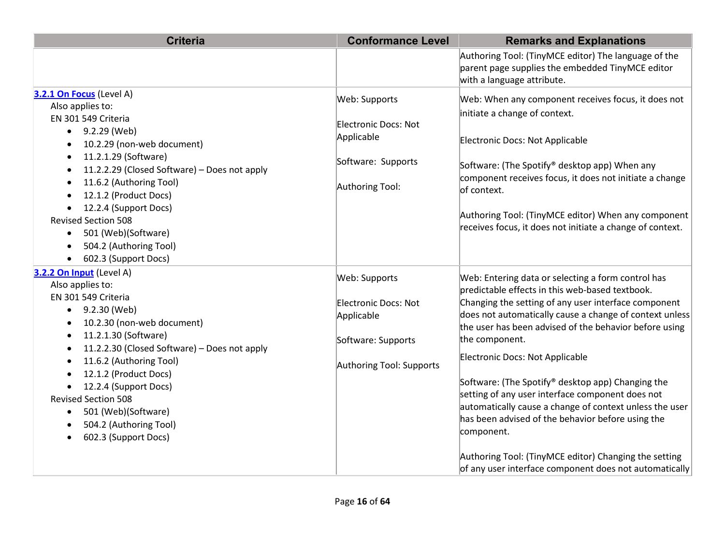| <b>Criteria</b>                                                                                                                                                                                                                                                                                                                                                                                         | <b>Conformance Level</b>                                                                              | <b>Remarks and Explanations</b>                                                                                                                                                                                                                                                                                                                                                                                                                                                                                                                                                                                                                                                                   |
|---------------------------------------------------------------------------------------------------------------------------------------------------------------------------------------------------------------------------------------------------------------------------------------------------------------------------------------------------------------------------------------------------------|-------------------------------------------------------------------------------------------------------|---------------------------------------------------------------------------------------------------------------------------------------------------------------------------------------------------------------------------------------------------------------------------------------------------------------------------------------------------------------------------------------------------------------------------------------------------------------------------------------------------------------------------------------------------------------------------------------------------------------------------------------------------------------------------------------------------|
|                                                                                                                                                                                                                                                                                                                                                                                                         |                                                                                                       | Authoring Tool: (TinyMCE editor) The language of the<br>parent page supplies the embedded TinyMCE editor<br>with a language attribute.                                                                                                                                                                                                                                                                                                                                                                                                                                                                                                                                                            |
| 3.2.1 On Focus (Level A)<br>Also applies to:<br>EN 301 549 Criteria<br>$-9.2.29$ (Web)<br>10.2.29 (non-web document)<br>11.2.1.29 (Software)<br>11.2.2.29 (Closed Software) - Does not apply<br>11.6.2 (Authoring Tool)<br>12.1.2 (Product Docs)<br>12.2.4 (Support Docs)<br><b>Revised Section 508</b><br>501 (Web)(Software)<br>504.2 (Authoring Tool)<br>602.3 (Support Docs)                        | Web: Supports<br>Electronic Docs: Not<br>Applicable<br>Software: Supports<br>Authoring Tool:          | Web: When any component receives focus, it does not<br>initiate a change of context.<br>Electronic Docs: Not Applicable<br>Software: (The Spotify® desktop app) When any<br>component receives focus, it does not initiate a change<br>of context.<br>Authoring Tool: (TinyMCE editor) When any component<br>receives focus, it does not initiate a change of context.                                                                                                                                                                                                                                                                                                                            |
| 3.2.2 On Input (Level A)<br>Also applies to:<br>EN 301 549 Criteria<br>9.2.30 (Web)<br>$\bullet$<br>10.2.30 (non-web document)<br>11.2.1.30 (Software)<br>11.2.2.30 (Closed Software) - Does not apply<br>11.6.2 (Authoring Tool)<br>$\bullet$<br>12.1.2 (Product Docs)<br>12.2.4 (Support Docs)<br><b>Revised Section 508</b><br>501 (Web)(Software)<br>504.2 (Authoring Tool)<br>602.3 (Support Docs) | Web: Supports<br>Electronic Docs: Not<br>Applicable<br>Software: Supports<br>Authoring Tool: Supports | Web: Entering data or selecting a form control has<br>predictable effects in this web-based textbook.<br>Changing the setting of any user interface component<br>does not automatically cause a change of context unless<br>the user has been advised of the behavior before using<br>the component.<br>Electronic Docs: Not Applicable<br>Software: (The Spotify® desktop app) Changing the<br>setting of any user interface component does not<br>automatically cause a change of context unless the user<br>has been advised of the behavior before using the<br>component.<br>Authoring Tool: (TinyMCE editor) Changing the setting<br>of any user interface component does not automatically |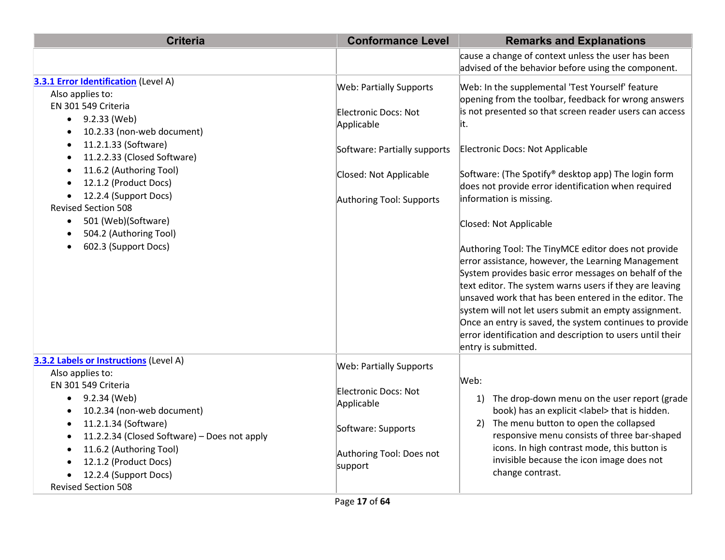| <b>Criteria</b>                                                                                                                                                                                                                                                                                                                                                                                                                                                          | <b>Conformance Level</b>                                                                                                                                   | <b>Remarks and Explanations</b>                                                                                                                                                                                                                                                                                                                                                                                                                                                                                                                                                                                                                                                                                                                                                                                                                                                     |
|--------------------------------------------------------------------------------------------------------------------------------------------------------------------------------------------------------------------------------------------------------------------------------------------------------------------------------------------------------------------------------------------------------------------------------------------------------------------------|------------------------------------------------------------------------------------------------------------------------------------------------------------|-------------------------------------------------------------------------------------------------------------------------------------------------------------------------------------------------------------------------------------------------------------------------------------------------------------------------------------------------------------------------------------------------------------------------------------------------------------------------------------------------------------------------------------------------------------------------------------------------------------------------------------------------------------------------------------------------------------------------------------------------------------------------------------------------------------------------------------------------------------------------------------|
|                                                                                                                                                                                                                                                                                                                                                                                                                                                                          |                                                                                                                                                            | cause a change of context unless the user has been<br>advised of the behavior before using the component.                                                                                                                                                                                                                                                                                                                                                                                                                                                                                                                                                                                                                                                                                                                                                                           |
| 3.3.1 Error Identification (Level A)<br>Also applies to:<br>EN 301 549 Criteria<br>9.2.33 (Web)<br>$\bullet$<br>10.2.33 (non-web document)<br>11.2.1.33 (Software)<br>٠<br>11.2.2.33 (Closed Software)<br>$\bullet$<br>11.6.2 (Authoring Tool)<br>$\bullet$<br>12.1.2 (Product Docs)<br>$\bullet$<br>12.2.4 (Support Docs)<br><b>Revised Section 508</b><br>501 (Web)(Software)<br>$\bullet$<br>504.2 (Authoring Tool)<br>$\bullet$<br>602.3 (Support Docs)<br>$\bullet$ | <b>Web: Partially Supports</b><br>Electronic Docs: Not<br>Applicable<br>Software: Partially supports<br>Closed: Not Applicable<br>Authoring Tool: Supports | Web: In the supplemental 'Test Yourself' feature<br>opening from the toolbar, feedback for wrong answers<br>is not presented so that screen reader users can access<br>lit.<br>Electronic Docs: Not Applicable<br>Software: (The Spotify® desktop app) The login form<br>does not provide error identification when required<br>information is missing.<br>Closed: Not Applicable<br>Authoring Tool: The TinyMCE editor does not provide<br>error assistance, however, the Learning Management<br>System provides basic error messages on behalf of the<br>text editor. The system warns users if they are leaving<br>unsaved work that has been entered in the editor. The<br>system will not let users submit an empty assignment.<br>Once an entry is saved, the system continues to provide<br>error identification and description to users until their<br>entry is submitted. |
| 3.3.2 Labels or Instructions (Level A)<br>Also applies to:<br>EN 301 549 Criteria<br>9.2.34 (Web)<br>$\bullet$<br>10.2.34 (non-web document)<br>$\bullet$<br>11.2.1.34 (Software)<br>$\bullet$<br>11.2.2.34 (Closed Software) - Does not apply<br>٠<br>11.6.2 (Authoring Tool)<br>$\bullet$<br>12.1.2 (Product Docs)<br>12.2.4 (Support Docs)<br><b>Revised Section 508</b>                                                                                              | <b>Web: Partially Supports</b><br>Electronic Docs: Not<br>Applicable<br>Software: Supports<br>Authoring Tool: Does not<br>support                          | Web:<br>The drop-down menu on the user report (grade<br>1)<br>book) has an explicit <label> that is hidden.<br/>The menu button to open the collapsed<br/>2)<br/>responsive menu consists of three bar-shaped<br/>icons. In high contrast mode, this button is<br/>invisible because the icon image does not<br/>change contrast.</label>                                                                                                                                                                                                                                                                                                                                                                                                                                                                                                                                           |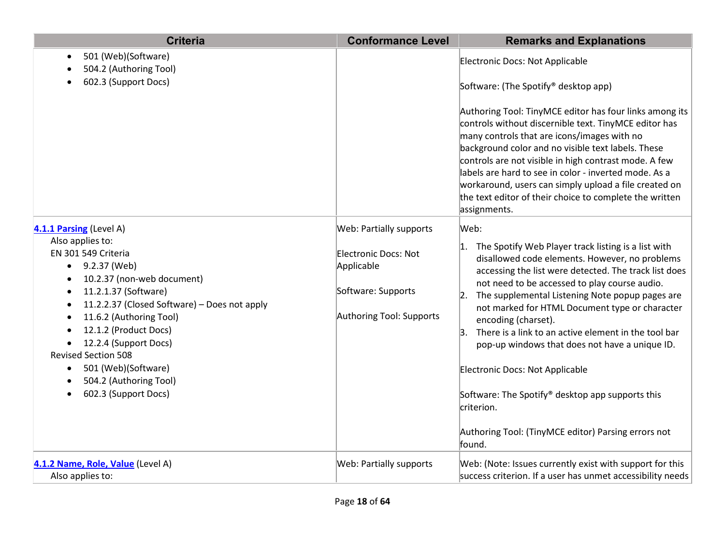| <b>Criteria</b>                                                                                                                                                                                                                                                                                                                                                                                                               | <b>Conformance Level</b>                                                                                               | <b>Remarks and Explanations</b>                                                                                                                                                                                                                                                                                                                                                                                                                                                                                                                                                                                                                             |
|-------------------------------------------------------------------------------------------------------------------------------------------------------------------------------------------------------------------------------------------------------------------------------------------------------------------------------------------------------------------------------------------------------------------------------|------------------------------------------------------------------------------------------------------------------------|-------------------------------------------------------------------------------------------------------------------------------------------------------------------------------------------------------------------------------------------------------------------------------------------------------------------------------------------------------------------------------------------------------------------------------------------------------------------------------------------------------------------------------------------------------------------------------------------------------------------------------------------------------------|
| 501 (Web)(Software)<br>$\bullet$<br>504.2 (Authoring Tool)<br>602.3 (Support Docs)                                                                                                                                                                                                                                                                                                                                            |                                                                                                                        | Electronic Docs: Not Applicable<br>Software: (The Spotify® desktop app)<br>Authoring Tool: TinyMCE editor has four links among its<br>controls without discernible text. TinyMCE editor has<br>many controls that are icons/images with no<br>background color and no visible text labels. These<br>controls are not visible in high contrast mode. A few<br>labels are hard to see in color - inverted mode. As a<br>workaround, users can simply upload a file created on<br>the text editor of their choice to complete the written<br>assignments.                                                                                                      |
| 4.1.1 Parsing (Level A)<br>Also applies to:<br>EN 301 549 Criteria<br>9.2.37 (Web)<br>10.2.37 (non-web document)<br>11.2.1.37 (Software)<br>$\bullet$<br>11.2.2.37 (Closed Software) - Does not apply<br>11.6.2 (Authoring Tool)<br>$\bullet$<br>12.1.2 (Product Docs)<br>$\bullet$<br>12.2.4 (Support Docs)<br><b>Revised Section 508</b><br>501 (Web)(Software)<br>٠<br>504.2 (Authoring Tool)<br>602.3 (Support Docs)<br>٠ | Web: Partially supports<br><b>Electronic Docs: Not</b><br>Applicable<br>Software: Supports<br>Authoring Tool: Supports | Web:<br>$\vert$ 1. The Spotify Web Player track listing is a list with<br>disallowed code elements. However, no problems<br>accessing the list were detected. The track list does<br>not need to be accessed to play course audio.<br>The supplemental Listening Note popup pages are<br> 2.<br>not marked for HTML Document type or character<br>encoding (charset).<br>There is a link to an active element in the tool bar<br>3.<br>pop-up windows that does not have a unique ID.<br>Electronic Docs: Not Applicable<br>Software: The Spotify® desktop app supports this<br>criterion.<br>Authoring Tool: (TinyMCE editor) Parsing errors not<br>found. |
| 4.1.2 Name, Role, Value (Level A)<br>Also applies to:                                                                                                                                                                                                                                                                                                                                                                         | Web: Partially supports                                                                                                | Web: (Note: Issues currently exist with support for this<br>success criterion. If a user has unmet accessibility needs                                                                                                                                                                                                                                                                                                                                                                                                                                                                                                                                      |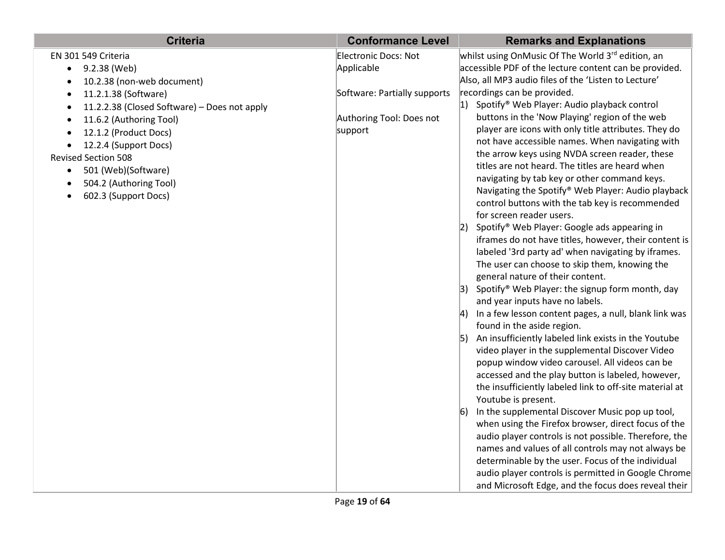| <b>Criteria</b>                              | <b>Conformance Level</b>     | <b>Remarks and Explanations</b>                                                                             |
|----------------------------------------------|------------------------------|-------------------------------------------------------------------------------------------------------------|
| EN 301 549 Criteria                          | Electronic Docs: Not         | whilst using OnMusic Of The World 3rd edition, an                                                           |
| 9.2.38 (Web)                                 | Applicable                   | accessible PDF of the lecture content can be provided.                                                      |
| 10.2.38 (non-web document)                   |                              | Also, all MP3 audio files of the 'Listen to Lecture'                                                        |
| 11.2.1.38 (Software)                         | Software: Partially supports | recordings can be provided.                                                                                 |
| 11.2.2.38 (Closed Software) - Does not apply |                              | 1) Spotify <sup>®</sup> Web Player: Audio playback control                                                  |
| 11.6.2 (Authoring Tool)                      | Authoring Tool: Does not     | buttons in the 'Now Playing' region of the web                                                              |
| 12.1.2 (Product Docs)                        | support                      | player are icons with only title attributes. They do                                                        |
| 12.2.4 (Support Docs)                        |                              | not have accessible names. When navigating with                                                             |
| <b>Revised Section 508</b>                   |                              | the arrow keys using NVDA screen reader, these                                                              |
| 501 (Web)(Software)<br>$\bullet$             |                              | titles are not heard. The titles are heard when                                                             |
| 504.2 (Authoring Tool)                       |                              | navigating by tab key or other command keys.                                                                |
| 602.3 (Support Docs)                         |                              | Navigating the Spotify® Web Player: Audio playback<br>control buttons with the tab key is recommended       |
|                                              |                              | for screen reader users.                                                                                    |
|                                              |                              | 2) Spotify <sup>®</sup> Web Player: Google ads appearing in                                                 |
|                                              |                              | iframes do not have titles, however, their content is                                                       |
|                                              |                              | labeled '3rd party ad' when navigating by iframes.                                                          |
|                                              |                              | The user can choose to skip them, knowing the                                                               |
|                                              |                              | general nature of their content.                                                                            |
|                                              |                              | 3) Spotify <sup>®</sup> Web Player: the signup form month, day                                              |
|                                              |                              | and year inputs have no labels.                                                                             |
|                                              |                              | 4) In a few lesson content pages, a null, blank link was                                                    |
|                                              |                              | found in the aside region.                                                                                  |
|                                              |                              | 5) An insufficiently labeled link exists in the Youtube                                                     |
|                                              |                              | video player in the supplemental Discover Video                                                             |
|                                              |                              | popup window video carousel. All videos can be                                                              |
|                                              |                              | accessed and the play button is labeled, however,                                                           |
|                                              |                              | the insufficiently labeled link to off-site material at                                                     |
|                                              |                              | Youtube is present.                                                                                         |
|                                              |                              | In the supplemental Discover Music pop up tool,<br><sup>6)</sup>                                            |
|                                              |                              | when using the Firefox browser, direct focus of the                                                         |
|                                              |                              | audio player controls is not possible. Therefore, the<br>names and values of all controls may not always be |
|                                              |                              | determinable by the user. Focus of the individual                                                           |
|                                              |                              | audio player controls is permitted in Google Chrome                                                         |
|                                              |                              | and Microsoft Edge, and the focus does reveal their                                                         |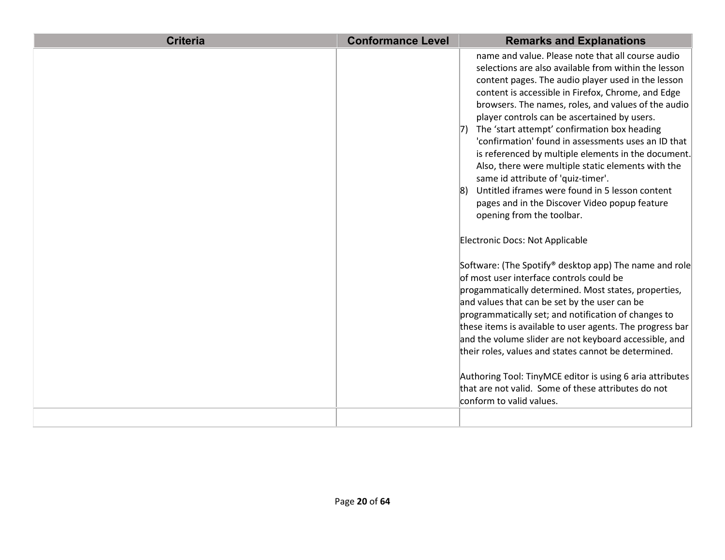| <b>Criteria</b> | <b>Conformance Level</b> | <b>Remarks and Explanations</b>                                                                                                                                                                                                                                                                                                                                                                                                                                                                                                                                                                                                                                                                                            |
|-----------------|--------------------------|----------------------------------------------------------------------------------------------------------------------------------------------------------------------------------------------------------------------------------------------------------------------------------------------------------------------------------------------------------------------------------------------------------------------------------------------------------------------------------------------------------------------------------------------------------------------------------------------------------------------------------------------------------------------------------------------------------------------------|
|                 |                          | name and value. Please note that all course audio<br>selections are also available from within the lesson<br>content pages. The audio player used in the lesson<br>content is accessible in Firefox, Chrome, and Edge<br>browsers. The names, roles, and values of the audio<br>player controls can be ascertained by users.<br>7) The 'start attempt' confirmation box heading<br>'confirmation' found in assessments uses an ID that<br>is referenced by multiple elements in the document.<br>Also, there were multiple static elements with the<br>same id attribute of 'quiz-timer'.<br>Untitled iframes were found in 5 lesson content<br>pages and in the Discover Video popup feature<br>opening from the toolbar. |
|                 |                          | Electronic Docs: Not Applicable<br>Software: (The Spotify® desktop app) The name and role<br>of most user interface controls could be<br>progammatically determined. Most states, properties,<br>and values that can be set by the user can be<br>programmatically set; and notification of changes to<br>these items is available to user agents. The progress bar<br>and the volume slider are not keyboard accessible, and<br>their roles, values and states cannot be determined.<br>Authoring Tool: TinyMCE editor is using 6 aria attributes<br>that are not valid. Some of these attributes do not<br>conform to valid values.                                                                                      |
|                 |                          |                                                                                                                                                                                                                                                                                                                                                                                                                                                                                                                                                                                                                                                                                                                            |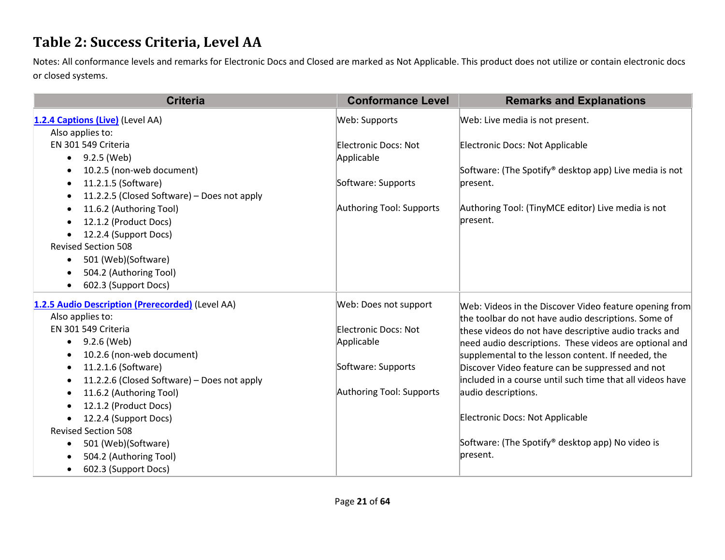### **Table 2: Success Criteria, Level AA**

Notes: All conformance levels and remarks for Electronic Docs and Closed are marked as Not Applicable. This product does not utilize or contain electronic docs or closed systems.

| <b>Criteria</b>                                  | <b>Conformance Level</b> | <b>Remarks and Explanations</b>                                    |
|--------------------------------------------------|--------------------------|--------------------------------------------------------------------|
| 1.2.4 Captions (Live) (Level AA)                 | Web: Supports            | Web: Live media is not present.                                    |
| Also applies to:                                 |                          |                                                                    |
| EN 301 549 Criteria                              | Electronic Docs: Not     | Electronic Docs: Not Applicable                                    |
| 9.2.5 (Web)<br>$\bullet$                         | Applicable               |                                                                    |
| 10.2.5 (non-web document)                        |                          | Software: (The Spotify <sup>®</sup> desktop app) Live media is not |
| 11.2.1.5 (Software)                              | Software: Supports       | present.                                                           |
| 11.2.2.5 (Closed Software) - Does not apply      |                          |                                                                    |
| 11.6.2 (Authoring Tool)                          | Authoring Tool: Supports | Authoring Tool: (TinyMCE editor) Live media is not                 |
| 12.1.2 (Product Docs)                            |                          | present.                                                           |
| 12.2.4 (Support Docs)                            |                          |                                                                    |
| <b>Revised Section 508</b>                       |                          |                                                                    |
| 501 (Web)(Software)<br>$\bullet$                 |                          |                                                                    |
| 504.2 (Authoring Tool)                           |                          |                                                                    |
| 602.3 (Support Docs)                             |                          |                                                                    |
| 1.2.5 Audio Description (Prerecorded) (Level AA) | Web: Does not support    | Web: Videos in the Discover Video feature opening from             |
| Also applies to:                                 |                          | the toolbar do not have audio descriptions. Some of                |
| EN 301 549 Criteria                              | Electronic Docs: Not     | these videos do not have descriptive audio tracks and              |
| 9.2.6 (Web)<br>$\bullet$                         | Applicable               | need audio descriptions. These videos are optional and             |
| 10.2.6 (non-web document)                        |                          | supplemental to the lesson content. If needed, the                 |
| 11.2.1.6 (Software)                              | Software: Supports       | Discover Video feature can be suppressed and not                   |
| 11.2.2.6 (Closed Software) - Does not apply      |                          | included in a course until such time that all videos have          |
| 11.6.2 (Authoring Tool)                          | Authoring Tool: Supports | audio descriptions.                                                |
| 12.1.2 (Product Docs)                            |                          |                                                                    |
| 12.2.4 (Support Docs)                            |                          | Electronic Docs: Not Applicable                                    |
| <b>Revised Section 508</b>                       |                          |                                                                    |
| 501 (Web)(Software)<br>$\bullet$                 |                          | Software: (The Spotify® desktop app) No video is                   |
| 504.2 (Authoring Tool)                           |                          | present.                                                           |
| 602.3 (Support Docs)<br>$\bullet$                |                          |                                                                    |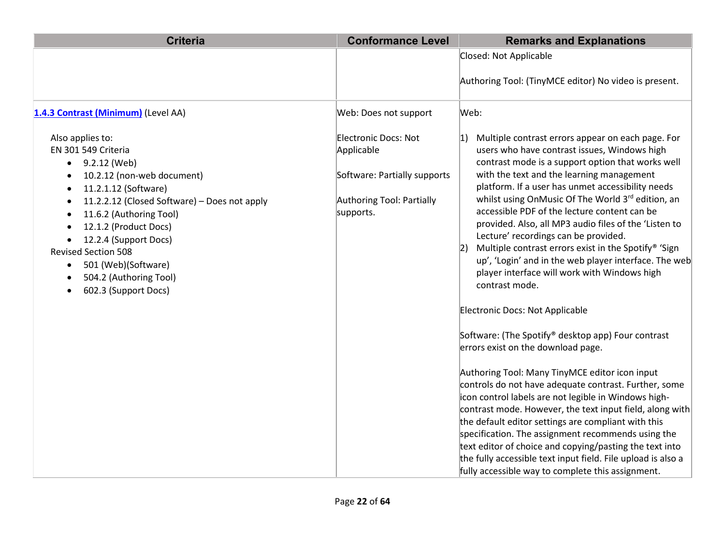| <b>Criteria</b>                                                                                                                                                                                                                                                                                                                                                                                                                 | <b>Conformance Level</b>                                                                                     | <b>Remarks and Explanations</b>                                                                                                                                                                                                                                                                                                                                                                                                                                                                                                                                                                                                                                                                                                                                                                                                                                                                                                                                                                                                                                                                                                                                                                                                                                                                                             |
|---------------------------------------------------------------------------------------------------------------------------------------------------------------------------------------------------------------------------------------------------------------------------------------------------------------------------------------------------------------------------------------------------------------------------------|--------------------------------------------------------------------------------------------------------------|-----------------------------------------------------------------------------------------------------------------------------------------------------------------------------------------------------------------------------------------------------------------------------------------------------------------------------------------------------------------------------------------------------------------------------------------------------------------------------------------------------------------------------------------------------------------------------------------------------------------------------------------------------------------------------------------------------------------------------------------------------------------------------------------------------------------------------------------------------------------------------------------------------------------------------------------------------------------------------------------------------------------------------------------------------------------------------------------------------------------------------------------------------------------------------------------------------------------------------------------------------------------------------------------------------------------------------|
|                                                                                                                                                                                                                                                                                                                                                                                                                                 |                                                                                                              | Closed: Not Applicable<br>Authoring Tool: (TinyMCE editor) No video is present.                                                                                                                                                                                                                                                                                                                                                                                                                                                                                                                                                                                                                                                                                                                                                                                                                                                                                                                                                                                                                                                                                                                                                                                                                                             |
| 1.4.3 Contrast (Minimum) (Level AA)                                                                                                                                                                                                                                                                                                                                                                                             | Web: Does not support                                                                                        | Web:                                                                                                                                                                                                                                                                                                                                                                                                                                                                                                                                                                                                                                                                                                                                                                                                                                                                                                                                                                                                                                                                                                                                                                                                                                                                                                                        |
| Also applies to:<br>EN 301 549 Criteria<br>9.2.12 (Web)<br>$\bullet$<br>10.2.12 (non-web document)<br>11.2.1.12 (Software)<br>$\bullet$<br>11.2.2.12 (Closed Software) - Does not apply<br>$\bullet$<br>11.6.2 (Authoring Tool)<br>$\bullet$<br>12.1.2 (Product Docs)<br>12.2.4 (Support Docs)<br><b>Revised Section 508</b><br>501 (Web)(Software)<br>$\bullet$<br>504.2 (Authoring Tool)<br>$\bullet$<br>602.3 (Support Docs) | Electronic Docs: Not<br>Applicable<br>Software: Partially supports<br>Authoring Tool: Partially<br>supports. | Multiple contrast errors appear on each page. For<br>$ 1\rangle$<br>users who have contrast issues, Windows high<br>contrast mode is a support option that works well<br>with the text and the learning management<br>platform. If a user has unmet accessibility needs<br>whilst using OnMusic Of The World 3rd edition, an<br>accessible PDF of the lecture content can be<br>provided. Also, all MP3 audio files of the 'Listen to<br>Lecture' recordings can be provided.<br>Multiple contrast errors exist in the Spotify® 'Sign<br>up', 'Login' and in the web player interface. The web<br>player interface will work with Windows high<br>contrast mode.<br>Electronic Docs: Not Applicable<br>Software: (The Spotify® desktop app) Four contrast<br>errors exist on the download page.<br>Authoring Tool: Many TinyMCE editor icon input<br>controls do not have adequate contrast. Further, some<br>icon control labels are not legible in Windows high-<br>contrast mode. However, the text input field, along with<br>the default editor settings are compliant with this<br>specification. The assignment recommends using the<br>text editor of choice and copying/pasting the text into<br>the fully accessible text input field. File upload is also a<br>fully accessible way to complete this assignment. |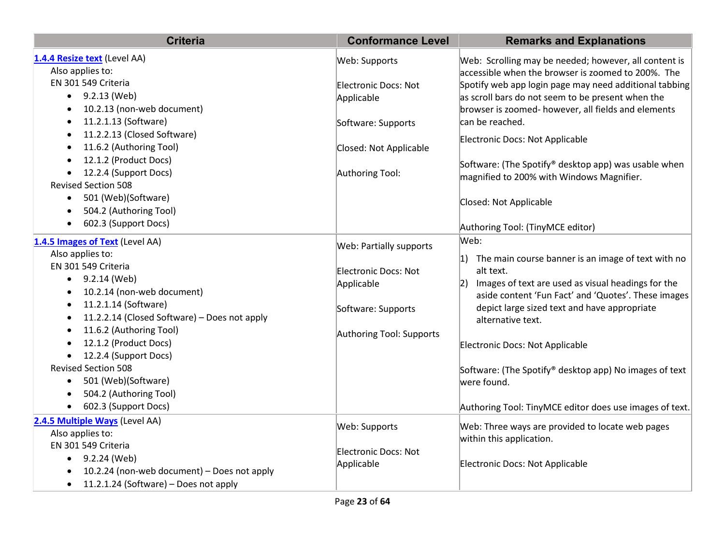| <b>Criteria</b>                                           | <b>Conformance Level</b>    | <b>Remarks and Explanations</b>                          |
|-----------------------------------------------------------|-----------------------------|----------------------------------------------------------|
| 1.4.4 Resize text (Level AA)                              | Web: Supports               | Web: Scrolling may be needed; however, all content is    |
| Also applies to:                                          |                             | accessible when the browser is zoomed to 200%. The       |
| EN 301 549 Criteria                                       | Electronic Docs: Not        | Spotify web app login page may need additional tabbing   |
| 9.2.13 (Web)<br>$\bullet$                                 | Applicable                  | as scroll bars do not seem to be present when the        |
| 10.2.13 (non-web document)                                |                             | browser is zoomed- however, all fields and elements      |
| 11.2.1.13 (Software)<br>$\bullet$                         | Software: Supports          | can be reached.                                          |
| 11.2.2.13 (Closed Software)<br>$\bullet$                  |                             | Electronic Docs: Not Applicable                          |
| 11.6.2 (Authoring Tool)                                   | Closed: Not Applicable      |                                                          |
| 12.1.2 (Product Docs)                                     |                             | Software: (The Spotify® desktop app) was usable when     |
| 12.2.4 (Support Docs)                                     | Authoring Tool:             | magnified to 200% with Windows Magnifier.                |
| <b>Revised Section 508</b>                                |                             |                                                          |
| 501 (Web)(Software)                                       |                             | Closed: Not Applicable                                   |
| 504.2 (Authoring Tool)                                    |                             |                                                          |
| 602.3 (Support Docs)                                      |                             | Authoring Tool: (TinyMCE editor)                         |
|                                                           |                             | Web:                                                     |
| 1.4.5 Images of Text (Level AA)<br>Also applies to:       | Web: Partially supports     |                                                          |
| EN 301 549 Criteria                                       |                             | 1) The main course banner is an image of text with no    |
| 9.2.14 (Web)<br>٠                                         | Electronic Docs: Not        | alt text.                                                |
| 10.2.14 (non-web document)                                | Applicable                  | $ 2)$ Images of text are used as visual headings for the |
|                                                           |                             | aside content 'Fun Fact' and 'Quotes'. These images      |
| 11.2.1.14 (Software)<br>$\bullet$                         | Software: Supports          | depict large sized text and have appropriate             |
| 11.2.2.14 (Closed Software) - Does not apply<br>$\bullet$ |                             | alternative text.                                        |
| 11.6.2 (Authoring Tool)<br>$\bullet$                      | Authoring Tool: Supports    |                                                          |
| 12.1.2 (Product Docs)                                     |                             | Electronic Docs: Not Applicable                          |
| 12.2.4 (Support Docs)                                     |                             |                                                          |
| <b>Revised Section 508</b>                                |                             | Software: (The Spotify® desktop app) No images of text   |
| 501 (Web)(Software)<br>$\bullet$                          |                             | were found.                                              |
| 504.2 (Authoring Tool)                                    |                             |                                                          |
| 602.3 (Support Docs)                                      |                             | Authoring Tool: TinyMCE editor does use images of text.  |
| 2.4.5 Multiple Ways (Level AA)                            | Web: Supports               | Web: Three ways are provided to locate web pages         |
| Also applies to:                                          |                             | within this application.                                 |
| EN 301 549 Criteria                                       | <b>Electronic Docs: Not</b> |                                                          |
| 9.2.24 (Web)<br>$\bullet$                                 | Applicable                  | Electronic Docs: Not Applicable                          |
| 10.2.24 (non-web document) - Does not apply               |                             |                                                          |
| 11.2.1.24 (Software) - Does not apply<br>$\bullet$        |                             |                                                          |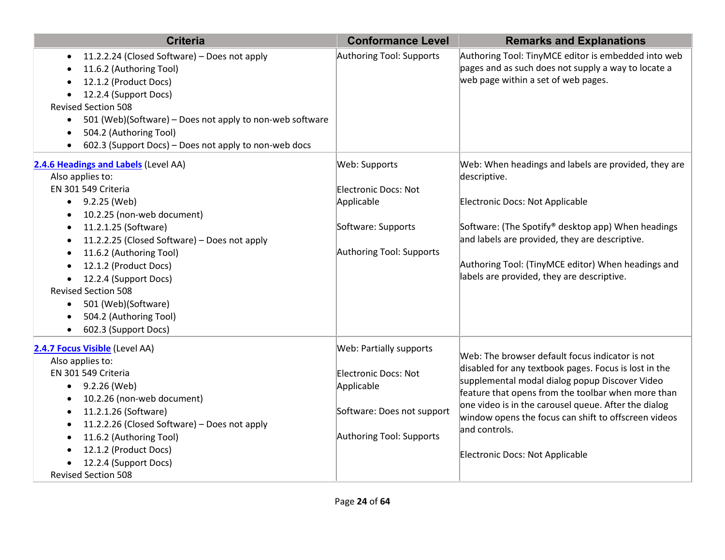| <b>Criteria</b>                                                                                                                                                                                                                                                                                                                                                                                                                            | <b>Conformance Level</b>                                                                                                       | <b>Remarks and Explanations</b>                                                                                                                                                                                                                                                                                                                                                      |
|--------------------------------------------------------------------------------------------------------------------------------------------------------------------------------------------------------------------------------------------------------------------------------------------------------------------------------------------------------------------------------------------------------------------------------------------|--------------------------------------------------------------------------------------------------------------------------------|--------------------------------------------------------------------------------------------------------------------------------------------------------------------------------------------------------------------------------------------------------------------------------------------------------------------------------------------------------------------------------------|
| 11.2.2.24 (Closed Software) - Does not apply<br>11.6.2 (Authoring Tool)<br>12.1.2 (Product Docs)<br>12.2.4 (Support Docs)<br><b>Revised Section 508</b><br>501 (Web)(Software) - Does not apply to non-web software<br>$\bullet$<br>504.2 (Authoring Tool)<br>602.3 (Support Docs) - Does not apply to non-web docs                                                                                                                        | Authoring Tool: Supports                                                                                                       | Authoring Tool: TinyMCE editor is embedded into web<br>pages and as such does not supply a way to locate a<br>web page within a set of web pages.                                                                                                                                                                                                                                    |
| 2.4.6 Headings and Labels (Level AA)<br>Also applies to:<br>EN 301 549 Criteria<br>$\bullet$ 9.2.25 (Web)<br>10.2.25 (non-web document)<br>11.2.1.25 (Software)<br>$\bullet$<br>11.2.2.25 (Closed Software) - Does not apply<br>11.6.2 (Authoring Tool)<br>12.1.2 (Product Docs)<br>12.2.4 (Support Docs)<br><b>Revised Section 508</b><br>501 (Web)(Software)<br>$\bullet$<br>504.2 (Authoring Tool)<br>602.3 (Support Docs)<br>$\bullet$ | Web: Supports<br>Electronic Docs: Not<br>Applicable<br>Software: Supports<br>Authoring Tool: Supports                          | Web: When headings and labels are provided, they are<br>descriptive.<br>Electronic Docs: Not Applicable<br>Software: (The Spotify® desktop app) When headings<br>and labels are provided, they are descriptive.<br>Authoring Tool: (TinyMCE editor) When headings and<br>labels are provided, they are descriptive.                                                                  |
| 2.4.7 Focus Visible (Level AA)<br>Also applies to:<br>EN 301 549 Criteria<br>9.2.26 (Web)<br>$\bullet$<br>10.2.26 (non-web document)<br>11.2.1.26 (Software)<br>11.2.2.26 (Closed Software) - Does not apply<br>11.6.2 (Authoring Tool)<br>12.1.2 (Product Docs)<br>12.2.4 (Support Docs)<br><b>Revised Section 508</b>                                                                                                                    | <b>Web: Partially supports</b><br>Electronic Docs: Not<br>Applicable<br>Software: Does not support<br>Authoring Tool: Supports | Web: The browser default focus indicator is not<br>disabled for any textbook pages. Focus is lost in the<br>supplemental modal dialog popup Discover Video<br>feature that opens from the toolbar when more than<br>one video is in the carousel queue. After the dialog<br>window opens the focus can shift to offscreen videos<br>and controls.<br>Electronic Docs: Not Applicable |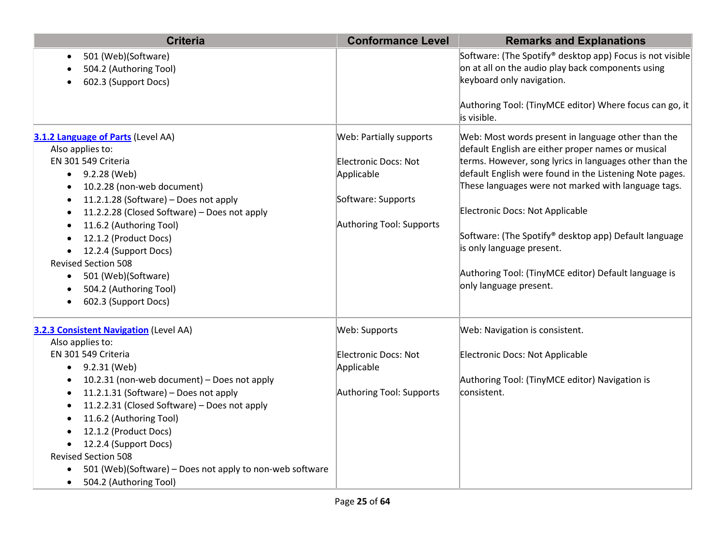| <b>Criteria</b>                                           | <b>Conformance Level</b> | <b>Remarks and Explanations</b>                           |
|-----------------------------------------------------------|--------------------------|-----------------------------------------------------------|
| 501 (Web)(Software)<br>$\bullet$                          |                          | Software: (The Spotify® desktop app) Focus is not visible |
| 504.2 (Authoring Tool)                                    |                          | on at all on the audio play back components using         |
| 602.3 (Support Docs)                                      |                          | keyboard only navigation.                                 |
|                                                           |                          | Authoring Tool: (TinyMCE editor) Where focus can go, it   |
|                                                           |                          | lis visible.                                              |
| 3.1.2 Language of Parts (Level AA)                        | Web: Partially supports  | Web: Most words present in language other than the        |
| Also applies to:                                          |                          | default English are either proper names or musical        |
| EN 301 549 Criteria                                       | Electronic Docs: Not     | terms. However, song lyrics in languages other than the   |
| 9.2.28 (Web)<br>$\bullet$                                 | Applicable               | default English were found in the Listening Note pages.   |
| 10.2.28 (non-web document)<br>$\bullet$                   |                          | These languages were not marked with language tags.       |
| 11.2.1.28 (Software) - Does not apply<br>$\bullet$        | Software: Supports       |                                                           |
| 11.2.2.28 (Closed Software) - Does not apply<br>$\bullet$ |                          | Electronic Docs: Not Applicable                           |
| 11.6.2 (Authoring Tool)<br>$\bullet$                      | Authoring Tool: Supports |                                                           |
| 12.1.2 (Product Docs)                                     |                          | Software: (The Spotify® desktop app) Default language     |
| 12.2.4 (Support Docs)                                     |                          | is only language present.                                 |
| <b>Revised Section 508</b>                                |                          |                                                           |
| 501 (Web)(Software)<br>$\bullet$                          |                          | Authoring Tool: (TinyMCE editor) Default language is      |
| 504.2 (Authoring Tool)                                    |                          | only language present.                                    |
| 602.3 (Support Docs)                                      |                          |                                                           |
| <b>3.2.3 Consistent Navigation</b> (Level AA)             | Web: Supports            | Web: Navigation is consistent.                            |
| Also applies to:                                          |                          |                                                           |
| EN 301 549 Criteria                                       | Electronic Docs: Not     | Electronic Docs: Not Applicable                           |
| 9.2.31 (Web)<br>$\bullet$                                 | Applicable               |                                                           |
| 10.2.31 (non-web document) - Does not apply<br>$\bullet$  |                          | Authoring Tool: (TinyMCE editor) Navigation is            |
| 11.2.1.31 (Software) - Does not apply<br>$\bullet$        | Authoring Tool: Supports | consistent.                                               |
| 11.2.2.31 (Closed Software) - Does not apply<br>$\bullet$ |                          |                                                           |
| 11.6.2 (Authoring Tool)<br>$\bullet$                      |                          |                                                           |
| 12.1.2 (Product Docs)                                     |                          |                                                           |
| 12.2.4 (Support Docs)<br>$\bullet$                        |                          |                                                           |
| <b>Revised Section 508</b>                                |                          |                                                           |
| 501 (Web)(Software) - Does not apply to non-web software  |                          |                                                           |
| 504.2 (Authoring Tool)<br>$\bullet$                       |                          |                                                           |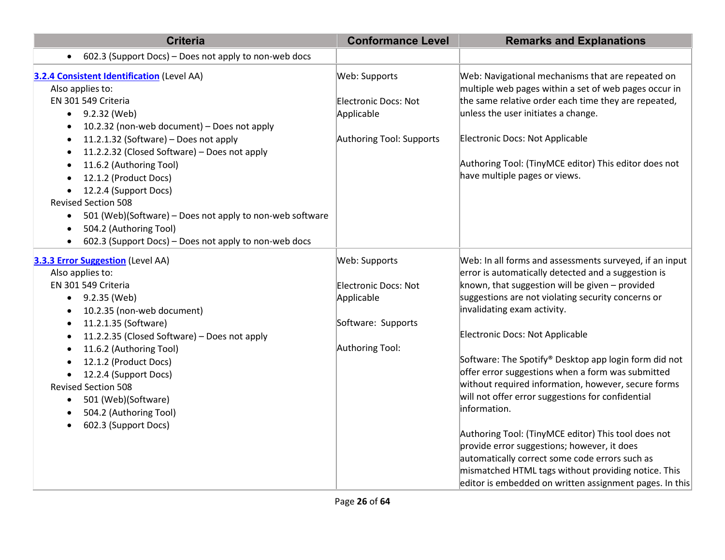| <b>Criteria</b>                                                                                   | <b>Conformance Level</b> | <b>Remarks and Explanations</b>                                                                            |
|---------------------------------------------------------------------------------------------------|--------------------------|------------------------------------------------------------------------------------------------------------|
| 602.3 (Support Docs) - Does not apply to non-web docs<br>$\bullet$                                |                          |                                                                                                            |
| <b>3.2.4 Consistent Identification (Level AA)</b><br>Also applies to:                             | Web: Supports            | Web: Navigational mechanisms that are repeated on<br>multiple web pages within a set of web pages occur in |
| EN 301 549 Criteria                                                                               | Electronic Docs: Not     | the same relative order each time they are repeated,                                                       |
| 9.2.32 (Web)<br>$\bullet$                                                                         | Applicable               | unless the user initiates a change.                                                                        |
| 10.2.32 (non-web document) - Does not apply<br>$\bullet$                                          |                          |                                                                                                            |
| 11.2.1.32 (Software) - Does not apply<br>$\bullet$                                                | Authoring Tool: Supports | Electronic Docs: Not Applicable                                                                            |
| 11.2.2.32 (Closed Software) - Does not apply<br>$\bullet$<br>11.6.2 (Authoring Tool)<br>$\bullet$ |                          | Authoring Tool: (TinyMCE editor) This editor does not                                                      |
| 12.1.2 (Product Docs)<br>$\bullet$                                                                |                          | have multiple pages or views.                                                                              |
| 12.2.4 (Support Docs)<br>$\bullet$                                                                |                          |                                                                                                            |
| <b>Revised Section 508</b>                                                                        |                          |                                                                                                            |
| 501 (Web)(Software) - Does not apply to non-web software<br>$\bullet$                             |                          |                                                                                                            |
| 504.2 (Authoring Tool)<br>$\bullet$                                                               |                          |                                                                                                            |
| 602.3 (Support Docs) – Does not apply to non-web docs<br>$\bullet$                                |                          |                                                                                                            |
| <b>3.3.3 Error Suggestion</b> (Level AA)                                                          | Web: Supports            | Web: In all forms and assessments surveyed, if an input                                                    |
| Also applies to:                                                                                  |                          | error is automatically detected and a suggestion is                                                        |
| EN 301 549 Criteria                                                                               | Electronic Docs: Not     | known, that suggestion will be given $-$ provided                                                          |
| 9.2.35 (Web)<br>$\bullet$                                                                         | Applicable               | suggestions are not violating security concerns or                                                         |
| 10.2.35 (non-web document)<br>$\bullet$                                                           |                          | invalidating exam activity.                                                                                |
| 11.2.1.35 (Software)<br>$\bullet$                                                                 | Software: Supports       | Electronic Docs: Not Applicable                                                                            |
| 11.2.2.35 (Closed Software) - Does not apply<br>$\bullet$                                         | Authoring Tool:          |                                                                                                            |
| 11.6.2 (Authoring Tool)<br>$\bullet$<br>12.1.2 (Product Docs)<br>$\bullet$                        |                          | Software: The Spotify® Desktop app login form did not                                                      |
| 12.2.4 (Support Docs)<br>٠                                                                        |                          | offer error suggestions when a form was submitted                                                          |
| <b>Revised Section 508</b>                                                                        |                          | without required information, however, secure forms                                                        |
| 501 (Web)(Software)<br>$\bullet$                                                                  |                          | will not offer error suggestions for confidential                                                          |
| 504.2 (Authoring Tool)<br>$\bullet$                                                               |                          | information.                                                                                               |
| 602.3 (Support Docs)<br>$\bullet$                                                                 |                          |                                                                                                            |
|                                                                                                   |                          | Authoring Tool: (TinyMCE editor) This tool does not                                                        |
|                                                                                                   |                          | provide error suggestions; however, it does<br>automatically correct some code errors such as              |
|                                                                                                   |                          | mismatched HTML tags without providing notice. This                                                        |
|                                                                                                   |                          | editor is embedded on written assignment pages. In this                                                    |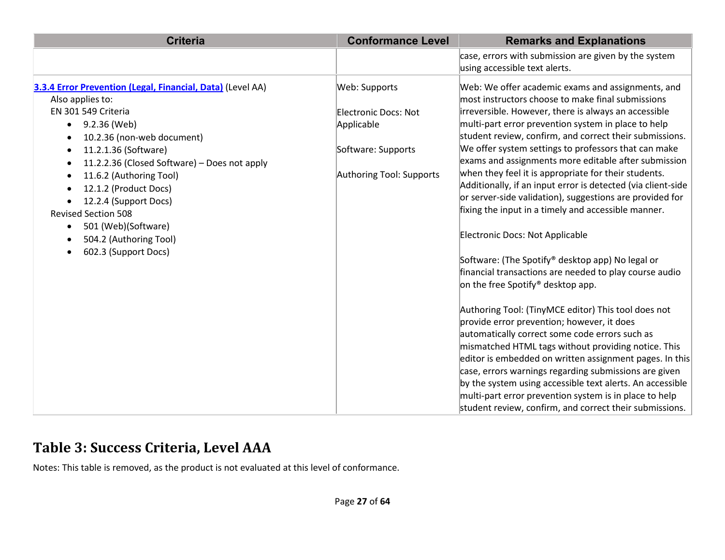| <b>Criteria</b>                                                                                                                                                                                                                                                                                                                                                                                                                                                                    | <b>Conformance Level</b>                                                                                     | <b>Remarks and Explanations</b>                                                                                                                                                                                                                                                                                                                                                                                                                                                                                                                                                                                                                                                                                                                                                                                                                                                                                                                                                                                                                                                                                                                                                                                                                                                                                                                                   |
|------------------------------------------------------------------------------------------------------------------------------------------------------------------------------------------------------------------------------------------------------------------------------------------------------------------------------------------------------------------------------------------------------------------------------------------------------------------------------------|--------------------------------------------------------------------------------------------------------------|-------------------------------------------------------------------------------------------------------------------------------------------------------------------------------------------------------------------------------------------------------------------------------------------------------------------------------------------------------------------------------------------------------------------------------------------------------------------------------------------------------------------------------------------------------------------------------------------------------------------------------------------------------------------------------------------------------------------------------------------------------------------------------------------------------------------------------------------------------------------------------------------------------------------------------------------------------------------------------------------------------------------------------------------------------------------------------------------------------------------------------------------------------------------------------------------------------------------------------------------------------------------------------------------------------------------------------------------------------------------|
|                                                                                                                                                                                                                                                                                                                                                                                                                                                                                    |                                                                                                              | case, errors with submission are given by the system<br>using accessible text alerts.                                                                                                                                                                                                                                                                                                                                                                                                                                                                                                                                                                                                                                                                                                                                                                                                                                                                                                                                                                                                                                                                                                                                                                                                                                                                             |
| 3.3.4 Error Prevention (Legal, Financial, Data) (Level AA)<br>Also applies to:<br>EN 301 549 Criteria<br>9.2.36 (Web)<br>$\bullet$<br>10.2.36 (non-web document)<br>11.2.1.36 (Software)<br>٠<br>11.2.2.36 (Closed Software) - Does not apply<br>٠<br>11.6.2 (Authoring Tool)<br>٠<br>12.1.2 (Product Docs)<br>12.2.4 (Support Docs)<br><b>Revised Section 508</b><br>501 (Web)(Software)<br>$\bullet$<br>504.2 (Authoring Tool)<br>$\bullet$<br>602.3 (Support Docs)<br>$\bullet$ | Web: Supports<br><b>Electronic Docs: Not</b><br>Applicable<br>Software: Supports<br>Authoring Tool: Supports | Web: We offer academic exams and assignments, and<br>most instructors choose to make final submissions<br>irreversible. However, there is always an accessible<br>multi-part error prevention system in place to help<br>student review, confirm, and correct their submissions.<br>We offer system settings to professors that can make<br>exams and assignments more editable after submission<br>when they feel it is appropriate for their students.<br>Additionally, if an input error is detected (via client-side<br>or server-side validation), suggestions are provided for<br>fixing the input in a timely and accessible manner.<br>Electronic Docs: Not Applicable<br>Software: (The Spotify® desktop app) No legal or<br>financial transactions are needed to play course audio<br>on the free Spotify <sup>®</sup> desktop app.<br>Authoring Tool: (TinyMCE editor) This tool does not<br>provide error prevention; however, it does<br>automatically correct some code errors such as<br>mismatched HTML tags without providing notice. This<br>editor is embedded on written assignment pages. In this<br>case, errors warnings regarding submissions are given<br>by the system using accessible text alerts. An accessible<br>multi-part error prevention system is in place to help<br>student review, confirm, and correct their submissions. |

### **Table 3: Success Criteria, Level AAA**

Notes: This table is removed, as the product is not evaluated at this level of conformance.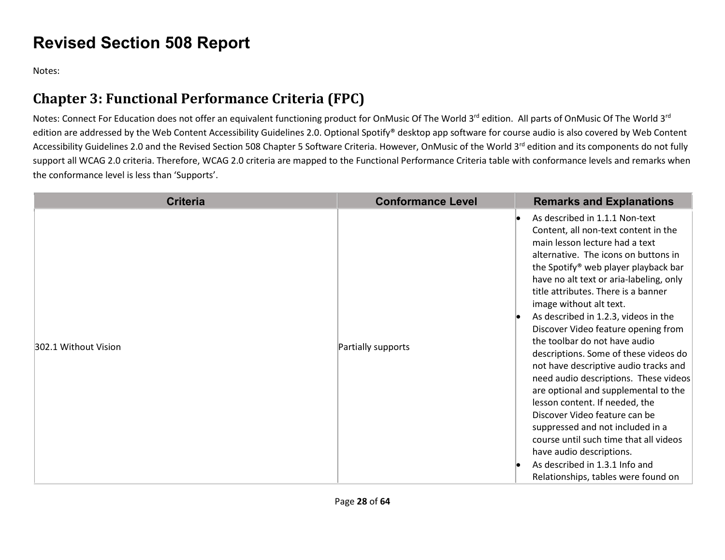## **Revised Section 508 Report**

Notes:

## **Chapter 3: Functional Performance Criteria (FPC)**

Notes: Connect For Education does not offer an equivalent functioning product for OnMusic Of The World 3<sup>rd</sup> edition. All parts of OnMusic Of The World 3<sup>rd</sup> edition are addressed by the Web Content Accessibility Guidelines 2.0. Optional Spotify® desktop app software for course audio is also covered by Web Content Accessibility Guidelines 2.0 and the Revised Section 508 Chapter 5 Software Criteria. However, OnMusic of the World 3rd edition and its components do not fully support all WCAG 2.0 criteria. Therefore, WCAG 2.0 criteria are mapped to the Functional Performance Criteria table with conformance levels and remarks when the conformance level is less than 'Supports'.

| <b>Criteria</b>      | <b>Conformance Level</b> | <b>Remarks and Explanations</b>                                                                                                                                                                                                                                                                                                                                                                                                                                                                                                                                                                                                                                                                                                                                                                                                                            |
|----------------------|--------------------------|------------------------------------------------------------------------------------------------------------------------------------------------------------------------------------------------------------------------------------------------------------------------------------------------------------------------------------------------------------------------------------------------------------------------------------------------------------------------------------------------------------------------------------------------------------------------------------------------------------------------------------------------------------------------------------------------------------------------------------------------------------------------------------------------------------------------------------------------------------|
| 302.1 Without Vision | Partially supports       | As described in 1.1.1 Non-text<br>Content, all non-text content in the<br>main lesson lecture had a text<br>alternative. The icons on buttons in<br>the Spotify <sup>®</sup> web player playback bar<br>have no alt text or aria-labeling, only<br>title attributes. There is a banner<br>image without alt text.<br>As described in 1.2.3, videos in the<br>Discover Video feature opening from<br>the toolbar do not have audio<br>descriptions. Some of these videos do<br>not have descriptive audio tracks and<br>need audio descriptions. These videos<br>are optional and supplemental to the<br>lesson content. If needed, the<br>Discover Video feature can be<br>suppressed and not included in a<br>course until such time that all videos<br>have audio descriptions.<br>As described in 1.3.1 Info and<br>Relationships, tables were found on |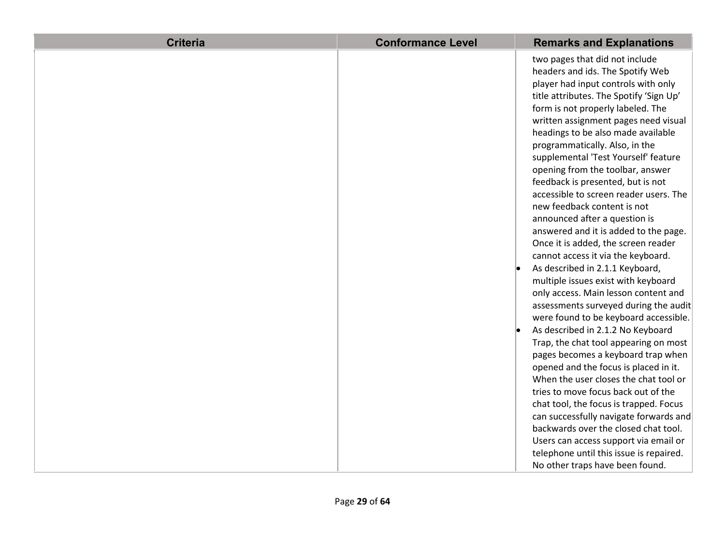| <b>Criteria</b> | <b>Conformance Level</b> | <b>Remarks and Explanations</b>         |
|-----------------|--------------------------|-----------------------------------------|
|                 |                          | two pages that did not include          |
|                 |                          | headers and ids. The Spotify Web        |
|                 |                          | player had input controls with only     |
|                 |                          | title attributes. The Spotify 'Sign Up' |
|                 |                          | form is not properly labeled. The       |
|                 |                          | written assignment pages need visual    |
|                 |                          | headings to be also made available      |
|                 |                          | programmatically. Also, in the          |
|                 |                          | supplemental 'Test Yourself' feature    |
|                 |                          | opening from the toolbar, answer        |
|                 |                          | feedback is presented, but is not       |
|                 |                          | accessible to screen reader users. The  |
|                 |                          | new feedback content is not             |
|                 |                          | announced after a question is           |
|                 |                          | answered and it is added to the page.   |
|                 |                          | Once it is added, the screen reader     |
|                 |                          | cannot access it via the keyboard.      |
|                 |                          | As described in 2.1.1 Keyboard,         |
|                 |                          | multiple issues exist with keyboard     |
|                 |                          | only access. Main lesson content and    |
|                 |                          | assessments surveyed during the audit   |
|                 |                          | were found to be keyboard accessible.   |
|                 |                          | As described in 2.1.2 No Keyboard       |
|                 |                          | Trap, the chat tool appearing on most   |
|                 |                          | pages becomes a keyboard trap when      |
|                 |                          | opened and the focus is placed in it.   |
|                 |                          | When the user closes the chat tool or   |
|                 |                          | tries to move focus back out of the     |
|                 |                          | chat tool, the focus is trapped. Focus  |
|                 |                          | can successfully navigate forwards and  |
|                 |                          | backwards over the closed chat tool.    |
|                 |                          | Users can access support via email or   |
|                 |                          | telephone until this issue is repaired. |
|                 |                          | No other traps have been found.         |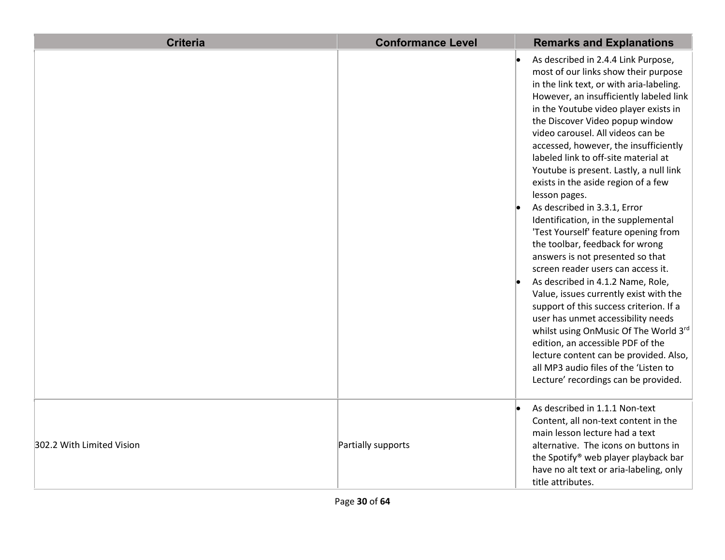| <b>Criteria</b>           | <b>Conformance Level</b> | <b>Remarks and Explanations</b>                                                                                                                                                                                                                                                                                                                                                                                                                                                                                                                                                                                                                                                                                                                                                                                                                                                                                                                                                                                                                                              |
|---------------------------|--------------------------|------------------------------------------------------------------------------------------------------------------------------------------------------------------------------------------------------------------------------------------------------------------------------------------------------------------------------------------------------------------------------------------------------------------------------------------------------------------------------------------------------------------------------------------------------------------------------------------------------------------------------------------------------------------------------------------------------------------------------------------------------------------------------------------------------------------------------------------------------------------------------------------------------------------------------------------------------------------------------------------------------------------------------------------------------------------------------|
|                           |                          | As described in 2.4.4 Link Purpose,<br>most of our links show their purpose<br>in the link text, or with aria-labeling.<br>However, an insufficiently labeled link<br>in the Youtube video player exists in<br>the Discover Video popup window<br>video carousel. All videos can be<br>accessed, however, the insufficiently<br>labeled link to off-site material at<br>Youtube is present. Lastly, a null link<br>exists in the aside region of a few<br>lesson pages.<br>As described in 3.3.1, Error<br>Identification, in the supplemental<br>'Test Yourself' feature opening from<br>the toolbar, feedback for wrong<br>answers is not presented so that<br>screen reader users can access it.<br>As described in 4.1.2 Name, Role,<br>Value, issues currently exist with the<br>support of this success criterion. If a<br>user has unmet accessibility needs<br>whilst using OnMusic Of The World 3rd<br>edition, an accessible PDF of the<br>lecture content can be provided. Also,<br>all MP3 audio files of the 'Listen to<br>Lecture' recordings can be provided. |
| 302.2 With Limited Vision | Partially supports       | As described in 1.1.1 Non-text<br>Content, all non-text content in the<br>main lesson lecture had a text<br>alternative. The icons on buttons in<br>the Spotify® web player playback bar<br>have no alt text or aria-labeling, only<br>title attributes.                                                                                                                                                                                                                                                                                                                                                                                                                                                                                                                                                                                                                                                                                                                                                                                                                     |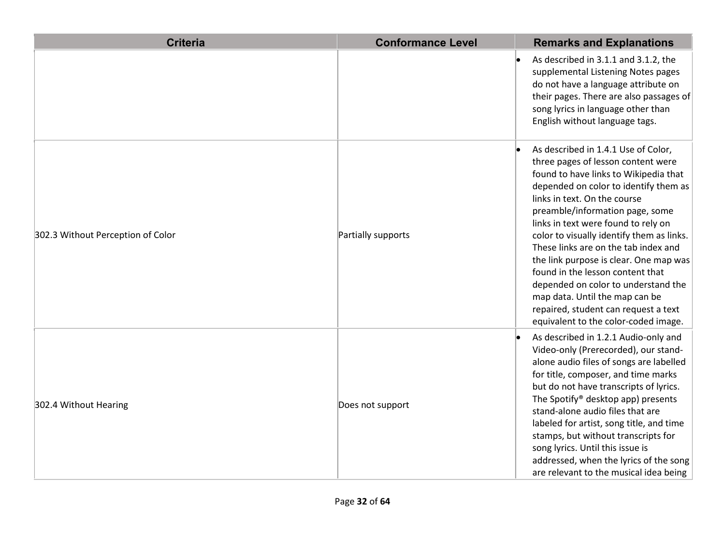| <b>Criteria</b>                   | <b>Conformance Level</b> | <b>Remarks and Explanations</b>                                                                                                                                                                                                                                                                                                                                                                                                                                                                                                                                                                   |
|-----------------------------------|--------------------------|---------------------------------------------------------------------------------------------------------------------------------------------------------------------------------------------------------------------------------------------------------------------------------------------------------------------------------------------------------------------------------------------------------------------------------------------------------------------------------------------------------------------------------------------------------------------------------------------------|
|                                   |                          | As described in 3.1.1 and 3.1.2, the<br>supplemental Listening Notes pages<br>do not have a language attribute on<br>their pages. There are also passages of<br>song lyrics in language other than<br>English without language tags.                                                                                                                                                                                                                                                                                                                                                              |
| 302.3 Without Perception of Color | Partially supports       | As described in 1.4.1 Use of Color,<br>three pages of lesson content were<br>found to have links to Wikipedia that<br>depended on color to identify them as<br>links in text. On the course<br>preamble/information page, some<br>links in text were found to rely on<br>color to visually identify them as links.<br>These links are on the tab index and<br>the link purpose is clear. One map was<br>found in the lesson content that<br>depended on color to understand the<br>map data. Until the map can be<br>repaired, student can request a text<br>equivalent to the color-coded image. |
| 302.4 Without Hearing             | Does not support         | As described in 1.2.1 Audio-only and<br>Video-only (Prerecorded), our stand-<br>alone audio files of songs are labelled<br>for title, composer, and time marks<br>but do not have transcripts of lyrics.<br>The Spotify® desktop app) presents<br>stand-alone audio files that are<br>labeled for artist, song title, and time<br>stamps, but without transcripts for<br>song lyrics. Until this issue is<br>addressed, when the lyrics of the song<br>are relevant to the musical idea being                                                                                                     |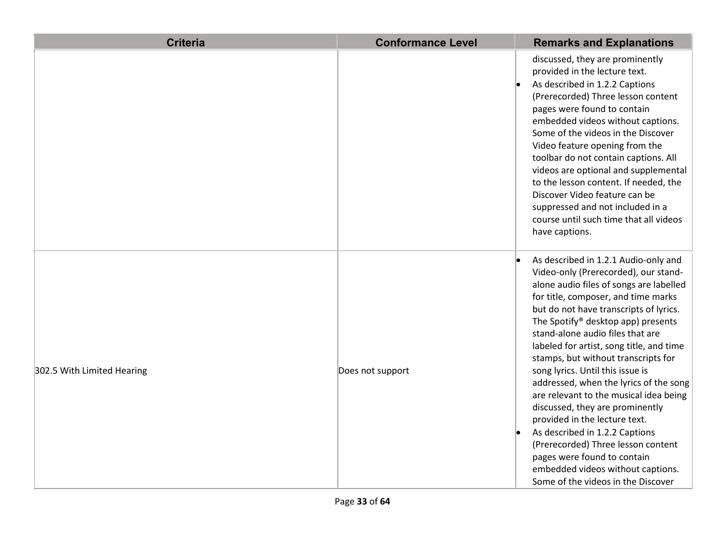| <b>Criteria</b>            | <b>Conformance Level</b> | <b>Remarks and Explanations</b>                                                                                                                                                                                                                                                                                                                                                                                                                                                                                                                                                                                                                                                                                                                     |
|----------------------------|--------------------------|-----------------------------------------------------------------------------------------------------------------------------------------------------------------------------------------------------------------------------------------------------------------------------------------------------------------------------------------------------------------------------------------------------------------------------------------------------------------------------------------------------------------------------------------------------------------------------------------------------------------------------------------------------------------------------------------------------------------------------------------------------|
|                            |                          | discussed, they are prominently<br>provided in the lecture text.<br>As described in 1.2.2 Captions<br>(Prerecorded) Three lesson content<br>pages were found to contain<br>embedded videos without captions.<br>Some of the videos in the Discover<br>Video feature opening from the<br>toolbar do not contain captions. All<br>videos are optional and supplemental<br>to the lesson content. If needed, the<br>Discover Video feature can be<br>suppressed and not included in a<br>course until such time that all videos<br>have captions.                                                                                                                                                                                                      |
| 302.5 With Limited Hearing | Does not support         | As described in 1.2.1 Audio-only and<br>Video-only (Prerecorded), our stand-<br>alone audio files of songs are labelled<br>for title, composer, and time marks<br>but do not have transcripts of lyrics.<br>The Spotify® desktop app) presents<br>stand-alone audio files that are<br>labeled for artist, song title, and time<br>stamps, but without transcripts for<br>song lyrics. Until this issue is<br>addressed, when the lyrics of the song<br>are relevant to the musical idea being<br>discussed, they are prominently<br>provided in the lecture text.<br>As described in 1.2.2 Captions<br>(Prerecorded) Three lesson content<br>pages were found to contain<br>embedded videos without captions.<br>Some of the videos in the Discover |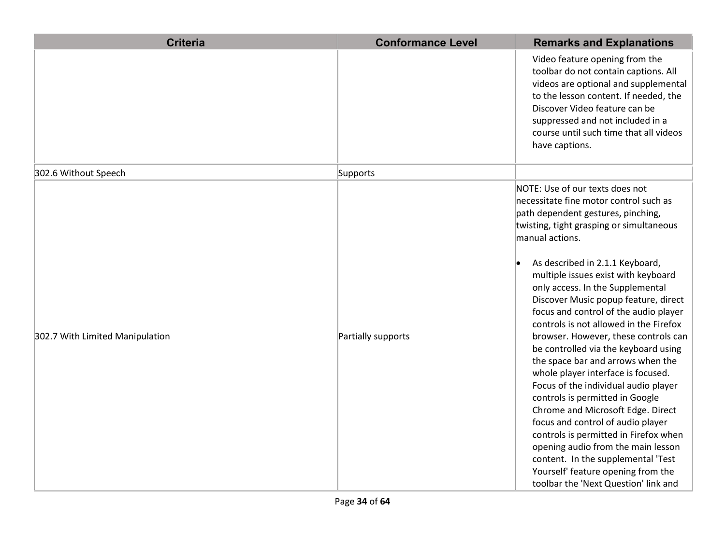| <b>Criteria</b>                 | <b>Conformance Level</b> | <b>Remarks and Explanations</b>                                                                                                                                                                                                                                                                                                                                                                                                                                                                                                                                                                                                                                                                                                                                                                                                                                                                                                            |
|---------------------------------|--------------------------|--------------------------------------------------------------------------------------------------------------------------------------------------------------------------------------------------------------------------------------------------------------------------------------------------------------------------------------------------------------------------------------------------------------------------------------------------------------------------------------------------------------------------------------------------------------------------------------------------------------------------------------------------------------------------------------------------------------------------------------------------------------------------------------------------------------------------------------------------------------------------------------------------------------------------------------------|
|                                 |                          | Video feature opening from the<br>toolbar do not contain captions. All<br>videos are optional and supplemental<br>to the lesson content. If needed, the<br>Discover Video feature can be<br>suppressed and not included in a<br>course until such time that all videos<br>have captions.                                                                                                                                                                                                                                                                                                                                                                                                                                                                                                                                                                                                                                                   |
| 302.6 Without Speech            | Supports                 |                                                                                                                                                                                                                                                                                                                                                                                                                                                                                                                                                                                                                                                                                                                                                                                                                                                                                                                                            |
| 302.7 With Limited Manipulation | Partially supports       | NOTE: Use of our texts does not<br>necessitate fine motor control such as<br>path dependent gestures, pinching,<br>twisting, tight grasping or simultaneous<br>manual actions.<br>As described in 2.1.1 Keyboard,<br>multiple issues exist with keyboard<br>only access. In the Supplemental<br>Discover Music popup feature, direct<br>focus and control of the audio player<br>controls is not allowed in the Firefox<br>browser. However, these controls can<br>be controlled via the keyboard using<br>the space bar and arrows when the<br>whole player interface is focused.<br>Focus of the individual audio player<br>controls is permitted in Google<br>Chrome and Microsoft Edge. Direct<br>focus and control of audio player<br>controls is permitted in Firefox when<br>opening audio from the main lesson<br>content. In the supplemental 'Test<br>Yourself' feature opening from the<br>toolbar the 'Next Question' link and |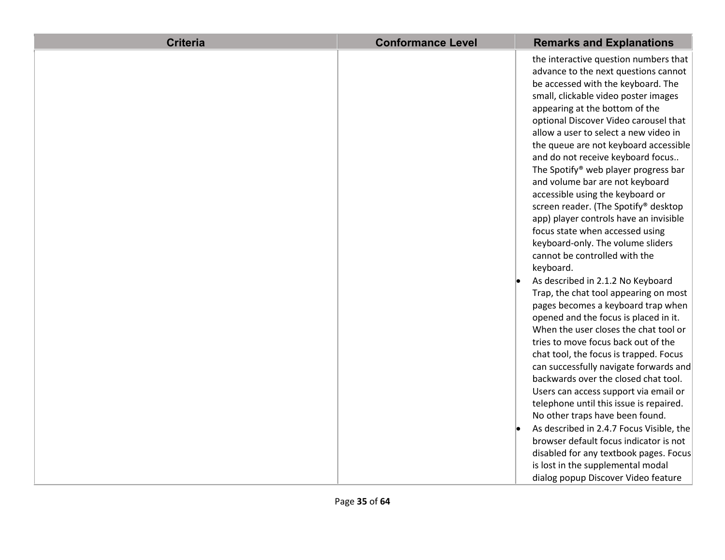| <b>Criteria</b> | <b>Conformance Level</b> | <b>Remarks and Explanations</b>          |
|-----------------|--------------------------|------------------------------------------|
|                 |                          | the interactive question numbers that    |
|                 |                          | advance to the next questions cannot     |
|                 |                          | be accessed with the keyboard. The       |
|                 |                          | small, clickable video poster images     |
|                 |                          | appearing at the bottom of the           |
|                 |                          | optional Discover Video carousel that    |
|                 |                          | allow a user to select a new video in    |
|                 |                          | the queue are not keyboard accessible    |
|                 |                          | and do not receive keyboard focus        |
|                 |                          | The Spotify® web player progress bar     |
|                 |                          | and volume bar are not keyboard          |
|                 |                          | accessible using the keyboard or         |
|                 |                          | screen reader. (The Spotify® desktop     |
|                 |                          | app) player controls have an invisible   |
|                 |                          | focus state when accessed using          |
|                 |                          | keyboard-only. The volume sliders        |
|                 |                          | cannot be controlled with the            |
|                 |                          | keyboard.                                |
|                 |                          | As described in 2.1.2 No Keyboard        |
|                 |                          | Trap, the chat tool appearing on most    |
|                 |                          | pages becomes a keyboard trap when       |
|                 |                          | opened and the focus is placed in it.    |
|                 |                          | When the user closes the chat tool or    |
|                 |                          | tries to move focus back out of the      |
|                 |                          | chat tool, the focus is trapped. Focus   |
|                 |                          | can successfully navigate forwards and   |
|                 |                          | backwards over the closed chat tool.     |
|                 |                          | Users can access support via email or    |
|                 |                          | telephone until this issue is repaired.  |
|                 |                          | No other traps have been found.          |
|                 |                          | As described in 2.4.7 Focus Visible, the |
|                 |                          | browser default focus indicator is not   |
|                 |                          | disabled for any textbook pages. Focus   |
|                 |                          | is lost in the supplemental modal        |
|                 |                          | dialog popup Discover Video feature      |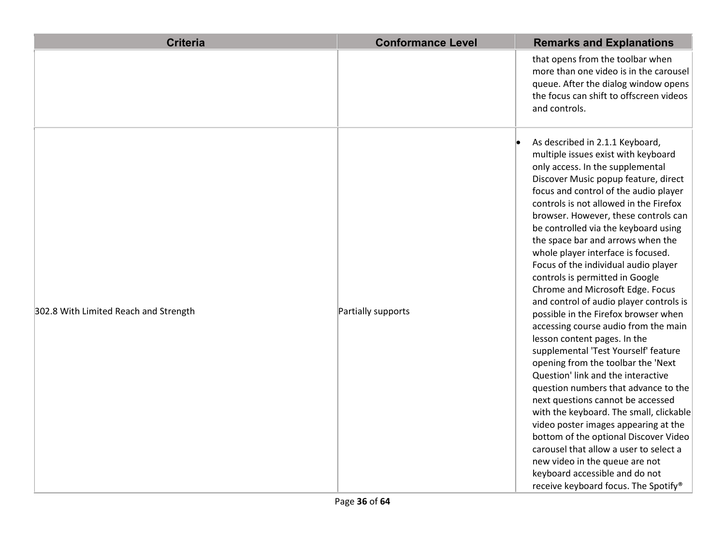| <b>Criteria</b>                       | <b>Conformance Level</b> | <b>Remarks and Explanations</b>                                                                                                                                                                                                                                                                                                                                                                                                                                                                                                                                                                                                                                                                                                                                                                                                                                                                                                                                                                                                                                                                                                                               |
|---------------------------------------|--------------------------|---------------------------------------------------------------------------------------------------------------------------------------------------------------------------------------------------------------------------------------------------------------------------------------------------------------------------------------------------------------------------------------------------------------------------------------------------------------------------------------------------------------------------------------------------------------------------------------------------------------------------------------------------------------------------------------------------------------------------------------------------------------------------------------------------------------------------------------------------------------------------------------------------------------------------------------------------------------------------------------------------------------------------------------------------------------------------------------------------------------------------------------------------------------|
|                                       |                          | that opens from the toolbar when<br>more than one video is in the carousel<br>queue. After the dialog window opens<br>the focus can shift to offscreen videos<br>and controls.                                                                                                                                                                                                                                                                                                                                                                                                                                                                                                                                                                                                                                                                                                                                                                                                                                                                                                                                                                                |
| 302.8 With Limited Reach and Strength | Partially supports       | As described in 2.1.1 Keyboard,<br>multiple issues exist with keyboard<br>only access. In the supplemental<br>Discover Music popup feature, direct<br>focus and control of the audio player<br>controls is not allowed in the Firefox<br>browser. However, these controls can<br>be controlled via the keyboard using<br>the space bar and arrows when the<br>whole player interface is focused.<br>Focus of the individual audio player<br>controls is permitted in Google<br>Chrome and Microsoft Edge. Focus<br>and control of audio player controls is<br>possible in the Firefox browser when<br>accessing course audio from the main<br>lesson content pages. In the<br>supplemental 'Test Yourself' feature<br>opening from the toolbar the 'Next<br>Question' link and the interactive<br>question numbers that advance to the<br>next questions cannot be accessed<br>with the keyboard. The small, clickable<br>video poster images appearing at the<br>bottom of the optional Discover Video<br>carousel that allow a user to select a<br>new video in the queue are not<br>keyboard accessible and do not<br>receive keyboard focus. The Spotify® |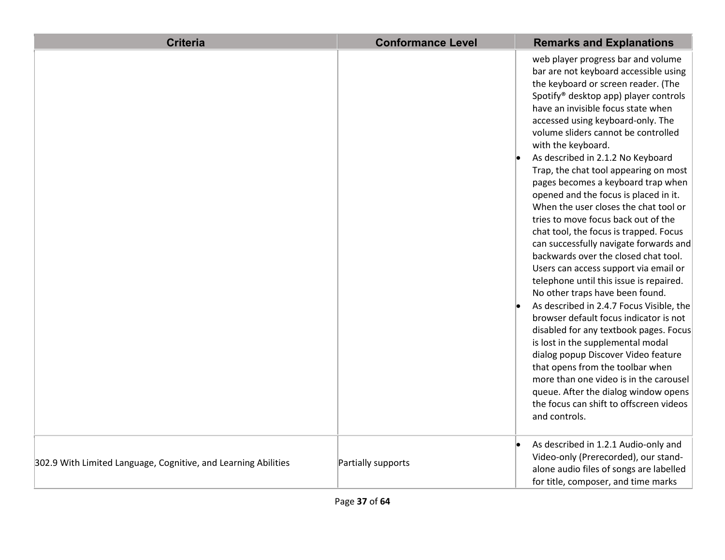| <b>Criteria</b>                                                | <b>Conformance Level</b> | <b>Remarks and Explanations</b>                                                                                                                                                                                                                                                                                                                                                                                                                                                                                                                                                                                                                                                                                                                                                                                                                                                                                                                                                                                                                                                                                                                                                                               |
|----------------------------------------------------------------|--------------------------|---------------------------------------------------------------------------------------------------------------------------------------------------------------------------------------------------------------------------------------------------------------------------------------------------------------------------------------------------------------------------------------------------------------------------------------------------------------------------------------------------------------------------------------------------------------------------------------------------------------------------------------------------------------------------------------------------------------------------------------------------------------------------------------------------------------------------------------------------------------------------------------------------------------------------------------------------------------------------------------------------------------------------------------------------------------------------------------------------------------------------------------------------------------------------------------------------------------|
|                                                                |                          | web player progress bar and volume<br>bar are not keyboard accessible using<br>the keyboard or screen reader. (The<br>Spotify <sup>®</sup> desktop app) player controls<br>have an invisible focus state when<br>accessed using keyboard-only. The<br>volume sliders cannot be controlled<br>with the keyboard.<br>As described in 2.1.2 No Keyboard<br>Trap, the chat tool appearing on most<br>pages becomes a keyboard trap when<br>opened and the focus is placed in it.<br>When the user closes the chat tool or<br>tries to move focus back out of the<br>chat tool, the focus is trapped. Focus<br>can successfully navigate forwards and<br>backwards over the closed chat tool.<br>Users can access support via email or<br>telephone until this issue is repaired.<br>No other traps have been found.<br>As described in 2.4.7 Focus Visible, the<br>browser default focus indicator is not<br>disabled for any textbook pages. Focus<br>is lost in the supplemental modal<br>dialog popup Discover Video feature<br>that opens from the toolbar when<br>more than one video is in the carousel<br>queue. After the dialog window opens<br>the focus can shift to offscreen videos<br>and controls. |
| 302.9 With Limited Language, Cognitive, and Learning Abilities | Partially supports       | As described in 1.2.1 Audio-only and<br>Video-only (Prerecorded), our stand-<br>alone audio files of songs are labelled<br>for title, composer, and time marks                                                                                                                                                                                                                                                                                                                                                                                                                                                                                                                                                                                                                                                                                                                                                                                                                                                                                                                                                                                                                                                |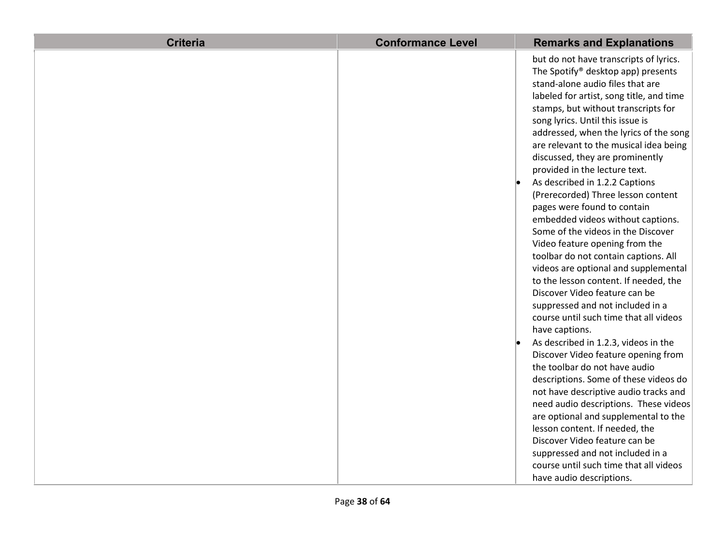| <b>Criteria</b> | <b>Conformance Level</b> | <b>Remarks and Explanations</b>                                                                                                                                                                                                                                                                                                                                                                                                                                                                                                                                                                                                                                                                                                                                                                                                                                                                                                                                                                                                                                                                                                                                                                                                     |
|-----------------|--------------------------|-------------------------------------------------------------------------------------------------------------------------------------------------------------------------------------------------------------------------------------------------------------------------------------------------------------------------------------------------------------------------------------------------------------------------------------------------------------------------------------------------------------------------------------------------------------------------------------------------------------------------------------------------------------------------------------------------------------------------------------------------------------------------------------------------------------------------------------------------------------------------------------------------------------------------------------------------------------------------------------------------------------------------------------------------------------------------------------------------------------------------------------------------------------------------------------------------------------------------------------|
|                 |                          | but do not have transcripts of lyrics.<br>The Spotify® desktop app) presents<br>stand-alone audio files that are<br>labeled for artist, song title, and time<br>stamps, but without transcripts for<br>song lyrics. Until this issue is<br>addressed, when the lyrics of the song<br>are relevant to the musical idea being<br>discussed, they are prominently<br>provided in the lecture text.<br>As described in 1.2.2 Captions<br>(Prerecorded) Three lesson content<br>pages were found to contain<br>embedded videos without captions.<br>Some of the videos in the Discover<br>Video feature opening from the<br>toolbar do not contain captions. All<br>videos are optional and supplemental<br>to the lesson content. If needed, the<br>Discover Video feature can be<br>suppressed and not included in a<br>course until such time that all videos<br>have captions.<br>As described in 1.2.3, videos in the<br>Discover Video feature opening from<br>the toolbar do not have audio<br>descriptions. Some of these videos do<br>not have descriptive audio tracks and<br>need audio descriptions. These videos<br>are optional and supplemental to the<br>lesson content. If needed, the<br>Discover Video feature can be |
|                 |                          | suppressed and not included in a<br>course until such time that all videos                                                                                                                                                                                                                                                                                                                                                                                                                                                                                                                                                                                                                                                                                                                                                                                                                                                                                                                                                                                                                                                                                                                                                          |
|                 |                          | have audio descriptions.                                                                                                                                                                                                                                                                                                                                                                                                                                                                                                                                                                                                                                                                                                                                                                                                                                                                                                                                                                                                                                                                                                                                                                                                            |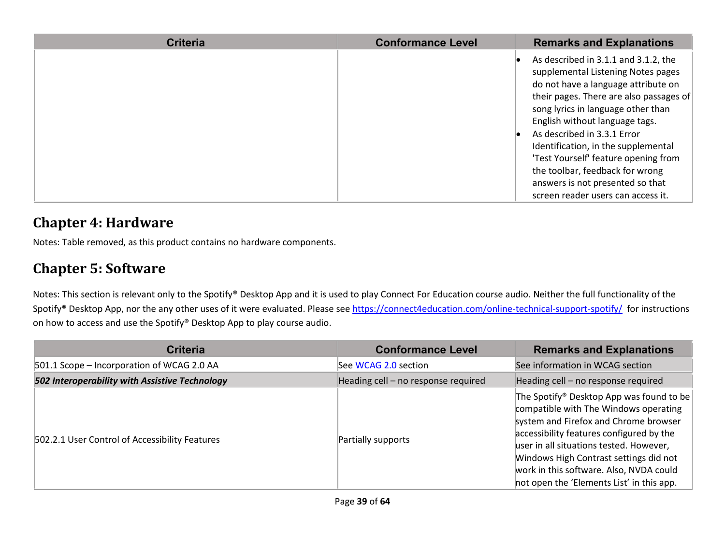| <b>Criteria</b> | <b>Conformance Level</b> | <b>Remarks and Explanations</b>                                                                                                                                                                                                                                                                                                                                                                                                                                 |
|-----------------|--------------------------|-----------------------------------------------------------------------------------------------------------------------------------------------------------------------------------------------------------------------------------------------------------------------------------------------------------------------------------------------------------------------------------------------------------------------------------------------------------------|
|                 |                          | As described in 3.1.1 and 3.1.2, the<br>supplemental Listening Notes pages<br>do not have a language attribute on<br>their pages. There are also passages of<br>song lyrics in language other than<br>English without language tags.<br>As described in 3.3.1 Error<br>Identification, in the supplemental<br>'Test Yourself' feature opening from<br>the toolbar, feedback for wrong<br>answers is not presented so that<br>screen reader users can access it. |

#### **Chapter 4: Hardware**

Notes: Table removed, as this product contains no hardware components.

#### **Chapter 5: Software**

Notes: This section is relevant only to the Spotify® Desktop App and it is used to play Connect For Education course audio. Neither the full functionality of the Spotify® Desktop App, nor the any other uses of it were evaluated. Please see<https://connect4education.com/online-technical-support-spotify/>for instructions on how to access and use the Spotify® Desktop App to play course audio.

| <b>Criteria</b>                                | <b>Conformance Level</b>            | <b>Remarks and Explanations</b>                                                                                                                                                                                                                                                                                                                     |
|------------------------------------------------|-------------------------------------|-----------------------------------------------------------------------------------------------------------------------------------------------------------------------------------------------------------------------------------------------------------------------------------------------------------------------------------------------------|
| 501.1 Scope - Incorporation of WCAG 2.0 AA     | See WCAG 2.0 section                | See information in WCAG section                                                                                                                                                                                                                                                                                                                     |
| 502 Interoperability with Assistive Technology | Heading cell - no response required | Heading cell - no response required                                                                                                                                                                                                                                                                                                                 |
| 502.2.1 User Control of Accessibility Features | Partially supports                  | The Spotify® Desktop App was found to be<br>compatible with The Windows operating<br>system and Firefox and Chrome browser<br>accessibility features configured by the<br>user in all situations tested. However,<br>Windows High Contrast settings did not<br>work in this software. Also, NVDA could<br>not open the 'Elements List' in this app. |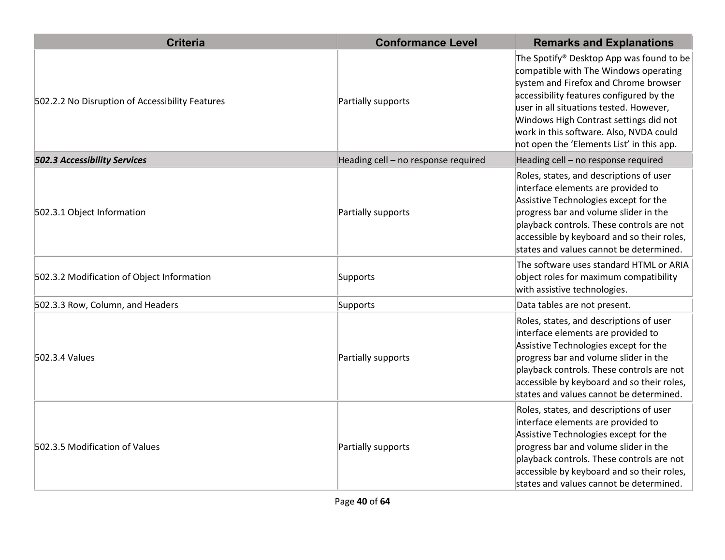| <b>Criteria</b>                                 | <b>Conformance Level</b>            | <b>Remarks and Explanations</b>                                                                                                                                                                                                                                                                                                                                 |
|-------------------------------------------------|-------------------------------------|-----------------------------------------------------------------------------------------------------------------------------------------------------------------------------------------------------------------------------------------------------------------------------------------------------------------------------------------------------------------|
| 502.2.2 No Disruption of Accessibility Features | Partially supports                  | The Spotify <sup>®</sup> Desktop App was found to be<br>compatible with The Windows operating<br>system and Firefox and Chrome browser<br>accessibility features configured by the<br>user in all situations tested. However,<br>Windows High Contrast settings did not<br>work in this software. Also, NVDA could<br>not open the 'Elements List' in this app. |
| 502.3 Accessibility Services                    | Heading cell - no response required | Heading cell - no response required                                                                                                                                                                                                                                                                                                                             |
| 502.3.1 Object Information                      | Partially supports                  | Roles, states, and descriptions of user<br>interface elements are provided to<br>Assistive Technologies except for the<br>progress bar and volume slider in the<br>playback controls. These controls are not<br>accessible by keyboard and so their roles,<br>states and values cannot be determined.                                                           |
| 502.3.2 Modification of Object Information      | Supports                            | The software uses standard HTML or ARIA<br>object roles for maximum compatibility<br>with assistive technologies.                                                                                                                                                                                                                                               |
| 502.3.3 Row, Column, and Headers                | Supports                            | Data tables are not present.                                                                                                                                                                                                                                                                                                                                    |
| 502.3.4 Values                                  | Partially supports                  | Roles, states, and descriptions of user<br>interface elements are provided to<br>Assistive Technologies except for the<br>progress bar and volume slider in the<br>playback controls. These controls are not<br>accessible by keyboard and so their roles,<br>states and values cannot be determined.                                                           |
| 502.3.5 Modification of Values                  | Partially supports                  | Roles, states, and descriptions of user<br>interface elements are provided to<br>Assistive Technologies except for the<br>progress bar and volume slider in the<br>playback controls. These controls are not<br>accessible by keyboard and so their roles,<br>states and values cannot be determined.                                                           |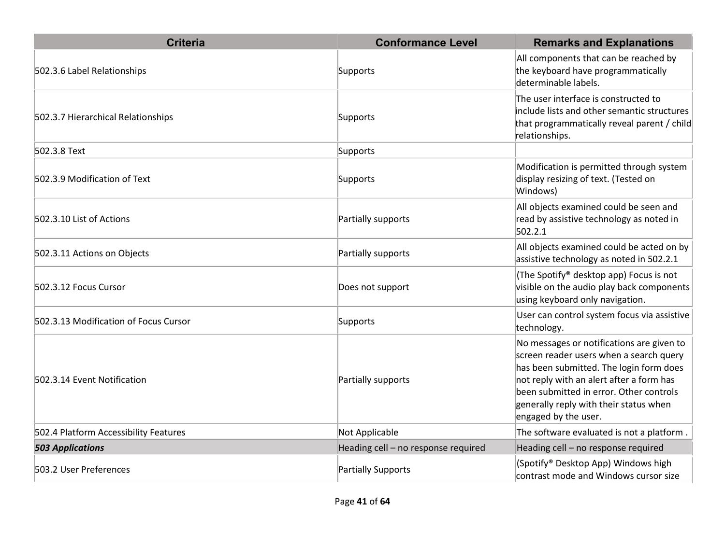| <b>Criteria</b>                       | <b>Conformance Level</b>            | <b>Remarks and Explanations</b>                                                                                                                                                                                                                                                          |
|---------------------------------------|-------------------------------------|------------------------------------------------------------------------------------------------------------------------------------------------------------------------------------------------------------------------------------------------------------------------------------------|
| 502.3.6 Label Relationships           | Supports                            | All components that can be reached by<br>the keyboard have programmatically<br>determinable labels.                                                                                                                                                                                      |
| 502.3.7 Hierarchical Relationships    | Supports                            | The user interface is constructed to<br>include lists and other semantic structures<br>that programmatically reveal parent / child<br>relationships.                                                                                                                                     |
| 502.3.8 Text                          | Supports                            |                                                                                                                                                                                                                                                                                          |
| 502.3.9 Modification of Text          | Supports                            | Modification is permitted through system<br>display resizing of text. (Tested on<br>Windows)                                                                                                                                                                                             |
| 502.3.10 List of Actions              | Partially supports                  | All objects examined could be seen and<br>read by assistive technology as noted in<br>502.2.1                                                                                                                                                                                            |
| 502.3.11 Actions on Objects           | Partially supports                  | All objects examined could be acted on by<br>assistive technology as noted in 502.2.1                                                                                                                                                                                                    |
| 502.3.12 Focus Cursor                 | Does not support                    | (The Spotify® desktop app) Focus is not<br>visible on the audio play back components<br>using keyboard only navigation.                                                                                                                                                                  |
| 502.3.13 Modification of Focus Cursor | Supports                            | User can control system focus via assistive<br>technology.                                                                                                                                                                                                                               |
| 502.3.14 Event Notification           | Partially supports                  | No messages or notifications are given to<br>screen reader users when a search query<br>has been submitted. The login form does<br>not reply with an alert after a form has<br>been submitted in error. Other controls<br>generally reply with their status when<br>engaged by the user. |
| 502.4 Platform Accessibility Features | Not Applicable                      | The software evaluated is not a platform.                                                                                                                                                                                                                                                |
| <b>503 Applications</b>               | Heading cell - no response required | Heading cell - no response required                                                                                                                                                                                                                                                      |
| 503.2 User Preferences                | Partially Supports                  | (Spotify® Desktop App) Windows high<br>contrast mode and Windows cursor size                                                                                                                                                                                                             |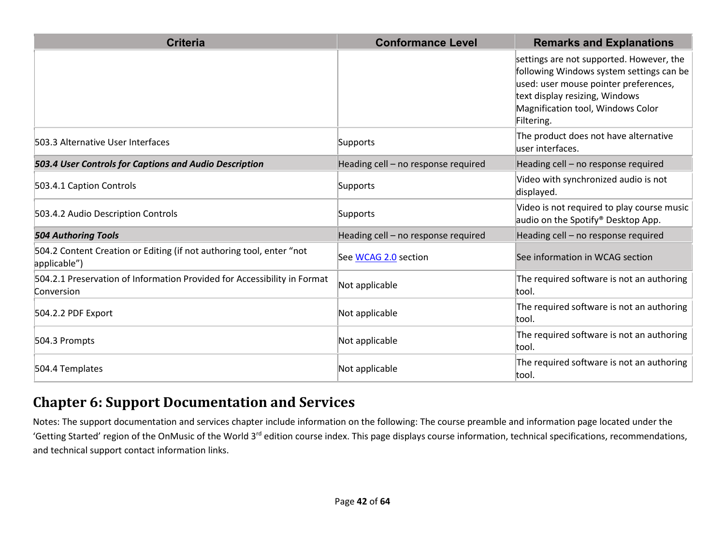| <b>Criteria</b>                                                                        | <b>Conformance Level</b>            | <b>Remarks and Explanations</b>                                                                                                                                                                                    |
|----------------------------------------------------------------------------------------|-------------------------------------|--------------------------------------------------------------------------------------------------------------------------------------------------------------------------------------------------------------------|
|                                                                                        |                                     | settings are not supported. However, the<br>following Windows system settings can be<br>used: user mouse pointer preferences,<br>text display resizing, Windows<br>Magnification tool, Windows Color<br>Filtering. |
| 503.3 Alternative User Interfaces                                                      | Supports                            | The product does not have alternative<br>user interfaces.                                                                                                                                                          |
| 503.4 User Controls for Captions and Audio Description                                 | Heading cell - no response required | Heading cell - no response required                                                                                                                                                                                |
| 503.4.1 Caption Controls                                                               | Supports                            | Video with synchronized audio is not<br>displayed.                                                                                                                                                                 |
| 503.4.2 Audio Description Controls                                                     | Supports                            | Video is not required to play course music<br>audio on the Spotify <sup>®</sup> Desktop App.                                                                                                                       |
| <b>504 Authoring Tools</b>                                                             | Heading cell - no response required | Heading cell - no response required                                                                                                                                                                                |
| 504.2 Content Creation or Editing (if not authoring tool, enter "not<br>applicable")   | See WCAG 2.0 section                | See information in WCAG section                                                                                                                                                                                    |
| 504.2.1 Preservation of Information Provided for Accessibility in Format<br>Conversion | Not applicable                      | The required software is not an authoring<br>tool.                                                                                                                                                                 |
| 504.2.2 PDF Export                                                                     | Not applicable                      | The required software is not an authoring<br>ltool.                                                                                                                                                                |
| 504.3 Prompts                                                                          | Not applicable                      | The required software is not an authoring<br>ltool.                                                                                                                                                                |
| 504.4 Templates                                                                        | Not applicable                      | The required software is not an authoring<br>tool.                                                                                                                                                                 |

#### **Chapter 6: Support Documentation and Services**

Notes: The support documentation and services chapter include information on the following: The course preamble and information page located under the 'Getting Started' region of the OnMusic of the World 3<sup>rd</sup> edition course index. This page displays course information, technical specifications, recommendations, and technical support contact information links.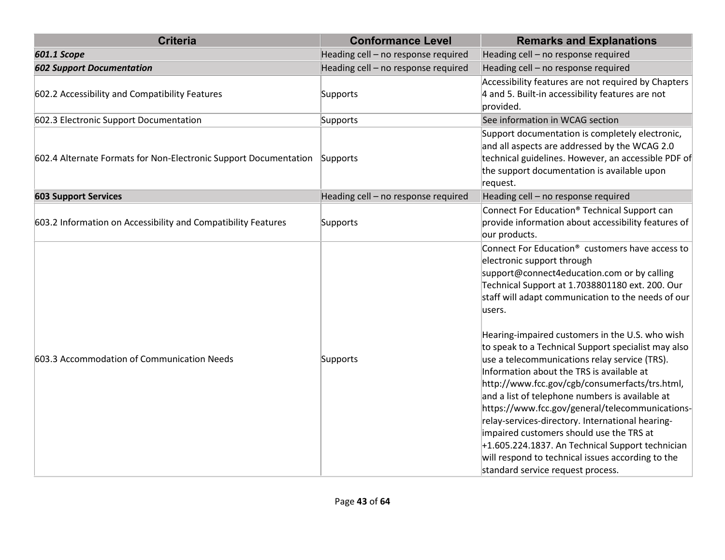| <b>Criteria</b>                                                  | <b>Conformance Level</b>            | <b>Remarks and Explanations</b>                                                                                                                                                                                                                                                                                                                                                                                                                                                                                                                                                                                                                                                                                                                                                                                                                                              |
|------------------------------------------------------------------|-------------------------------------|------------------------------------------------------------------------------------------------------------------------------------------------------------------------------------------------------------------------------------------------------------------------------------------------------------------------------------------------------------------------------------------------------------------------------------------------------------------------------------------------------------------------------------------------------------------------------------------------------------------------------------------------------------------------------------------------------------------------------------------------------------------------------------------------------------------------------------------------------------------------------|
| <b>601.1 Scope</b>                                               | Heading cell - no response required | Heading cell - no response required                                                                                                                                                                                                                                                                                                                                                                                                                                                                                                                                                                                                                                                                                                                                                                                                                                          |
| <b>602 Support Documentation</b>                                 | Heading cell - no response required | Heading cell - no response required                                                                                                                                                                                                                                                                                                                                                                                                                                                                                                                                                                                                                                                                                                                                                                                                                                          |
| 602.2 Accessibility and Compatibility Features                   | Supports                            | Accessibility features are not required by Chapters<br>4 and 5. Built-in accessibility features are not<br>provided.                                                                                                                                                                                                                                                                                                                                                                                                                                                                                                                                                                                                                                                                                                                                                         |
| 602.3 Electronic Support Documentation                           | Supports                            | See information in WCAG section                                                                                                                                                                                                                                                                                                                                                                                                                                                                                                                                                                                                                                                                                                                                                                                                                                              |
| 602.4 Alternate Formats for Non-Electronic Support Documentation | Supports                            | Support documentation is completely electronic,<br>and all aspects are addressed by the WCAG 2.0<br>technical guidelines. However, an accessible PDF of<br>the support documentation is available upon<br>request.                                                                                                                                                                                                                                                                                                                                                                                                                                                                                                                                                                                                                                                           |
| <b>603 Support Services</b>                                      | Heading cell - no response required | Heading cell - no response required                                                                                                                                                                                                                                                                                                                                                                                                                                                                                                                                                                                                                                                                                                                                                                                                                                          |
| 603.2 Information on Accessibility and Compatibility Features    | Supports                            | Connect For Education <sup>®</sup> Technical Support can<br>provide information about accessibility features of<br>our products.                                                                                                                                                                                                                                                                                                                                                                                                                                                                                                                                                                                                                                                                                                                                             |
| 603.3 Accommodation of Communication Needs                       | Supports                            | Connect For Education <sup>®</sup> customers have access to<br>electronic support through<br>support@connect4education.com or by calling<br>Technical Support at 1.7038801180 ext. 200. Our<br>staff will adapt communication to the needs of our<br>users.<br>Hearing-impaired customers in the U.S. who wish<br>to speak to a Technical Support specialist may also<br>use a telecommunications relay service (TRS).<br>Information about the TRS is available at<br>http://www.fcc.gov/cgb/consumerfacts/trs.html,<br>and a list of telephone numbers is available at<br>https://www.fcc.gov/general/telecommunications-<br>relay-services-directory. International hearing-<br>impaired customers should use the TRS at<br>$+1.605.224.1837$ . An Technical Support technician<br>will respond to technical issues according to the<br>standard service request process. |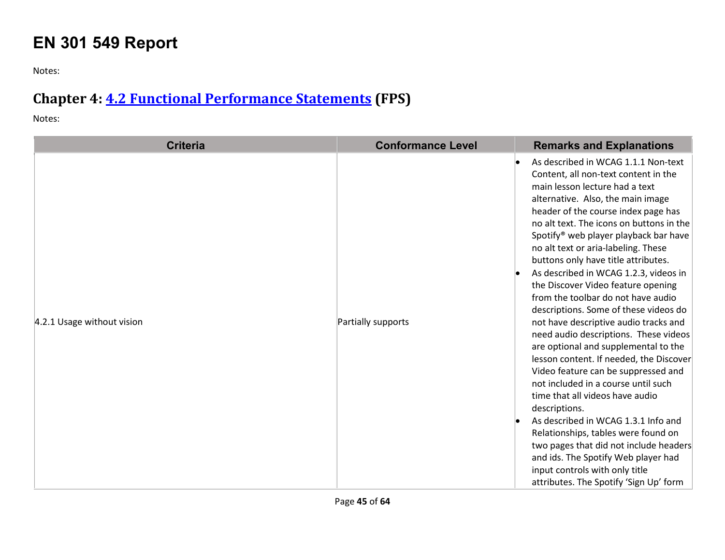## **EN 301 549 Report**

Notes:

## **Chapter 4: [4.2 Functional Performance Statements](http://www.etsi.org/deliver/etsi_en/301500_301599/301549/01.01.02_60/en_301549v010102p.pdf#page=22) (FPS)**

Notes:

| <b>Criteria</b>            | <b>Conformance Level</b> | <b>Remarks and Explanations</b>                                                                                                                                                                                                                                                                                                                                                                                                                                                                                                                                                                                                                                                                                                                                                                                                                                                                                                                                                                                                                                                          |
|----------------------------|--------------------------|------------------------------------------------------------------------------------------------------------------------------------------------------------------------------------------------------------------------------------------------------------------------------------------------------------------------------------------------------------------------------------------------------------------------------------------------------------------------------------------------------------------------------------------------------------------------------------------------------------------------------------------------------------------------------------------------------------------------------------------------------------------------------------------------------------------------------------------------------------------------------------------------------------------------------------------------------------------------------------------------------------------------------------------------------------------------------------------|
| 4.2.1 Usage without vision | Partially supports       | As described in WCAG 1.1.1 Non-text<br>Content, all non-text content in the<br>main lesson lecture had a text<br>alternative. Also, the main image<br>header of the course index page has<br>no alt text. The icons on buttons in the<br>Spotify <sup>®</sup> web player playback bar have<br>no alt text or aria-labeling. These<br>buttons only have title attributes.<br>As described in WCAG 1.2.3, videos in<br>the Discover Video feature opening<br>from the toolbar do not have audio<br>descriptions. Some of these videos do<br>not have descriptive audio tracks and<br>need audio descriptions. These videos<br>are optional and supplemental to the<br>lesson content. If needed, the Discover<br>Video feature can be suppressed and<br>not included in a course until such<br>time that all videos have audio<br>descriptions.<br>As described in WCAG 1.3.1 Info and<br>Relationships, tables were found on<br>two pages that did not include headers<br>and ids. The Spotify Web player had<br>input controls with only title<br>attributes. The Spotify 'Sign Up' form |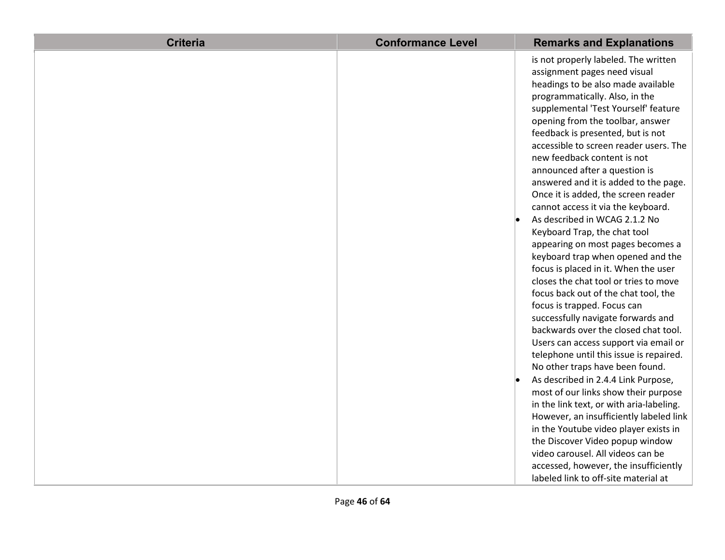| <b>Criteria</b> | <b>Conformance Level</b> | <b>Remarks and Explanations</b>          |
|-----------------|--------------------------|------------------------------------------|
|                 |                          | is not properly labeled. The written     |
|                 |                          | assignment pages need visual             |
|                 |                          | headings to be also made available       |
|                 |                          | programmatically. Also, in the           |
|                 |                          | supplemental 'Test Yourself' feature     |
|                 |                          | opening from the toolbar, answer         |
|                 |                          | feedback is presented, but is not        |
|                 |                          | accessible to screen reader users. The   |
|                 |                          | new feedback content is not              |
|                 |                          | announced after a question is            |
|                 |                          | answered and it is added to the page.    |
|                 |                          | Once it is added, the screen reader      |
|                 |                          | cannot access it via the keyboard.       |
|                 |                          | As described in WCAG 2.1.2 No            |
|                 |                          | Keyboard Trap, the chat tool             |
|                 |                          | appearing on most pages becomes a        |
|                 |                          | keyboard trap when opened and the        |
|                 |                          | focus is placed in it. When the user     |
|                 |                          | closes the chat tool or tries to move    |
|                 |                          | focus back out of the chat tool, the     |
|                 |                          | focus is trapped. Focus can              |
|                 |                          | successfully navigate forwards and       |
|                 |                          | backwards over the closed chat tool.     |
|                 |                          | Users can access support via email or    |
|                 |                          | telephone until this issue is repaired.  |
|                 |                          | No other traps have been found.          |
|                 |                          | As described in 2.4.4 Link Purpose,      |
|                 |                          | most of our links show their purpose     |
|                 |                          | in the link text, or with aria-labeling. |
|                 |                          | However, an insufficiently labeled link  |
|                 |                          | in the Youtube video player exists in    |
|                 |                          | the Discover Video popup window          |
|                 |                          | video carousel. All videos can be        |
|                 |                          | accessed, however, the insufficiently    |
|                 |                          | labeled link to off-site material at     |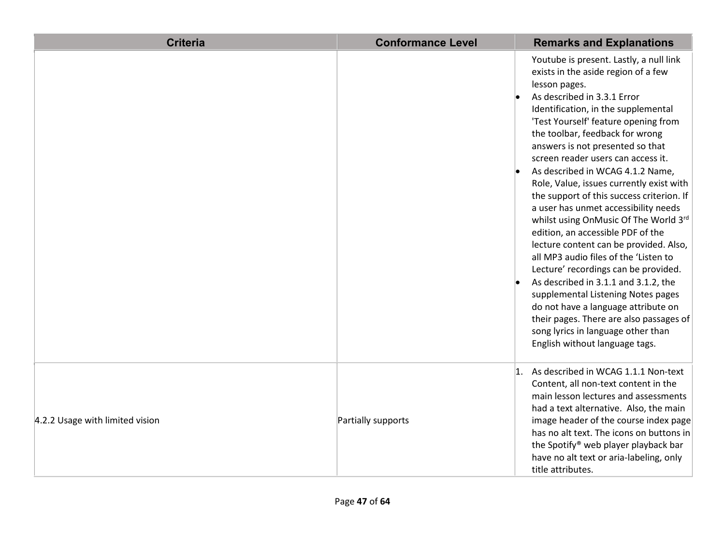| <b>Criteria</b>                 | <b>Conformance Level</b> |                | <b>Remarks and Explanations</b>                                                                                                                                                                                                                                                                                                                                                                                                                                                                                                                                                                                                                                                                                                                                                                                                                                                                                                                  |
|---------------------------------|--------------------------|----------------|--------------------------------------------------------------------------------------------------------------------------------------------------------------------------------------------------------------------------------------------------------------------------------------------------------------------------------------------------------------------------------------------------------------------------------------------------------------------------------------------------------------------------------------------------------------------------------------------------------------------------------------------------------------------------------------------------------------------------------------------------------------------------------------------------------------------------------------------------------------------------------------------------------------------------------------------------|
|                                 |                          |                | Youtube is present. Lastly, a null link<br>exists in the aside region of a few<br>lesson pages.<br>As described in 3.3.1 Error<br>Identification, in the supplemental<br>'Test Yourself' feature opening from<br>the toolbar, feedback for wrong<br>answers is not presented so that<br>screen reader users can access it.<br>As described in WCAG 4.1.2 Name,<br>Role, Value, issues currently exist with<br>the support of this success criterion. If<br>a user has unmet accessibility needs<br>whilst using OnMusic Of The World 3rd<br>edition, an accessible PDF of the<br>lecture content can be provided. Also,<br>all MP3 audio files of the 'Listen to<br>Lecture' recordings can be provided.<br>As described in 3.1.1 and 3.1.2, the<br>supplemental Listening Notes pages<br>do not have a language attribute on<br>their pages. There are also passages of<br>song lyrics in language other than<br>English without language tags. |
| 4.2.2 Usage with limited vision | Partially supports       | $\mathbf{1}$ . | As described in WCAG 1.1.1 Non-text<br>Content, all non-text content in the<br>main lesson lectures and assessments<br>had a text alternative. Also, the main<br>image header of the course index page<br>has no alt text. The icons on buttons in<br>the Spotify® web player playback bar<br>have no alt text or aria-labeling, only<br>title attributes.                                                                                                                                                                                                                                                                                                                                                                                                                                                                                                                                                                                       |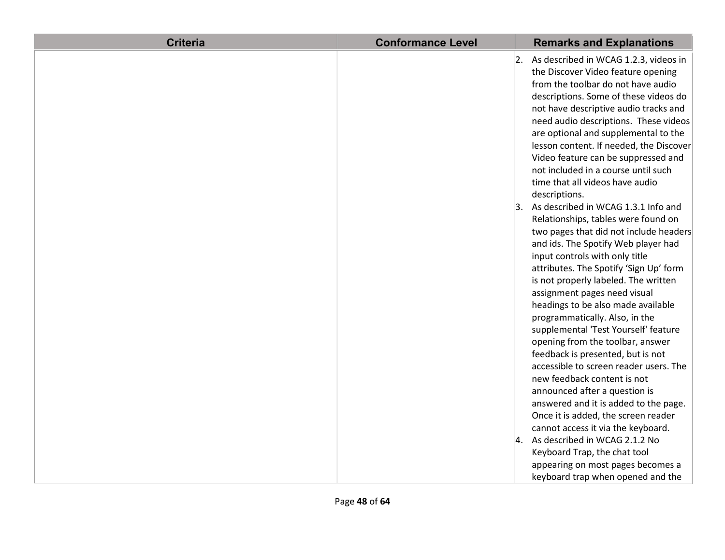| <b>Criteria</b> | <b>Conformance Level</b> | <b>Remarks and Explanations</b>          |
|-----------------|--------------------------|------------------------------------------|
|                 | 2.                       | As described in WCAG 1.2.3, videos in    |
|                 |                          | the Discover Video feature opening       |
|                 |                          | from the toolbar do not have audio       |
|                 |                          | descriptions. Some of these videos do    |
|                 |                          | not have descriptive audio tracks and    |
|                 |                          | need audio descriptions. These videos    |
|                 |                          | are optional and supplemental to the     |
|                 |                          | lesson content. If needed, the Discover  |
|                 |                          | Video feature can be suppressed and      |
|                 |                          | not included in a course until such      |
|                 |                          | time that all videos have audio          |
|                 |                          | descriptions.                            |
|                 | 3.                       | As described in WCAG 1.3.1 Info and      |
|                 |                          | Relationships, tables were found on      |
|                 |                          | two pages that did not include headers   |
|                 |                          | and ids. The Spotify Web player had      |
|                 |                          | input controls with only title           |
|                 |                          | attributes. The Spotify 'Sign Up' form   |
|                 |                          | is not properly labeled. The written     |
|                 |                          | assignment pages need visual             |
|                 |                          | headings to be also made available       |
|                 |                          | programmatically. Also, in the           |
|                 |                          | supplemental 'Test Yourself' feature     |
|                 |                          | opening from the toolbar, answer         |
|                 |                          | feedback is presented, but is not        |
|                 |                          | accessible to screen reader users. The   |
|                 |                          | new feedback content is not              |
|                 |                          | announced after a question is            |
|                 |                          | answered and it is added to the page.    |
|                 |                          | Once it is added, the screen reader      |
|                 |                          | cannot access it via the keyboard.       |
|                 |                          | $\vert$ 4. As described in WCAG 2.1.2 No |
|                 |                          | Keyboard Trap, the chat tool             |
|                 |                          | appearing on most pages becomes a        |
|                 |                          | keyboard trap when opened and the        |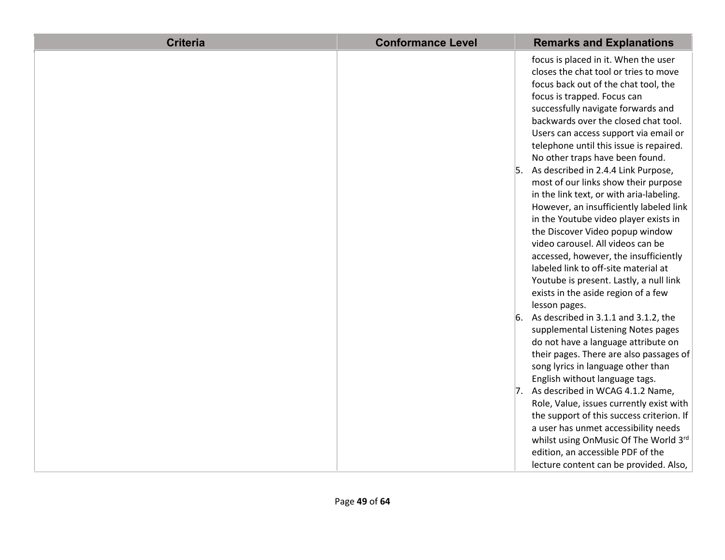| <b>Criteria</b> | <b>Conformance Level</b> | <b>Remarks and Explanations</b>            |
|-----------------|--------------------------|--------------------------------------------|
|                 |                          | focus is placed in it. When the user       |
|                 |                          | closes the chat tool or tries to move      |
|                 |                          | focus back out of the chat tool, the       |
|                 |                          | focus is trapped. Focus can                |
|                 |                          | successfully navigate forwards and         |
|                 |                          | backwards over the closed chat tool.       |
|                 |                          | Users can access support via email or      |
|                 |                          | telephone until this issue is repaired.    |
|                 |                          | No other traps have been found.            |
|                 |                          | 5.<br>As described in 2.4.4 Link Purpose,  |
|                 |                          | most of our links show their purpose       |
|                 |                          | in the link text, or with aria-labeling.   |
|                 |                          | However, an insufficiently labeled link    |
|                 |                          | in the Youtube video player exists in      |
|                 |                          | the Discover Video popup window            |
|                 |                          | video carousel. All videos can be          |
|                 |                          | accessed, however, the insufficiently      |
|                 |                          | labeled link to off-site material at       |
|                 |                          | Youtube is present. Lastly, a null link    |
|                 |                          | exists in the aside region of a few        |
|                 |                          | lesson pages.                              |
|                 |                          | 6.<br>As described in 3.1.1 and 3.1.2, the |
|                 |                          | supplemental Listening Notes pages         |
|                 |                          | do not have a language attribute on        |
|                 |                          | their pages. There are also passages of    |
|                 |                          | song lyrics in language other than         |
|                 |                          | English without language tags.             |
|                 |                          | As described in WCAG 4.1.2 Name,<br>7.     |
|                 |                          | Role, Value, issues currently exist with   |
|                 |                          | the support of this success criterion. If  |
|                 |                          | a user has unmet accessibility needs       |
|                 |                          | whilst using OnMusic Of The World 3rd      |
|                 |                          | edition, an accessible PDF of the          |
|                 |                          | lecture content can be provided. Also,     |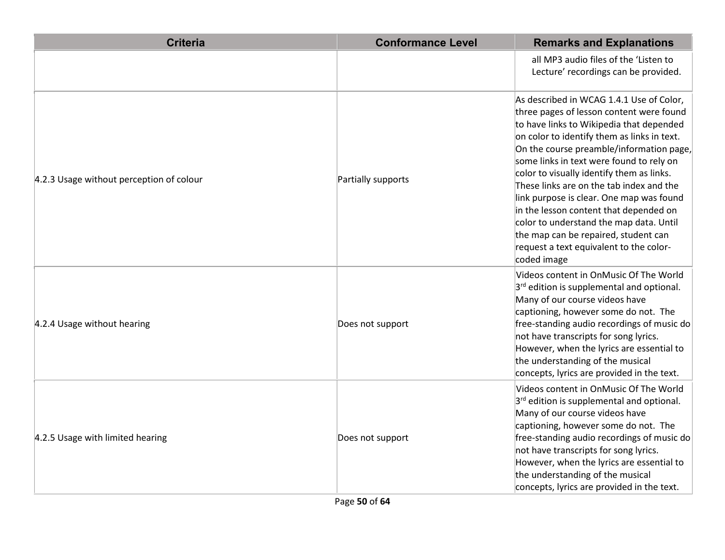| <b>Criteria</b>                          | <b>Conformance Level</b> | <b>Remarks and Explanations</b>                                                                                                                                                                                                                                                                                                                                                                                                                                                                                                                                                                     |
|------------------------------------------|--------------------------|-----------------------------------------------------------------------------------------------------------------------------------------------------------------------------------------------------------------------------------------------------------------------------------------------------------------------------------------------------------------------------------------------------------------------------------------------------------------------------------------------------------------------------------------------------------------------------------------------------|
|                                          |                          | all MP3 audio files of the 'Listen to<br>Lecture' recordings can be provided.                                                                                                                                                                                                                                                                                                                                                                                                                                                                                                                       |
| 4.2.3 Usage without perception of colour | Partially supports       | As described in WCAG 1.4.1 Use of Color,<br>three pages of lesson content were found<br>to have links to Wikipedia that depended<br>on color to identify them as links in text.<br>On the course preamble/information page,<br>some links in text were found to rely on<br>color to visually identify them as links.<br>These links are on the tab index and the<br>link purpose is clear. One map was found<br>in the lesson content that depended on<br>color to understand the map data. Until<br>the map can be repaired, student can<br>request a text equivalent to the color-<br>coded image |
| 4.2.4 Usage without hearing              | Does not support         | Videos content in OnMusic Of The World<br>$3rd$ edition is supplemental and optional.<br>Many of our course videos have<br>captioning, however some do not. The<br>free-standing audio recordings of music do<br>not have transcripts for song lyrics.<br>However, when the lyrics are essential to<br>the understanding of the musical<br>concepts, lyrics are provided in the text.                                                                                                                                                                                                               |
| 4.2.5 Usage with limited hearing         | Does not support         | Videos content in OnMusic Of The World<br>$3rd$ edition is supplemental and optional.<br>Many of our course videos have<br>captioning, however some do not. The<br>free-standing audio recordings of music do<br>not have transcripts for song lyrics.<br>However, when the lyrics are essential to<br>the understanding of the musical<br>concepts, lyrics are provided in the text.                                                                                                                                                                                                               |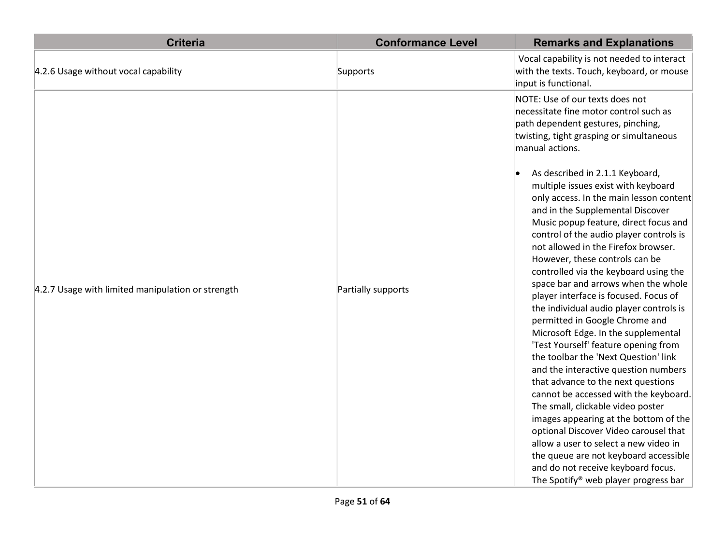| <b>Criteria</b>                                   | <b>Conformance Level</b> | <b>Remarks and Explanations</b>                                                                                                                                                                                                                                                                                                                                                                                                                                                                                                                                                                                                                                                                                                                                                                                                                                                                                                                                                                                                                                           |
|---------------------------------------------------|--------------------------|---------------------------------------------------------------------------------------------------------------------------------------------------------------------------------------------------------------------------------------------------------------------------------------------------------------------------------------------------------------------------------------------------------------------------------------------------------------------------------------------------------------------------------------------------------------------------------------------------------------------------------------------------------------------------------------------------------------------------------------------------------------------------------------------------------------------------------------------------------------------------------------------------------------------------------------------------------------------------------------------------------------------------------------------------------------------------|
| 4.2.6 Usage without vocal capability              | Supports                 | Vocal capability is not needed to interact<br>with the texts. Touch, keyboard, or mouse<br>input is functional.                                                                                                                                                                                                                                                                                                                                                                                                                                                                                                                                                                                                                                                                                                                                                                                                                                                                                                                                                           |
|                                                   |                          | NOTE: Use of our texts does not<br>necessitate fine motor control such as<br>path dependent gestures, pinching,<br>twisting, tight grasping or simultaneous<br>manual actions.                                                                                                                                                                                                                                                                                                                                                                                                                                                                                                                                                                                                                                                                                                                                                                                                                                                                                            |
| 4.2.7 Usage with limited manipulation or strength | Partially supports       | As described in 2.1.1 Keyboard,<br>multiple issues exist with keyboard<br>only access. In the main lesson content<br>and in the Supplemental Discover<br>Music popup feature, direct focus and<br>control of the audio player controls is<br>not allowed in the Firefox browser.<br>However, these controls can be<br>controlled via the keyboard using the<br>space bar and arrows when the whole<br>player interface is focused. Focus of<br>the individual audio player controls is<br>permitted in Google Chrome and<br>Microsoft Edge. In the supplemental<br>'Test Yourself' feature opening from<br>the toolbar the 'Next Question' link<br>and the interactive question numbers<br>that advance to the next questions<br>cannot be accessed with the keyboard.<br>The small, clickable video poster<br>images appearing at the bottom of the<br>optional Discover Video carousel that<br>allow a user to select a new video in<br>the queue are not keyboard accessible<br>and do not receive keyboard focus.<br>The Spotify <sup>®</sup> web player progress bar |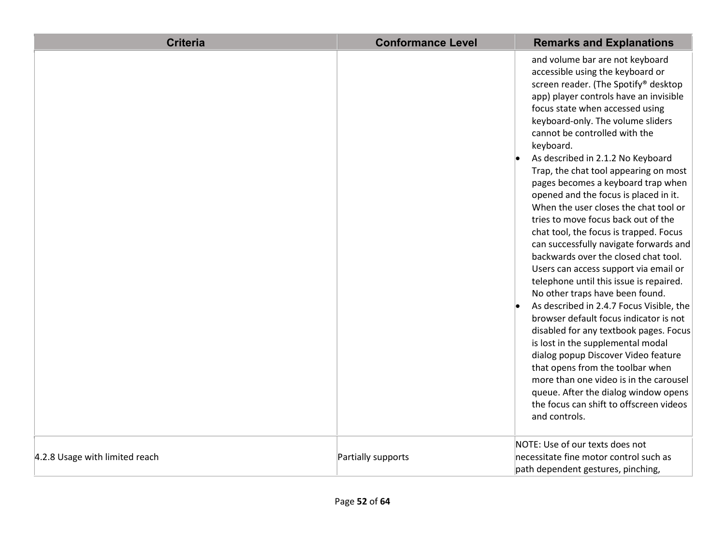| <b>Criteria</b>                | <b>Conformance Level</b> | <b>Remarks and Explanations</b>                                                                                                                                                                                                                                                                                                                                                                                                                                                                                                                                                                                                                                                                                                                                                                                                                                                                                                                                                                                                                                                                                                                                           |
|--------------------------------|--------------------------|---------------------------------------------------------------------------------------------------------------------------------------------------------------------------------------------------------------------------------------------------------------------------------------------------------------------------------------------------------------------------------------------------------------------------------------------------------------------------------------------------------------------------------------------------------------------------------------------------------------------------------------------------------------------------------------------------------------------------------------------------------------------------------------------------------------------------------------------------------------------------------------------------------------------------------------------------------------------------------------------------------------------------------------------------------------------------------------------------------------------------------------------------------------------------|
|                                |                          | and volume bar are not keyboard<br>accessible using the keyboard or<br>screen reader. (The Spotify® desktop<br>app) player controls have an invisible<br>focus state when accessed using<br>keyboard-only. The volume sliders<br>cannot be controlled with the<br>keyboard.<br>As described in 2.1.2 No Keyboard<br>Trap, the chat tool appearing on most<br>pages becomes a keyboard trap when<br>opened and the focus is placed in it.<br>When the user closes the chat tool or<br>tries to move focus back out of the<br>chat tool, the focus is trapped. Focus<br>can successfully navigate forwards and<br>backwards over the closed chat tool.<br>Users can access support via email or<br>telephone until this issue is repaired.<br>No other traps have been found.<br>As described in 2.4.7 Focus Visible, the<br>browser default focus indicator is not<br>disabled for any textbook pages. Focus<br>is lost in the supplemental modal<br>dialog popup Discover Video feature<br>that opens from the toolbar when<br>more than one video is in the carousel<br>queue. After the dialog window opens<br>the focus can shift to offscreen videos<br>and controls. |
| 4.2.8 Usage with limited reach | Partially supports       | NOTE: Use of our texts does not<br>necessitate fine motor control such as<br>path dependent gestures, pinching,                                                                                                                                                                                                                                                                                                                                                                                                                                                                                                                                                                                                                                                                                                                                                                                                                                                                                                                                                                                                                                                           |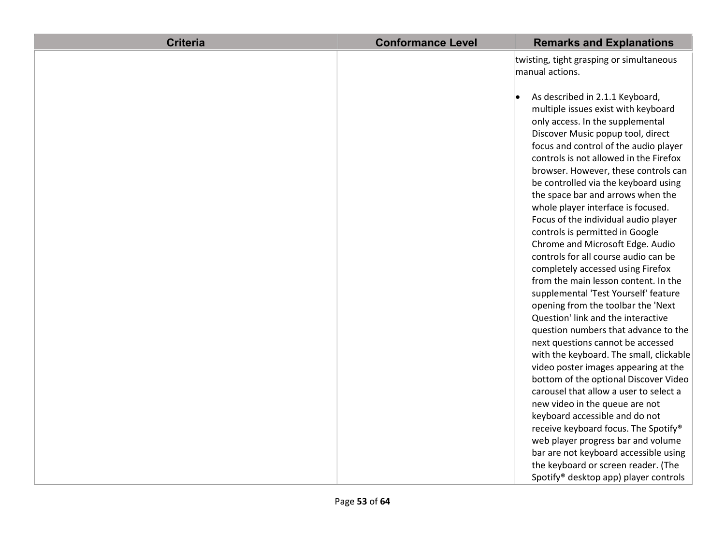| <b>Criteria</b> | <b>Conformance Level</b> | <b>Remarks and Explanations</b>          |
|-----------------|--------------------------|------------------------------------------|
|                 |                          | twisting, tight grasping or simultaneous |
|                 |                          | manual actions.                          |
|                 |                          | As described in 2.1.1 Keyboard,          |
|                 |                          | multiple issues exist with keyboard      |
|                 |                          | only access. In the supplemental         |
|                 |                          | Discover Music popup tool, direct        |
|                 |                          | focus and control of the audio player    |
|                 |                          | controls is not allowed in the Firefox   |
|                 |                          | browser. However, these controls can     |
|                 |                          | be controlled via the keyboard using     |
|                 |                          | the space bar and arrows when the        |
|                 |                          | whole player interface is focused.       |
|                 |                          | Focus of the individual audio player     |
|                 |                          | controls is permitted in Google          |
|                 |                          | Chrome and Microsoft Edge. Audio         |
|                 |                          | controls for all course audio can be     |
|                 |                          | completely accessed using Firefox        |
|                 |                          | from the main lesson content. In the     |
|                 |                          | supplemental 'Test Yourself' feature     |
|                 |                          | opening from the toolbar the 'Next       |
|                 |                          | Question' link and the interactive       |
|                 |                          | question numbers that advance to the     |
|                 |                          | next questions cannot be accessed        |
|                 |                          | with the keyboard. The small, clickable  |
|                 |                          | video poster images appearing at the     |
|                 |                          | bottom of the optional Discover Video    |
|                 |                          | carousel that allow a user to select a   |
|                 |                          | new video in the queue are not           |
|                 |                          | keyboard accessible and do not           |
|                 |                          | receive keyboard focus. The Spotify®     |
|                 |                          | web player progress bar and volume       |
|                 |                          | bar are not keyboard accessible using    |
|                 |                          | the keyboard or screen reader. (The      |
|                 |                          | Spotify® desktop app) player controls    |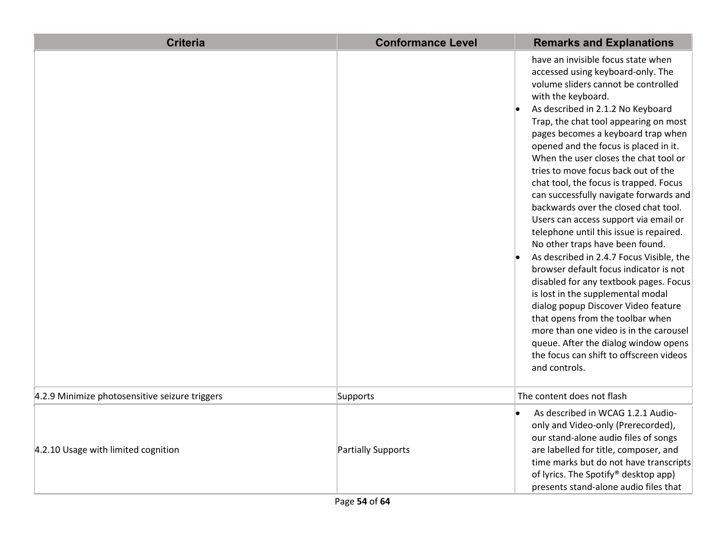| <b>Criteria</b>                                | <b>Conformance Level</b> | <b>Remarks and Explanations</b>                                                                                                                                                                                                                                                                                                                                                                                                                                                                                                                                                                                                                                                                                                                                                                                                                                                                                                                                                                                                    |
|------------------------------------------------|--------------------------|------------------------------------------------------------------------------------------------------------------------------------------------------------------------------------------------------------------------------------------------------------------------------------------------------------------------------------------------------------------------------------------------------------------------------------------------------------------------------------------------------------------------------------------------------------------------------------------------------------------------------------------------------------------------------------------------------------------------------------------------------------------------------------------------------------------------------------------------------------------------------------------------------------------------------------------------------------------------------------------------------------------------------------|
|                                                |                          | have an invisible focus state when<br>accessed using keyboard-only. The<br>volume sliders cannot be controlled<br>with the keyboard.<br>As described in 2.1.2 No Keyboard<br>Trap, the chat tool appearing on most<br>pages becomes a keyboard trap when<br>opened and the focus is placed in it.<br>When the user closes the chat tool or<br>tries to move focus back out of the<br>chat tool, the focus is trapped. Focus<br>can successfully navigate forwards and<br>backwards over the closed chat tool.<br>Users can access support via email or<br>telephone until this issue is repaired.<br>No other traps have been found.<br>As described in 2.4.7 Focus Visible, the<br>browser default focus indicator is not<br>disabled for any textbook pages. Focus<br>is lost in the supplemental modal<br>dialog popup Discover Video feature<br>that opens from the toolbar when<br>more than one video is in the carousel<br>queue. After the dialog window opens<br>the focus can shift to offscreen videos<br>and controls. |
| 4.2.9 Minimize photosensitive seizure triggers | Supports                 | The content does not flash                                                                                                                                                                                                                                                                                                                                                                                                                                                                                                                                                                                                                                                                                                                                                                                                                                                                                                                                                                                                         |
| 4.2.10 Usage with limited cognition            | Partially Supports       | As described in WCAG 1.2.1 Audio-<br>only and Video-only (Prerecorded),<br>our stand-alone audio files of songs<br>are labelled for title, composer, and<br>time marks but do not have transcripts<br>of lyrics. The Spotify® desktop app)<br>presents stand-alone audio files that                                                                                                                                                                                                                                                                                                                                                                                                                                                                                                                                                                                                                                                                                                                                                |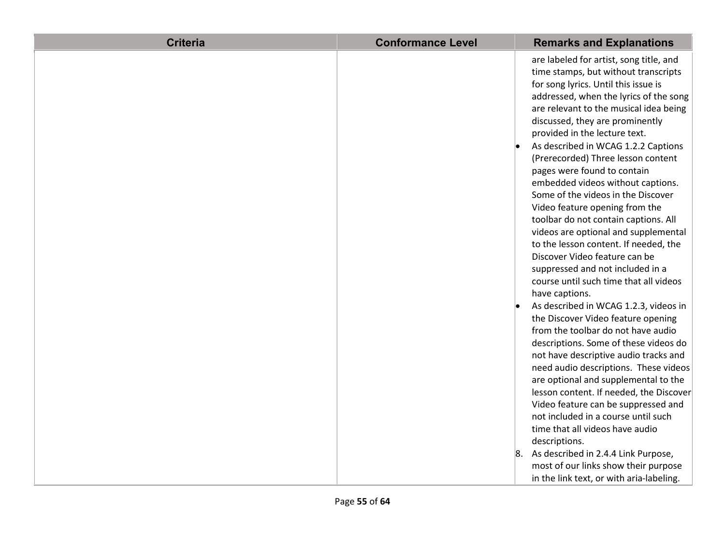| <b>Criteria</b> | <b>Conformance Level</b> | <b>Remarks and Explanations</b>                                                                                                                                                                                                                                                                                                                                                                                                                                                                                                                                                                                                                                                                                                                                                                                                                                                                                                                                                                                                                                                                       |
|-----------------|--------------------------|-------------------------------------------------------------------------------------------------------------------------------------------------------------------------------------------------------------------------------------------------------------------------------------------------------------------------------------------------------------------------------------------------------------------------------------------------------------------------------------------------------------------------------------------------------------------------------------------------------------------------------------------------------------------------------------------------------------------------------------------------------------------------------------------------------------------------------------------------------------------------------------------------------------------------------------------------------------------------------------------------------------------------------------------------------------------------------------------------------|
|                 |                          | are labeled for artist, song title, and<br>time stamps, but without transcripts<br>for song lyrics. Until this issue is<br>addressed, when the lyrics of the song<br>are relevant to the musical idea being<br>discussed, they are prominently<br>provided in the lecture text.<br>As described in WCAG 1.2.2 Captions<br>(Prerecorded) Three lesson content<br>pages were found to contain<br>embedded videos without captions.<br>Some of the videos in the Discover<br>Video feature opening from the<br>toolbar do not contain captions. All<br>videos are optional and supplemental<br>to the lesson content. If needed, the<br>Discover Video feature can be<br>suppressed and not included in a<br>course until such time that all videos<br>have captions.<br>As described in WCAG 1.2.3, videos in<br>the Discover Video feature opening<br>from the toolbar do not have audio<br>descriptions. Some of these videos do<br>not have descriptive audio tracks and<br>need audio descriptions. These videos<br>are optional and supplemental to the<br>lesson content. If needed, the Discover |
|                 |                          | Video feature can be suppressed and<br>not included in a course until such<br>time that all videos have audio                                                                                                                                                                                                                                                                                                                                                                                                                                                                                                                                                                                                                                                                                                                                                                                                                                                                                                                                                                                         |
|                 |                          | descriptions.<br>8. As described in 2.4.4 Link Purpose,<br>most of our links show their purpose<br>in the link text, or with aria-labeling.                                                                                                                                                                                                                                                                                                                                                                                                                                                                                                                                                                                                                                                                                                                                                                                                                                                                                                                                                           |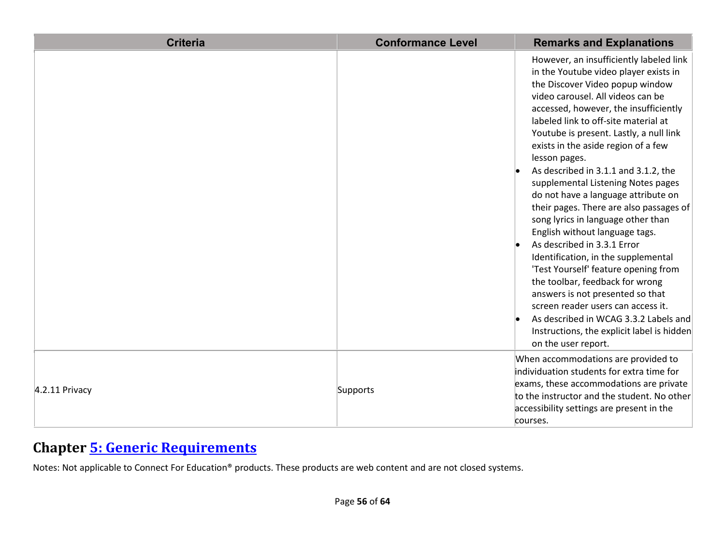| <b>Criteria</b> | <b>Conformance Level</b> | <b>Remarks and Explanations</b>                                                                                                                                                                                                                                                                                                                                                                                                                                                                                                                                                                                                                                                                                                                                                                                                                                                                                               |
|-----------------|--------------------------|-------------------------------------------------------------------------------------------------------------------------------------------------------------------------------------------------------------------------------------------------------------------------------------------------------------------------------------------------------------------------------------------------------------------------------------------------------------------------------------------------------------------------------------------------------------------------------------------------------------------------------------------------------------------------------------------------------------------------------------------------------------------------------------------------------------------------------------------------------------------------------------------------------------------------------|
|                 |                          | However, an insufficiently labeled link<br>in the Youtube video player exists in<br>the Discover Video popup window<br>video carousel. All videos can be<br>accessed, however, the insufficiently<br>labeled link to off-site material at<br>Youtube is present. Lastly, a null link<br>exists in the aside region of a few<br>lesson pages.<br>As described in 3.1.1 and 3.1.2, the<br>supplemental Listening Notes pages<br>do not have a language attribute on<br>their pages. There are also passages of<br>song lyrics in language other than<br>English without language tags.<br>As described in 3.3.1 Error<br>Identification, in the supplemental<br>'Test Yourself' feature opening from<br>the toolbar, feedback for wrong<br>answers is not presented so that<br>screen reader users can access it.<br>As described in WCAG 3.3.2 Labels and<br>Instructions, the explicit label is hidden<br>on the user report. |
| 4.2.11 Privacy  | Supports                 | When accommodations are provided to<br>individuation students for extra time for<br>exams, these accommodations are private<br>to the instructor and the student. No other<br>accessibility settings are present in the<br>courses.                                                                                                                                                                                                                                                                                                                                                                                                                                                                                                                                                                                                                                                                                           |

### **Chapter [5: Generic Requirements](http://www.etsi.org/deliver/etsi_en/301500_301599/301549/01.01.02_60/en_301549v010102p.pdf#page=23)**

Notes: Not applicable to Connect For Education® products. These products are web content and are not closed systems.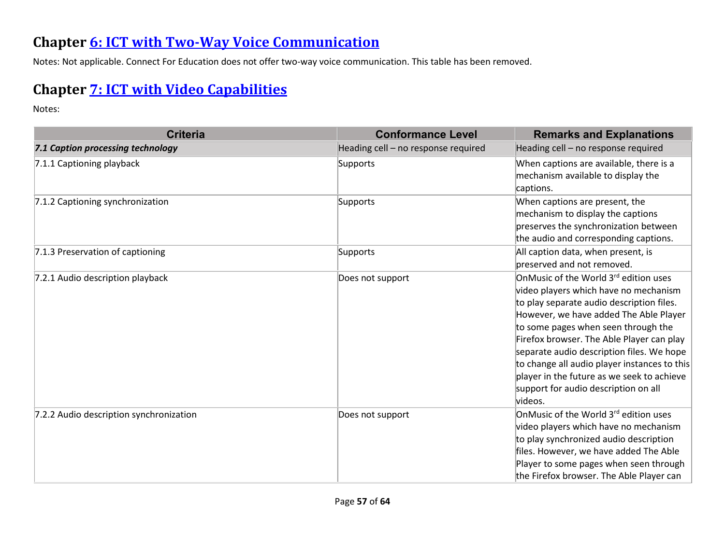#### **Chapter [6: ICT with Two-Way Voice Communication](http://www.etsi.org/deliver/etsi_en/301500_301599/301549/01.01.02_60/en_301549v010102p.pdf#page=28)**

Notes: Not applicable. Connect For Education does not offer two-way voice communication. This table has been removed.

## **Chapter [7: ICT with Video Capabilities](http://www.etsi.org/deliver/etsi_en/301500_301599/301549/01.01.02_60/en_301549v010102p.pdf#page=31)**

Notes:

| <b>Criteria</b>                         | <b>Conformance Level</b>            | <b>Remarks and Explanations</b>                                                                                                                                                                                                                                                                                                                                                                                                                                     |
|-----------------------------------------|-------------------------------------|---------------------------------------------------------------------------------------------------------------------------------------------------------------------------------------------------------------------------------------------------------------------------------------------------------------------------------------------------------------------------------------------------------------------------------------------------------------------|
| 7.1 Caption processing technology       | Heading cell - no response required | Heading cell - no response required                                                                                                                                                                                                                                                                                                                                                                                                                                 |
| 7.1.1 Captioning playback               | Supports                            | When captions are available, there is a<br>mechanism available to display the<br>captions.                                                                                                                                                                                                                                                                                                                                                                          |
| 7.1.2 Captioning synchronization        | Supports                            | When captions are present, the<br>mechanism to display the captions<br>preserves the synchronization between<br>the audio and corresponding captions.                                                                                                                                                                                                                                                                                                               |
| 7.1.3 Preservation of captioning        | Supports                            | All caption data, when present, is<br>preserved and not removed.                                                                                                                                                                                                                                                                                                                                                                                                    |
| 7.2.1 Audio description playback        | Does not support                    | OnMusic of the World 3 <sup>rd</sup> edition uses<br>video players which have no mechanism<br>to play separate audio description files.<br>However, we have added The Able Player<br>to some pages when seen through the<br>Firefox browser. The Able Player can play<br>separate audio description files. We hope<br>to change all audio player instances to this<br>player in the future as we seek to achieve<br>support for audio description on all<br>videos. |
| 7.2.2 Audio description synchronization | Does not support                    | OnMusic of the World 3 <sup>rd</sup> edition uses<br>video players which have no mechanism<br>to play synchronized audio description<br>files. However, we have added The Able<br>Player to some pages when seen through<br>the Firefox browser. The Able Player can                                                                                                                                                                                                |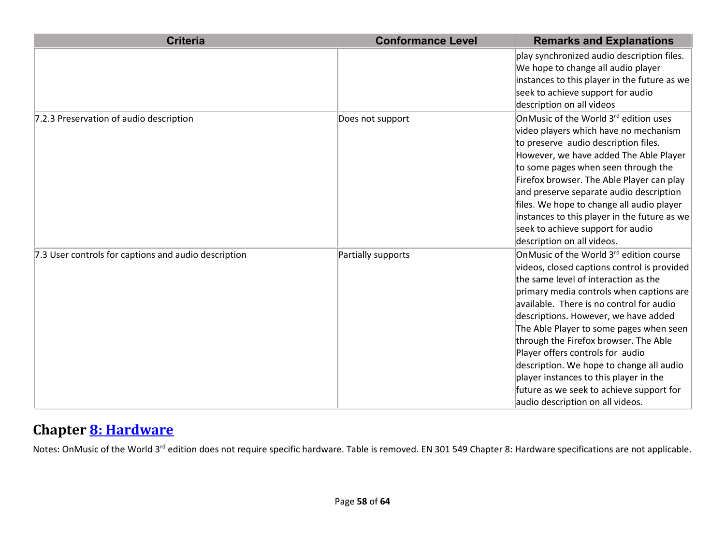| <b>Criteria</b>                                      | <b>Conformance Level</b> | <b>Remarks and Explanations</b>                                                                                                                                                                                                                                                                                                                                                                                                                                                                                                                              |
|------------------------------------------------------|--------------------------|--------------------------------------------------------------------------------------------------------------------------------------------------------------------------------------------------------------------------------------------------------------------------------------------------------------------------------------------------------------------------------------------------------------------------------------------------------------------------------------------------------------------------------------------------------------|
|                                                      |                          | play synchronized audio description files.<br>We hope to change all audio player<br>instances to this player in the future as we                                                                                                                                                                                                                                                                                                                                                                                                                             |
|                                                      |                          | seek to achieve support for audio<br>description on all videos                                                                                                                                                                                                                                                                                                                                                                                                                                                                                               |
| 7.2.3 Preservation of audio description              | Does not support         | OnMusic of the World 3 <sup>rd</sup> edition uses<br>video players which have no mechanism<br>to preserve audio description files.<br>However, we have added The Able Player<br>to some pages when seen through the<br>Firefox browser. The Able Player can play<br>and preserve separate audio description<br>files. We hope to change all audio player<br>instances to this player in the future as we<br>seek to achieve support for audio<br>description on all videos.                                                                                  |
| 7.3 User controls for captions and audio description | Partially supports       | OnMusic of the World 3rd edition course<br>videos, closed captions control is provided<br>the same level of interaction as the<br>primary media controls when captions are<br>available. There is no control for audio<br>descriptions. However, we have added<br>The Able Player to some pages when seen<br>through the Firefox browser. The Able<br>Player offers controls for audio<br>description. We hope to change all audio<br>player instances to this player in the<br>future as we seek to achieve support for<br>audio description on all videos. |

#### **Chapter [8: Hardware](http://www.etsi.org/deliver/etsi_en/301500_301599/301549/01.01.02_60/en_301549v010102p.pdf#page=32)**

Notes: OnMusic of the World 3<sup>rd</sup> edition does not require specific hardware. Table is removed. EN 301 549 Chapter 8: Hardware specifications are not applicable.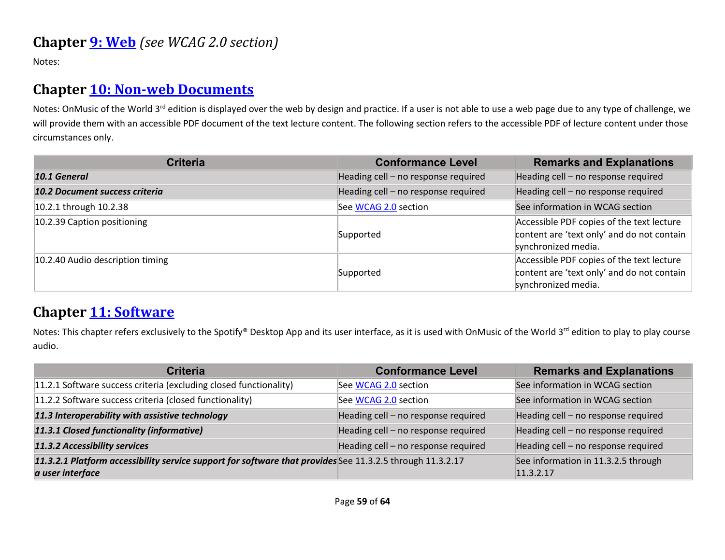Notes:

### **Chapter [10: Non-web Documents](http://www.etsi.org/deliver/etsi_en/301500_301599/301549/01.01.02_60/en_301549v010102p.pdf#page=43)**

Notes: OnMusic of the World 3<sup>rd</sup> edition is displayed over the web by design and practice. If a user is not able to use a web page due to any type of challenge, we will provide them with an accessible PDF document of the text lecture content. The following section refers to the accessible PDF of lecture content under those circumstances only.

| <b>Criteria</b>                  | <b>Conformance Level</b>            | <b>Remarks and Explanations</b>                                                                                |
|----------------------------------|-------------------------------------|----------------------------------------------------------------------------------------------------------------|
| 10.1 General                     | Heading cell - no response required | Heading cell - no response required                                                                            |
| 10.2 Document success criteria   | Heading cell - no response required | Heading cell - no response required                                                                            |
| 10.2.1 through 10.2.38           | See WCAG 2.0 section                | See information in WCAG section                                                                                |
| 10.2.39 Caption positioning      | Supported                           | Accessible PDF copies of the text lecture<br>content are 'text only' and do not contain<br>synchronized media. |
| 10.2.40 Audio description timing | Supported                           | Accessible PDF copies of the text lecture<br>content are 'text only' and do not contain<br>synchronized media. |

#### **Chapter [11: Software](http://www.etsi.org/deliver/etsi_en/301500_301599/301549/01.01.02_60/en_301549v010102p.pdf#page=53)**

Notes: This chapter refers exclusively to the Spotify® Desktop App and its user interface, as it is used with OnMusic of the World 3<sup>rd</sup> edition to play to play course audio.

| <b>Criteria</b>                                                                                                               | <b>Conformance Level</b>            | <b>Remarks and Explanations</b>                  |
|-------------------------------------------------------------------------------------------------------------------------------|-------------------------------------|--------------------------------------------------|
| 11.2.1 Software success criteria (excluding closed functionality)                                                             | See WCAG 2.0 section                | See information in WCAG section                  |
| 11.2.2 Software success criteria (closed functionality)                                                                       | See WCAG 2.0 section                | See information in WCAG section                  |
| 11.3 Interoperability with assistive technology                                                                               | Heading cell - no response required | Heading cell - no response required              |
| 11.3.1 Closed functionality (informative)                                                                                     | Heading cell - no response required | Heading cell - no response required              |
| 11.3.2 Accessibility services                                                                                                 | Heading cell - no response required | Heading cell - no response required              |
| 11.3.2.1 Platform accessibility service support for software that provides See 11.3.2.5 through 11.3.2.17<br>a user interface |                                     | See information in 11.3.2.5 through<br>11.3.2.17 |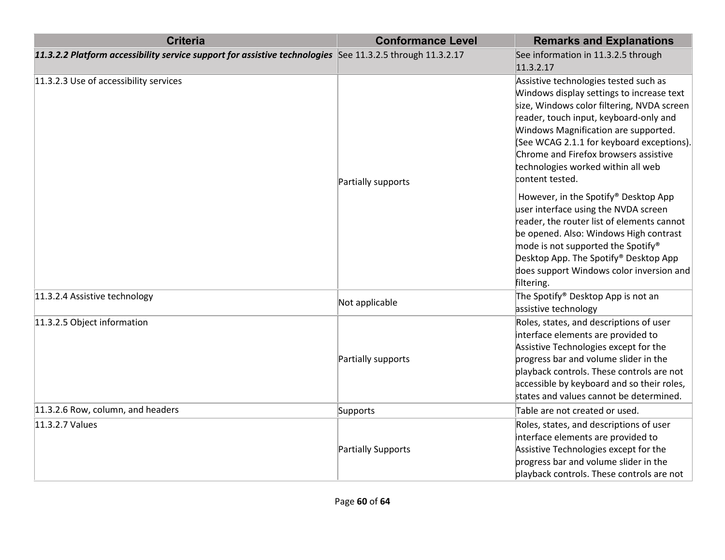| <b>Criteria</b>                                                                                           | <b>Conformance Level</b> | <b>Remarks and Explanations</b>                                                                                                                                                                                                                                                                                                                                   |
|-----------------------------------------------------------------------------------------------------------|--------------------------|-------------------------------------------------------------------------------------------------------------------------------------------------------------------------------------------------------------------------------------------------------------------------------------------------------------------------------------------------------------------|
| 11.3.2.2 Platform accessibility service support for assistive technologies See 11.3.2.5 through 11.3.2.17 |                          | See information in 11.3.2.5 through<br>11.3.2.17                                                                                                                                                                                                                                                                                                                  |
| 11.3.2.3 Use of accessibility services                                                                    | Partially supports       | Assistive technologies tested such as<br>Windows display settings to increase text<br>size, Windows color filtering, NVDA screen<br>reader, touch input, keyboard-only and<br>Windows Magnification are supported.<br>(See WCAG 2.1.1 for keyboard exceptions).<br>Chrome and Firefox browsers assistive<br>technologies worked within all web<br>content tested. |
|                                                                                                           |                          | However, in the Spotify® Desktop App<br>user interface using the NVDA screen<br>reader, the router list of elements cannot<br>be opened. Also: Windows High contrast<br>mode is not supported the Spotify <sup>®</sup><br>Desktop App. The Spotify® Desktop App<br>does support Windows color inversion and<br>filtering.                                         |
| 11.3.2.4 Assistive technology                                                                             | Not applicable           | The Spotify <sup>®</sup> Desktop App is not an<br>assistive technology                                                                                                                                                                                                                                                                                            |
| 11.3.2.5 Object information                                                                               | Partially supports       | Roles, states, and descriptions of user<br>interface elements are provided to<br>Assistive Technologies except for the<br>progress bar and volume slider in the<br>playback controls. These controls are not<br>accessible by keyboard and so their roles,<br>states and values cannot be determined.                                                             |
| 11.3.2.6 Row, column, and headers                                                                         | Supports                 | Table are not created or used.                                                                                                                                                                                                                                                                                                                                    |
| 11.3.2.7 Values                                                                                           | Partially Supports       | Roles, states, and descriptions of user<br>interface elements are provided to<br>Assistive Technologies except for the<br>progress bar and volume slider in the<br>playback controls. These controls are not                                                                                                                                                      |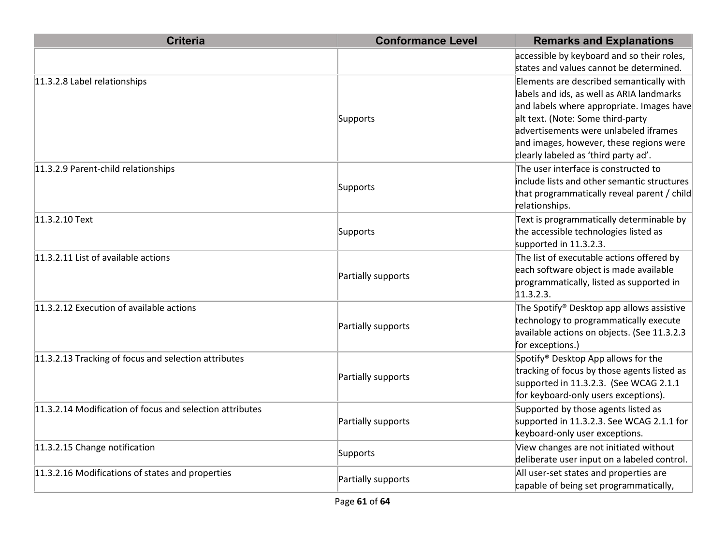| <b>Criteria</b>                                          | <b>Conformance Level</b> | <b>Remarks and Explanations</b>                                                                                                                                                                                                                                                                     |
|----------------------------------------------------------|--------------------------|-----------------------------------------------------------------------------------------------------------------------------------------------------------------------------------------------------------------------------------------------------------------------------------------------------|
|                                                          |                          | accessible by keyboard and so their roles,<br>states and values cannot be determined.                                                                                                                                                                                                               |
| 11.3.2.8 Label relationships                             | Supports                 | Elements are described semantically with<br>labels and ids, as well as ARIA landmarks<br>and labels where appropriate. Images have<br>alt text. (Note: Some third-party<br>advertisements were unlabeled iframes<br>and images, however, these regions were<br>clearly labeled as 'third party ad'. |
| 11.3.2.9 Parent-child relationships                      | Supports                 | The user interface is constructed to<br>include lists and other semantic structures<br>that programmatically reveal parent / child<br>relationships.                                                                                                                                                |
| 11.3.2.10 Text                                           | Supports                 | Text is programmatically determinable by<br>the accessible technologies listed as<br>supported in 11.3.2.3.                                                                                                                                                                                         |
| 11.3.2.11 List of available actions                      | Partially supports       | The list of executable actions offered by<br>each software object is made available<br>programmatically, listed as supported in<br>11.3.2.3.                                                                                                                                                        |
| 11.3.2.12 Execution of available actions                 | Partially supports       | The Spotify <sup>®</sup> Desktop app allows assistive<br>technology to programmatically execute<br>available actions on objects. (See 11.3.2.3<br>for exceptions.)                                                                                                                                  |
| 11.3.2.13 Tracking of focus and selection attributes     | Partially supports       | Spotify <sup>®</sup> Desktop App allows for the<br>tracking of focus by those agents listed as<br>supported in 11.3.2.3. (See WCAG 2.1.1)<br>for keyboard-only users exceptions).                                                                                                                   |
| 11.3.2.14 Modification of focus and selection attributes | Partially supports       | Supported by those agents listed as<br>supported in 11.3.2.3. See WCAG 2.1.1 for<br>keyboard-only user exceptions.                                                                                                                                                                                  |
| 11.3.2.15 Change notification                            | Supports                 | View changes are not initiated without<br>deliberate user input on a labeled control.                                                                                                                                                                                                               |
| 11.3.2.16 Modifications of states and properties         | Partially supports       | All user-set states and properties are<br>capable of being set programmatically,                                                                                                                                                                                                                    |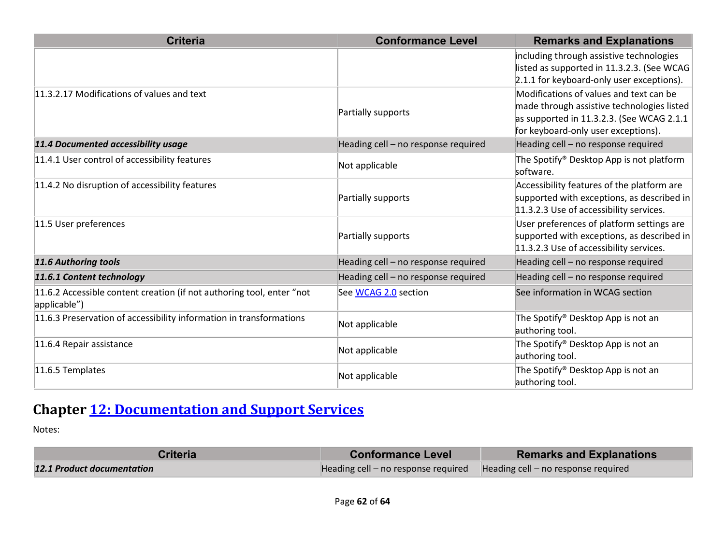| <b>Criteria</b>                                                                       | <b>Conformance Level</b>            | <b>Remarks and Explanations</b>                       |
|---------------------------------------------------------------------------------------|-------------------------------------|-------------------------------------------------------|
|                                                                                       |                                     | including through assistive technologies              |
|                                                                                       |                                     | listed as supported in 11.3.2.3. (See WCAG            |
|                                                                                       |                                     | 2.1.1 for keyboard-only user exceptions).             |
| 11.3.2.17 Modifications of values and text                                            | Partially supports                  | Modifications of values and text can be               |
|                                                                                       |                                     | made through assistive technologies listed            |
|                                                                                       |                                     | as supported in 11.3.2.3. (See WCAG 2.1.1)            |
|                                                                                       |                                     | for keyboard-only user exceptions).                   |
| 11.4 Documented accessibility usage                                                   | Heading cell - no response required | Heading cell - no response required                   |
| 11.4.1 User control of accessibility features                                         | Not applicable                      | The Spotify® Desktop App is not platform<br>software. |
| 11.4.2 No disruption of accessibility features                                        | Partially supports                  | Accessibility features of the platform are            |
|                                                                                       |                                     | supported with exceptions, as described in            |
|                                                                                       |                                     | 11.3.2.3 Use of accessibility services.               |
| 11.5 User preferences                                                                 | Partially supports                  | User preferences of platform settings are             |
|                                                                                       |                                     | supported with exceptions, as described in            |
|                                                                                       |                                     | 11.3.2.3 Use of accessibility services.               |
| 11.6 Authoring tools                                                                  | Heading cell - no response required | Heading cell - no response required                   |
| 11.6.1 Content technology                                                             | Heading cell - no response required | Heading cell - no response required                   |
| 11.6.2 Accessible content creation (if not authoring tool, enter "not<br>applicable") | See WCAG 2.0 section                | See information in WCAG section                       |
| 11.6.3 Preservation of accessibility information in transformations                   | Not applicable                      | The Spotify® Desktop App is not an                    |
|                                                                                       |                                     | authoring tool.                                       |
| 11.6.4 Repair assistance                                                              | Not applicable                      | The Spotify <sup>®</sup> Desktop App is not an        |
|                                                                                       |                                     | authoring tool.                                       |
| 11.6.5 Templates                                                                      | Not applicable                      | The Spotify® Desktop App is not an                    |
|                                                                                       |                                     | authoring tool.                                       |

## **Chapter [12: Documentation and Support Services](http://www.etsi.org/deliver/etsi_en/301500_301599/301549/01.01.02_60/en_301549v010102p.pdf#page=73)**

Notes:

| <b>Criteria</b>            | <b>Conformance Level</b>                                                | <b>Remarks and Explanations</b> |
|----------------------------|-------------------------------------------------------------------------|---------------------------------|
| 12.1 Product documentation | Heading cell – no response required Heading cell – no response required |                                 |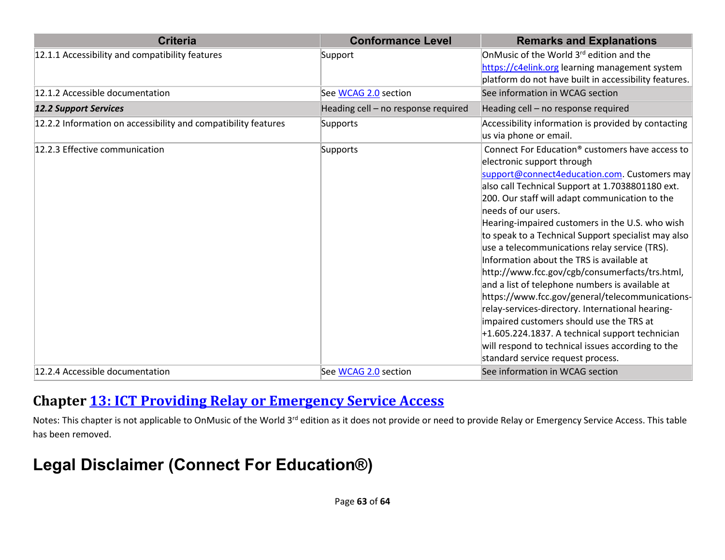| <b>Criteria</b>                                                | <b>Conformance Level</b>            | <b>Remarks and Explanations</b>                                                                      |
|----------------------------------------------------------------|-------------------------------------|------------------------------------------------------------------------------------------------------|
| 12.1.1 Accessibility and compatibility features                | Support                             | OnMusic of the World 3 <sup>rd</sup> edition and the                                                 |
|                                                                |                                     | https://c4elink.org learning management system                                                       |
|                                                                |                                     | platform do not have built in accessibility features.                                                |
| 12.1.2 Accessible documentation                                | See WCAG 2.0 section                | See information in WCAG section                                                                      |
| <b>12.2 Support Services</b>                                   | Heading cell - no response required | Heading cell - no response required                                                                  |
| 12.2.2 Information on accessibility and compatibility features | Supports                            | Accessibility information is provided by contacting<br>us via phone or email.                        |
| 12.2.3 Effective communication                                 | Supports                            | Connect For Education <sup>®</sup> customers have access to                                          |
|                                                                |                                     | electronic support through                                                                           |
|                                                                |                                     | support@connect4education.com. Customers may                                                         |
|                                                                |                                     | also call Technical Support at 1.7038801180 ext.                                                     |
|                                                                |                                     | 200. Our staff will adapt communication to the                                                       |
|                                                                |                                     | needs of our users.                                                                                  |
|                                                                |                                     | Hearing-impaired customers in the U.S. who wish                                                      |
|                                                                |                                     | to speak to a Technical Support specialist may also<br>use a telecommunications relay service (TRS). |
|                                                                |                                     | Information about the TRS is available at                                                            |
|                                                                |                                     | http://www.fcc.gov/cgb/consumerfacts/trs.html,                                                       |
|                                                                |                                     | and a list of telephone numbers is available at                                                      |
|                                                                |                                     | https://www.fcc.gov/general/telecommunications-                                                      |
|                                                                |                                     | relay-services-directory. International hearing-                                                     |
|                                                                |                                     | impaired customers should use the TRS at                                                             |
|                                                                |                                     | $+1.605.224.1837$ . A technical support technician                                                   |
|                                                                |                                     | will respond to technical issues according to the                                                    |
|                                                                |                                     | standard service request process.                                                                    |
| 12.2.4 Accessible documentation                                | See WCAG 2.0 section                | See information in WCAG section                                                                      |

#### **Chapter [13: ICT Providing Relay or Emergency Service Access](http://www.etsi.org/deliver/etsi_en/301500_301599/301549/01.01.02_60/en_301549v010102p.pdf#page=74)**

Notes: This chapter is not applicable to OnMusic of the World 3<sup>rd</sup> edition as it does not provide or need to provide Relay or Emergency Service Access. This table has been removed.

## **Legal Disclaimer (Connect For Education®)**